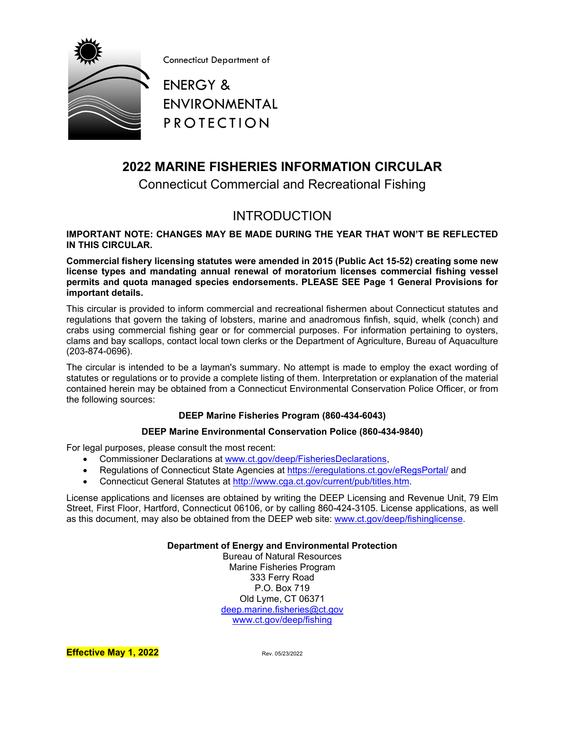

Connecticut Department of

ENERGY & ENVIRONMENTAL PROTECTION

# <span id="page-0-0"></span>**2022 MARINE FISHERIES INFORMATION CIRCULAR**

Connecticut Commercial and Recreational Fishing

# INTRODUCTION

**IMPORTANT NOTE: CHANGES MAY BE MADE DURING THE YEAR THAT WON'T BE REFLECTED IN THIS CIRCULAR.** 

**Commercial fishery licensing statutes were amended in 2015 (Public Act 15-52) creating some new license types and mandating annual renewal of moratorium licenses commercial fishing vessel permits and quota managed species endorsements. PLEASE SEE Page [1](#page-6-0) General Provisions for important details.**

This circular is provided to inform commercial and recreational fishermen about Connecticut statutes and regulations that govern the taking of lobsters, marine and anadromous finfish, squid, whelk (conch) and crabs using commercial fishing gear or for commercial purposes. For information pertaining to oysters, clams and bay scallops, contact local town clerks or the Department of Agriculture, Bureau of Aquaculture (203-874-0696).

The circular is intended to be a layman's summary. No attempt is made to employ the exact wording of statutes or regulations or to provide a complete listing of them. Interpretation or explanation of the material contained herein may be obtained from a Connecticut Environmental Conservation Police Officer, or from the following sources:

#### **DEEP Marine Fisheries Program (860-434-6043)**

#### **DEEP Marine Environmental Conservation Police (860-434-9840)**

For legal purposes, please consult the most recent:

- Commissioner Declarations at [www.ct.gov/deep/FisheriesDeclarations,](http://www.ct.gov/deep/FisheriesDeclarations)
- Regulations of Connecticut State Agencies at<https://eregulations.ct.gov/eRegsPortal/> and
- Connecticut General Statutes at [http://www.cga.ct.gov/current/pub/titles.htm.](http://www.cga.ct.gov/current/pub/titles.htm)

License applications and licenses are obtained by writing the DEEP Licensing and Revenue Unit, 79 Elm Street, First Floor, Hartford, Connecticut 06106, or by calling 860-424-3105. License applications, as well as this document, may also be obtained from the DEEP web site: [www.ct.gov/deep/fishinglicense.](http://www.ct.gov/deep/fishinglicense)

**Department of Energy and Environmental Protection**

Bureau of Natural Resources Marine Fisheries Program 333 Ferry Road P.O. Box 719 Old Lyme, CT 06371 [deep.marine.fisheries@ct.gov](mailto:deep.marine.fisheries@ct.gov) [www.ct.gov/deep/fishing](http://www.ct.gov/deep/fishing)

**Effective May 1, 2022** Rev. 05/23/2022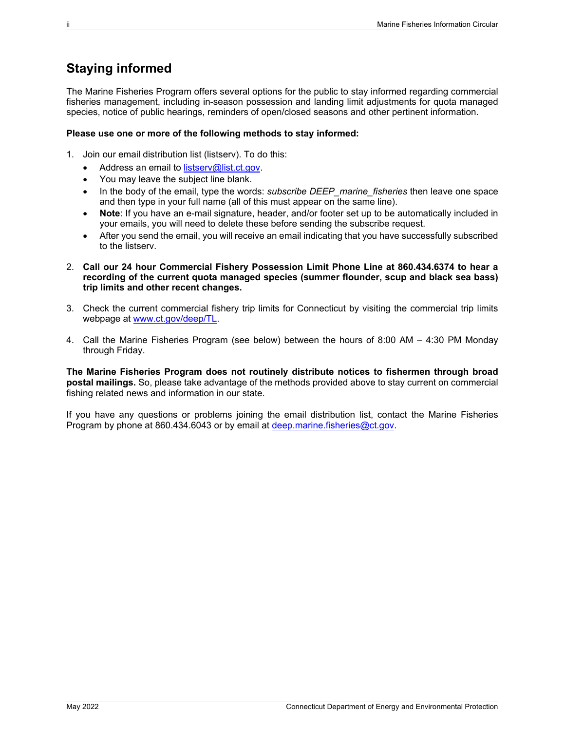# <span id="page-1-0"></span>**Staying informed**

The Marine Fisheries Program offers several options for the public to stay informed regarding commercial fisheries management, including in-season possession and landing limit adjustments for quota managed species, notice of public hearings, reminders of open/closed seasons and other pertinent information.

#### **Please use one or more of the following methods to stay informed:**

- 1. Join our email distribution list (listserv). To do this:
	- Address an email to [listserv@list.ct.gov.](mailto:listserv@list.ct.gov)
	- You may leave the subject line blank.
	- In the body of the email, type the words: *subscribe DEEP marine fisheries* then leave one space and then type in your full name (all of this must appear on the same line).
	- **Note**: If you have an e-mail signature, header, and/or footer set up to be automatically included in your emails, you will need to delete these before sending the subscribe request.
	- After you send the email, you will receive an email indicating that you have successfully subscribed to the listserv.
- 2. **Call our 24 hour Commercial Fishery Possession Limit Phone Line at 860.434.6374 to hear a recording of the current quota managed species (summer flounder, scup and black sea bass) trip limits and other recent changes.**
- 3. Check the current commercial fishery trip limits for Connecticut by visiting the commercial trip limits webpage at [www.ct.gov/deep/TL.](http://www.ct.gov/deep/TL)
- 4. Call the Marine Fisheries Program (see below) between the hours of 8:00 AM 4:30 PM Monday through Friday.

**The Marine Fisheries Program does not routinely distribute notices to fishermen through broad postal mailings.** So, please take advantage of the methods provided above to stay current on commercial fishing related news and information in our state.

If you have any questions or problems joining the email distribution list, contact the Marine Fisheries Program by phone at 860.434.6043 or by email at [deep.marine.fisheries@ct.gov.](mailto:deep.marine.fisheries@ct.gov)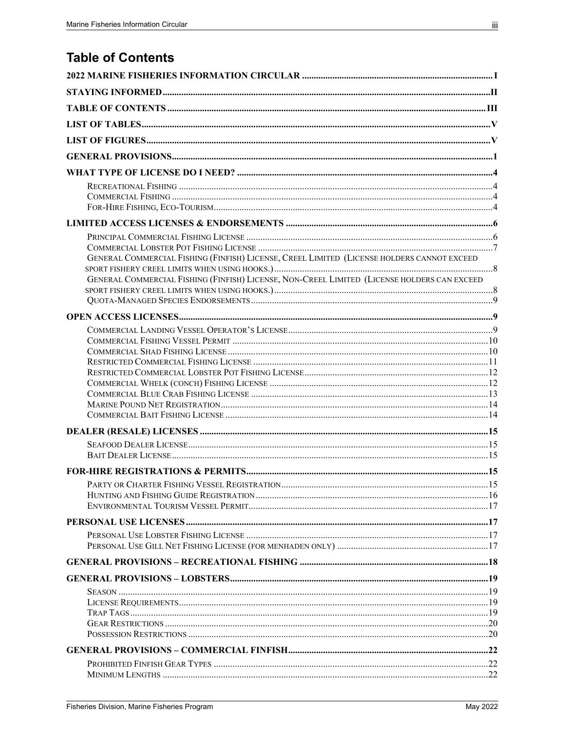<span id="page-2-0"></span>**Table of Contents** 

| GENERAL COMMERCIAL FISHING (FINFISH) LICENSE, CREEL LIMITED (LICENSE HOLDERS CANNOT EXCEED  |  |
|---------------------------------------------------------------------------------------------|--|
| GENERAL COMMERCIAL FISHING (FINFISH) LICENSE, NON-CREEL LIMITED (LICENSE HOLDERS CAN EXCEED |  |
|                                                                                             |  |
|                                                                                             |  |
|                                                                                             |  |
|                                                                                             |  |
|                                                                                             |  |
|                                                                                             |  |
|                                                                                             |  |
|                                                                                             |  |
|                                                                                             |  |
|                                                                                             |  |
|                                                                                             |  |
|                                                                                             |  |
|                                                                                             |  |
|                                                                                             |  |
|                                                                                             |  |
|                                                                                             |  |
|                                                                                             |  |
|                                                                                             |  |
|                                                                                             |  |
|                                                                                             |  |
|                                                                                             |  |
|                                                                                             |  |
|                                                                                             |  |
|                                                                                             |  |
|                                                                                             |  |
|                                                                                             |  |
|                                                                                             |  |
|                                                                                             |  |
|                                                                                             |  |
|                                                                                             |  |
|                                                                                             |  |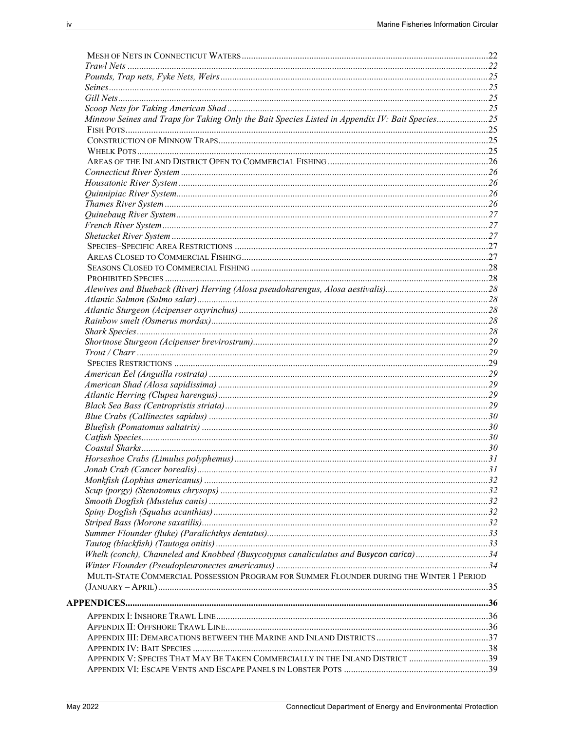| Minnow Seines and Traps for Taking Only the Bait Species Listed in Appendix IV: Bait Species25 |  |
|------------------------------------------------------------------------------------------------|--|
|                                                                                                |  |
|                                                                                                |  |
|                                                                                                |  |
|                                                                                                |  |
|                                                                                                |  |
|                                                                                                |  |
|                                                                                                |  |
|                                                                                                |  |
|                                                                                                |  |
|                                                                                                |  |
|                                                                                                |  |
|                                                                                                |  |
|                                                                                                |  |
|                                                                                                |  |
|                                                                                                |  |
|                                                                                                |  |
|                                                                                                |  |
|                                                                                                |  |
|                                                                                                |  |
|                                                                                                |  |
|                                                                                                |  |
|                                                                                                |  |
|                                                                                                |  |
|                                                                                                |  |
|                                                                                                |  |
|                                                                                                |  |
|                                                                                                |  |
|                                                                                                |  |
|                                                                                                |  |
|                                                                                                |  |
|                                                                                                |  |
|                                                                                                |  |
|                                                                                                |  |
|                                                                                                |  |
|                                                                                                |  |
|                                                                                                |  |
|                                                                                                |  |
|                                                                                                |  |
|                                                                                                |  |
|                                                                                                |  |
|                                                                                                |  |
|                                                                                                |  |
| Whelk (conch), Channeled and Knobbed (Busycotypus canaliculatus and Busycon carica)34          |  |
|                                                                                                |  |
| MULTI-STATE COMMERCIAL POSSESSION PROGRAM FOR SUMMER FLOUNDER DURING THE WINTER 1 PERIOD       |  |
|                                                                                                |  |
|                                                                                                |  |
|                                                                                                |  |
|                                                                                                |  |
|                                                                                                |  |
|                                                                                                |  |
| APPENDIX V: SPECIES THAT MAY BE TAKEN COMMERCIALLY IN THE INLAND DISTRICT 39                   |  |
|                                                                                                |  |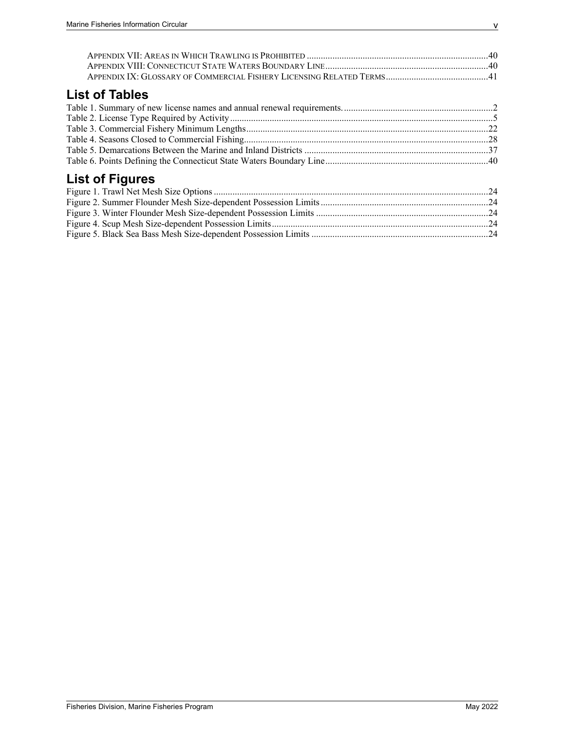# <span id="page-4-0"></span>**List of Tables**

# <span id="page-4-1"></span>**List of Figures**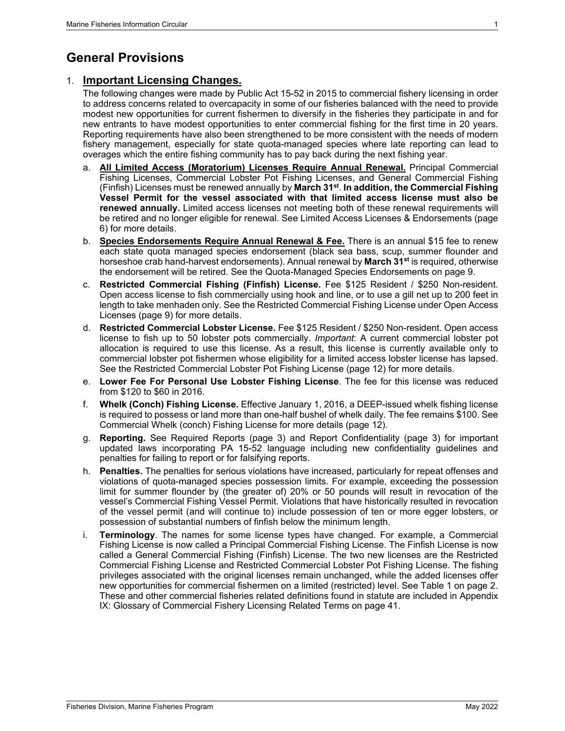# <span id="page-6-1"></span>**General Provisions**

### <span id="page-6-0"></span>1. **Important Licensing Changes.**

The following changes were made by Public Act 15-52 in 2015 to commercial fishery licensing in order to address concerns related to overcapacity in some of our fisheries balanced with the need to provide modest new opportunities for current fishermen to diversify in the fisheries they participate in and for new entrants to have modest opportunities to enter commercial fishing for the first time in 20 years. Reporting requirements have also been strengthened to be more consistent with the needs of modern fishery management, especially for state quota-managed species where late reporting can lead to overages which the entire fishing community has to pay back during the next fishing year.

- a. **All Limited Access (Moratorium) Licenses Require Annual Renewal.** Principal Commercial Fishing Licenses, Commercial Lobster Pot Fishing Licenses, and General Commercial Fishing (Finfish) Licenses must be renewed annually by **March 31st**. **In addition, the Commercial Fishing Vessel Permit for the vessel associated with that limited access license must also be renewed annually.** Limited access licenses not meeting both of these renewal requirements will be retired and no longer eligible for renewal. See [Limited Access Licenses & Endorsements](#page-11-0) (page [6\)](#page-11-0) for more details.
- b. **Species Endorsements Require Annual Renewal & Fee.** There is an annual \$15 fee to renew each state quota managed species endorsement (black sea bass, scup, summer flounder and horseshoe crab hand-harvest endorsements). Annual renewal by **March 31st** is required, otherwise the endorsement will be retired. See the [Quota-Managed Species Endorsements](#page-14-0) on page [9.](#page-14-0)
- c. **Restricted Commercial Fishing (Finfish) License.** Fee \$125 Resident / \$250 Non-resident. Open access license to fish commercially using hook and line, or to use a gill net up to 200 feet in length to take menhaden only. See the [Restricted Commercial Fishing](#page-16-0) License under [Open Access](#page-14-1)  [Licenses](#page-14-1) (page [9\)](#page-14-1) for more details.
- d. **Restricted Commercial Lobster License.** Fee \$125 Resident / \$250 Non-resident. Open access license to fish up to 50 lobster pots commercially. *Important*: A current commercial lobster pot allocation is required to use this license. As a result, this license is currently available only to commercial lobster pot fishermen whose eligibility for a limited access lobster license has lapsed. See the [Restricted Commercial Lobster Pot Fishing License](#page-16-1) (page [12\)](#page-16-1) for more details.
- e. **Lower Fee For Personal Use Lobster Fishing License**. The fee for this license was reduced from \$120 to \$60 in 2016.
- f. **Whelk (Conch) Fishing License.** Effective January 1, 2016, a DEEP-issued whelk fishing license is required to possess or land more than one-half bushel of whelk daily. The fee remains \$100. See [Commercial Whelk \(conch\) Fishing License](#page-17-0) for more details (page [12\)](#page-17-0).
- g. **Reporting.** See Required Reports (page [3\)](#page-8-0) and Report Confidentiality (page [3\)](#page-8-1) for important updated laws incorporating PA 15-52 language including new confidentiality guidelines and penalties for failing to report or for falsifying reports.
- h. **Penalties.** The penalties for serious violations have increased, particularly for repeat offenses and violations of quota-managed species possession limits. For example, exceeding the possession limit for summer flounder by (the greater of) 20% or 50 pounds will result in revocation of the vessel's Commercial Fishing Vessel Permit. Violations that have historically resulted in revocation of the vessel permit (and will continue to) include possession of ten or more egger lobsters, or possession of substantial numbers of finfish below the minimum length.
- i. **Terminology**. The names for some license types have changed. For example, a Commercial Fishing License is now called a Principal Commercial Fishing License. The Finfish License is now called a General Commercial Fishing (Finfish) License. The two new licenses are the Restricted Commercial Fishing License and Restricted Commercial Lobster Pot Fishing License. The fishing privileges associated with the original licenses remain unchanged, while the added licenses offer new opportunities for commercial fishermen on a limited (restricted) level. See [Table 1](#page-7-0) on page [2.](#page-7-0) These and other commercial fisheries related definitions found in statute are included in [Appendix](#page-46-0)  [IX: Glossary of Commercial Fishery Licensing Related Terms](#page-46-0) on page [41.](#page-46-0)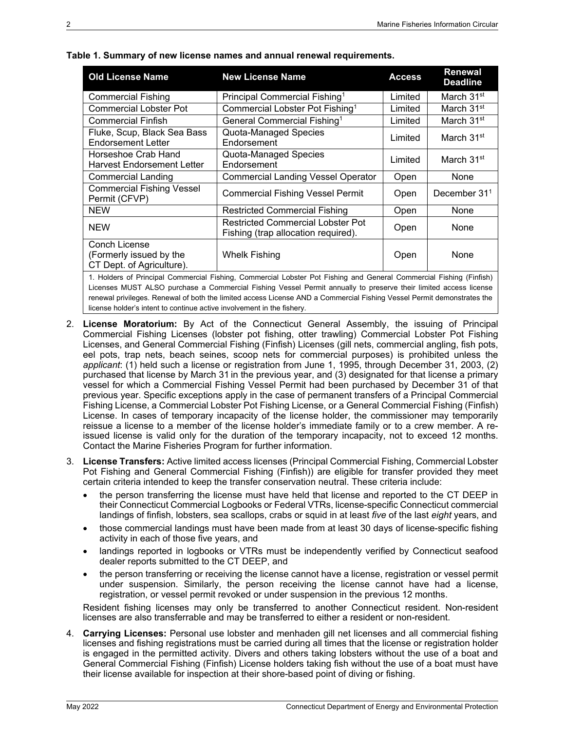| <b>Old License Name</b>                                               | <b>New License Name</b>                                                                                            | <b>Access</b> | <b>Renewal</b><br><b>Deadline</b> |  |
|-----------------------------------------------------------------------|--------------------------------------------------------------------------------------------------------------------|---------------|-----------------------------------|--|
| <b>Commercial Fishing</b>                                             | Principal Commercial Fishing <sup>1</sup>                                                                          | Limited       | March 31 <sup>st</sup>            |  |
| <b>Commercial Lobster Pot</b>                                         | Commercial Lobster Pot Fishing <sup>1</sup>                                                                        | Limited       | March 31 <sup>st</sup>            |  |
| <b>Commercial Finfish</b>                                             | General Commercial Fishing <sup>1</sup>                                                                            | Limited       | March 31 <sup>st</sup>            |  |
| Fluke, Scup, Black Sea Bass<br><b>Endorsement Letter</b>              | Quota-Managed Species<br>Endorsement                                                                               | Limited       | March 31 <sup>st</sup>            |  |
| Horseshoe Crab Hand<br>Harvest Endorsement Letter                     | Quota-Managed Species<br>Endorsement                                                                               | Limited       | March 31 <sup>st</sup>            |  |
| <b>Commercial Landing</b>                                             | <b>Commercial Landing Vessel Operator</b>                                                                          | Open          | None                              |  |
| <b>Commercial Fishing Vessel</b><br>Permit (CFVP)                     | <b>Commercial Fishing Vessel Permit</b>                                                                            | Open          | December $311$                    |  |
| <b>NEW</b>                                                            | <b>Restricted Commercial Fishing</b>                                                                               | Open          | None                              |  |
| <b>NEW</b>                                                            | <b>Restricted Commercial Lobster Pot</b><br>Fishing (trap allocation required).                                    | Open          | None                              |  |
| Conch License<br>(Formerly issued by the<br>CT Dept. of Agriculture). | <b>Whelk Fishing</b>                                                                                               | Open          | None                              |  |
|                                                                       | 1 Holders of Principal Commercial Eishing, Commercial Lobeter Pot Eishing and Coneral Commercial Eishing (Einfich) |               |                                   |  |

#### <span id="page-7-0"></span>**Table 1. Summary of new license names and annual renewal requirements.**

1. Holders of Principal Commercial Fishing, Commercial Lobster Pot Fishing and General Commercial Fishing (Finfish) Licenses MUST ALSO purchase a Commercial Fishing Vessel Permit annually to preserve their limited access license renewal privileges. Renewal of both the limited access License AND a Commercial Fishing Vessel Permit demonstrates the license holder's intent to continue active involvement in the fishery.

- 2. **License Moratorium:** By Act of the Connecticut General Assembly, the issuing of Principal Commercial Fishing Licenses (lobster pot fishing, otter trawling) Commercial Lobster Pot Fishing Licenses, and General Commercial Fishing (Finfish) Licenses (gill nets, commercial angling, fish pots, eel pots, trap nets, beach seines, scoop nets for commercial purposes) is prohibited unless the *applicant*: (1) held such a license or registration from June 1, 1995, through December 31, 2003, (2) purchased that license by March 31 in the previous year, and (3) designated for that license a primary vessel for which a Commercial Fishing Vessel Permit had been purchased by December 31 of that previous year. Specific exceptions apply in the case of permanent transfers of a Principal Commercial Fishing License, a Commercial Lobster Pot Fishing License, or a General Commercial Fishing (Finfish) License. In cases of temporary incapacity of the license holder, the commissioner may temporarily reissue a license to a member of the license holder's immediate family or to a crew member. A reissued license is valid only for the duration of the temporary incapacity, not to exceed 12 months. Contact the Marine Fisheries Program for further information.
- 3. **License Transfers:** Active limited access licenses (Principal Commercial Fishing, Commercial Lobster Pot Fishing and General Commercial Fishing (Finfish)) are eligible for transfer provided they meet certain criteria intended to keep the transfer conservation neutral. These criteria include:
	- the person transferring the license must have held that license and reported to the CT DEEP in their Connecticut Commercial Logbooks or Federal VTRs, license-specific Connecticut commercial landings of finfish, lobsters, sea scallops, crabs or squid in at least *five* of the last *eight* years, and
	- those commercial landings must have been made from at least 30 days of license-specific fishing activity in each of those five years, and
	- landings reported in logbooks or VTRs must be independently verified by Connecticut seafood dealer reports submitted to the CT DEEP, and
	- the person transferring or receiving the license cannot have a license, registration or vessel permit under suspension. Similarly, the person receiving the license cannot have had a license, registration, or vessel permit revoked or under suspension in the previous 12 months.

Resident fishing licenses may only be transferred to another Connecticut resident. Non-resident licenses are also transferrable and may be transferred to either a resident or non-resident.

4. **Carrying Licenses:** Personal use lobster and menhaden gill net licenses and all commercial fishing licenses and fishing registrations must be carried during all times that the license or registration holder is engaged in the permitted activity. Divers and others taking lobsters without the use of a boat and General Commercial Fishing (Finfish) License holders taking fish without the use of a boat must have their license available for inspection at their shore-based point of diving or fishing.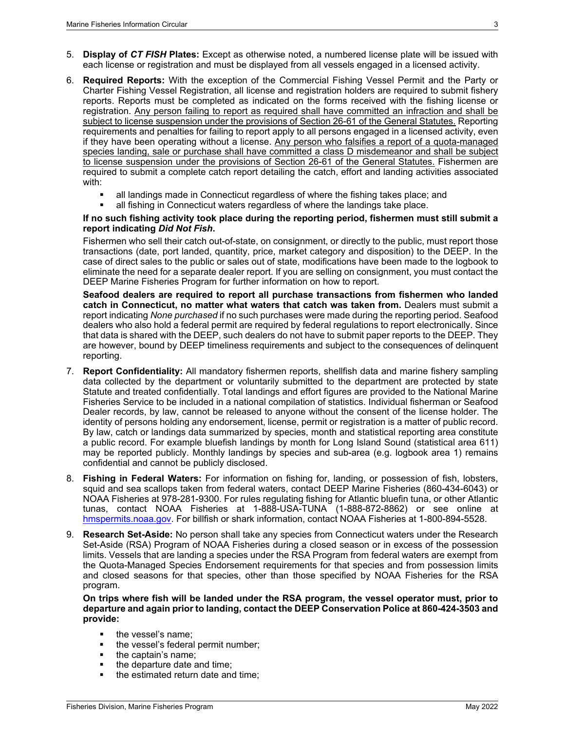- 5. **Display of** *CT FISH* **Plates:** Except as otherwise noted, a numbered license plate will be issued with each license or registration and must be displayed from all vessels engaged in a licensed activity.
- <span id="page-8-0"></span>6. **Required Reports:** With the exception of the Commercial Fishing Vessel Permit and the Party or Charter Fishing Vessel Registration, all license and registration holders are required to submit fishery reports. Reports must be completed as indicated on the forms received with the fishing license or registration. Any person failing to report as required shall have committed an infraction and shall be subject to license suspension under the provisions of Section 26-61 of the General Statutes. Reporting requirements and penalties for failing to report apply to all persons engaged in a licensed activity, even if they have been operating without a license. Any person who falsifies a report of a quota-managed species landing, sale or purchase shall have committed a class D misdemeanor and shall be subject to license suspension under the provisions of Section 26-61 of the General Statutes. Fishermen are required to submit a complete catch report detailing the catch, effort and landing activities associated with:
	- all landings made in Connecticut regardless of where the fishing takes place; and
	- all fishing in Connecticut waters regardless of where the landings take place.

#### **If no such fishing activity took place during the reporting period, fishermen must still submit a report indicating** *Did Not Fish***.**

Fishermen who sell their catch out-of-state, on consignment, or directly to the public, must report those transactions (date, port landed, quantity, price, market category and disposition) to the DEEP. In the case of direct sales to the public or sales out of state, modifications have been made to the logbook to eliminate the need for a separate dealer report. If you are selling on consignment, you must contact the DEEP Marine Fisheries Program for further information on how to report.

**Seafood dealers are required to report all purchase transactions from fishermen who landed catch in Connecticut, no matter what waters that catch was taken from.** Dealers must submit a report indicating *None purchased* if no such purchases were made during the reporting period. Seafood dealers who also hold a federal permit are required by federal regulations to report electronically. Since that data is shared with the DEEP, such dealers do not have to submit paper reports to the DEEP. They are however, bound by DEEP timeliness requirements and subject to the consequences of delinquent reporting.

- <span id="page-8-1"></span>7. **Report Confidentiality:** All mandatory fishermen reports, shellfish data and marine fishery sampling data collected by the department or voluntarily submitted to the department are protected by state Statute and treated confidentially. Total landings and effort figures are provided to the National Marine Fisheries Service to be included in a national compilation of statistics. Individual fisherman or Seafood Dealer records, by law, cannot be released to anyone without the consent of the license holder. The identity of persons holding any endorsement, license, permit or registration is a matter of public record. By law, catch or landings data summarized by species, month and statistical reporting area constitute a public record. For example bluefish landings by month for Long Island Sound (statistical area 611) may be reported publicly. Monthly landings by species and sub-area (e.g. logbook area 1) remains confidential and cannot be publicly disclosed.
- 8. **Fishing in Federal Waters:** For information on fishing for, landing, or possession of fish, lobsters, squid and sea scallops taken from federal waters, contact DEEP Marine Fisheries (860-434-6043) or NOAA Fisheries at 978-281-9300. For rules regulating fishing for Atlantic bluefin tuna, or other Atlantic tunas, contact NOAA Fisheries at 1-888-USA-TUNA (1-888-872-8862) or see online at [hmspermits.noaa.gov.](http://hmspermits.noaa.gov/) For billfish or shark information, contact NOAA Fisheries at 1-800-894-5528.
- 9. **Research Set-Aside:** No person shall take any species from Connecticut waters under the Research Set-Aside (RSA) Program of NOAA Fisheries during a closed season or in excess of the possession limits. Vessels that are landing a species under the RSA Program from federal waters are exempt from the Quota-Managed Species Endorsement requirements for that species and from possession limits and closed seasons for that species, other than those specified by NOAA Fisheries for the RSA program.

**On trips where fish will be landed under the RSA program, the vessel operator must, prior to departure and again prior to landing, contact the DEEP Conservation Police at 860-424-3503 and provide:**

- the vessel's name;
- the vessel's federal permit number;
- the captain's name;
- $\blacksquare$  the departure date and time;
- the estimated return date and time;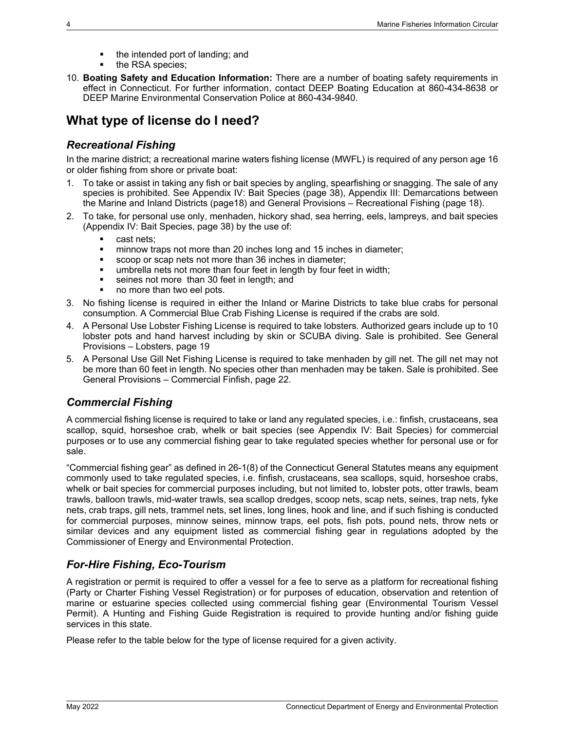- the intended port of landing; and
- $\blacksquare$  the RSA species;
- 10. **Boating Safety and Education Information:** There are a number of boating safety requirements in effect in Connecticut. For further information, contact DEEP Boating Education at 860-434-8638 or DEEP Marine Environmental Conservation Police at 860-434-9840.

# <span id="page-9-0"></span>**What type of license do I need?**

### <span id="page-9-1"></span>*Recreational Fishing*

In the marine district; a recreational marine waters fishing license (MWFL) is required of any person age 16 or older fishing from shore or private boat:

- 1. To take or assist in taking any fish or bait species by angling, spearfishing or snagging. The sale of any species is prohibited. See [Appendix IV: Bait Species](#page-43-0) (page [38\)](#page-43-0), [Appendix III: Demarcations between](#page-42-0)  [the Marine and Inland Districts](#page-42-0) (pag[e18\)](#page-23-0) and [General Provisions –](#page-23-0) Recreational Fishing (page [18\)](#page-23-0).
- 2. To take, for personal use only, menhaden, hickory shad, sea herring, eels, lampreys, and bait species [\(Appendix IV: Bait Species,](#page-43-0) page [38\)](#page-43-0) by the use of:
	- cast nets;
	- **numinous** traps not more than 20 inches long and 15 inches in diameter;
	- scoop or scap nets not more than 36 inches in diameter;
	- **EXED** umbrella nets not more than four feet in length by four feet in width;
	- seines not more than 30 feet in length; and
	- no more than two eel pots.
- 3. No fishing license is required in either the Inland or Marine Districts to take blue crabs for personal consumption. A Commercial Blue Crab Fishing License is required if the crabs are sold.
- 4. A Personal Use Lobster Fishing License is required to take lobsters. Authorized gears include up to 10 lobster pots and hand harvest including by skin or SCUBA diving. Sale is prohibited. See [General](#page-24-0)  [Provisions –](#page-24-0) Lobsters, page [19](#page-24-0)
- 5. A Personal Use Gill Net Fishing License is required to take menhaden by gill net. The gill net may not be more than 60 feet in length. No species other than menhaden may be taken. Sale is prohibited. See [General Provisions –](#page-27-0) Commercial Finfish, page [22.](#page-27-0)

### <span id="page-9-2"></span>*Commercial Fishing*

A commercial fishing license is required to take or land any regulated species, i.e.: finfish, crustaceans, sea scallop, squid, horseshoe crab, whelk or bait species (see [Appendix IV: Bait Species\)](#page-43-0) for commercial purposes or to use any commercial fishing gear to take regulated species whether for personal use or for sale.

"Commercial fishing gear" as defined in 26-1(8) of the Connecticut General Statutes means any equipment commonly used to take regulated species, i.e. finfish, crustaceans, sea scallops, squid, horseshoe crabs, whelk or bait species for commercial purposes including, but not limited to, lobster pots, otter trawls, beam trawls, balloon trawls, mid-water trawls, sea scallop dredges, scoop nets, scap nets, seines, trap nets, fyke nets, crab traps, gill nets, trammel nets, set lines, long lines, hook and line, and if such fishing is conducted for commercial purposes, minnow seines, minnow traps, eel pots, fish pots, pound nets, throw nets or similar devices and any equipment listed as commercial fishing gear in regulations adopted by the Commissioner of Energy and Environmental Protection.

### <span id="page-9-3"></span>*For-Hire Fishing, Eco-Tourism*

A registration or permit is required to offer a vessel for a fee to serve as a platform for recreational fishing (Party or Charter Fishing Vessel Registration) or for purposes of education, observation and retention of marine or estuarine species collected using commercial fishing gear (Environmental Tourism Vessel Permit). A Hunting and Fishing Guide Registration is required to provide hunting and/or fishing guide services in this state.

Please refer to the table below for the type of license required for a given activity.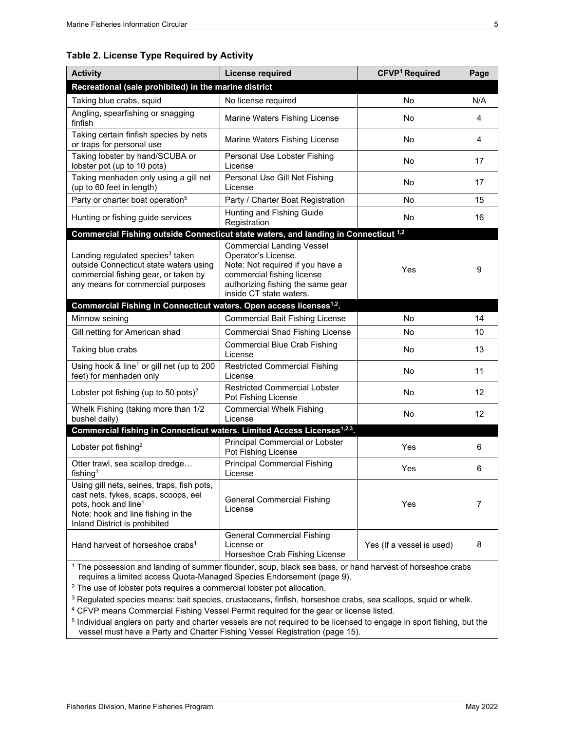#### **Table 2. License Type Required by Activity**

| <b>Activity</b>                                                                                                                                                                                | <b>License required</b>                                                                                                                                                                   | CFVP <sup>1</sup> Required | Page |  |  |  |  |
|------------------------------------------------------------------------------------------------------------------------------------------------------------------------------------------------|-------------------------------------------------------------------------------------------------------------------------------------------------------------------------------------------|----------------------------|------|--|--|--|--|
| Recreational (sale prohibited) in the marine district                                                                                                                                          |                                                                                                                                                                                           |                            |      |  |  |  |  |
| Taking blue crabs, squid                                                                                                                                                                       | No license required                                                                                                                                                                       | No                         | N/A  |  |  |  |  |
| Angling, spearfishing or snagging<br>finfish                                                                                                                                                   | Marine Waters Fishing License                                                                                                                                                             | <b>No</b>                  | 4    |  |  |  |  |
| Taking certain finfish species by nets<br>or traps for personal use                                                                                                                            | Marine Waters Fishing License                                                                                                                                                             | No                         | 4    |  |  |  |  |
| Taking lobster by hand/SCUBA or<br>lobster pot (up to 10 pots)                                                                                                                                 | Personal Use Lobster Fishing<br>License                                                                                                                                                   | No                         | 17   |  |  |  |  |
| Taking menhaden only using a gill net<br>(up to 60 feet in length)                                                                                                                             | Personal Use Gill Net Fishing<br>License                                                                                                                                                  | <b>No</b>                  | 17   |  |  |  |  |
| Party or charter boat operation <sup>5</sup>                                                                                                                                                   | Party / Charter Boat Registration                                                                                                                                                         | No                         | 15   |  |  |  |  |
| Hunting or fishing guide services                                                                                                                                                              | Hunting and Fishing Guide<br>Registration                                                                                                                                                 | No                         | 16   |  |  |  |  |
| Commercial Fishing outside Connecticut state waters, and landing in Connecticut <sup>1,2</sup>                                                                                                 |                                                                                                                                                                                           |                            |      |  |  |  |  |
| Landing regulated species <sup>3</sup> taken<br>outside Connecticut state waters using<br>commercial fishing gear, or taken by<br>any means for commercial purposes                            | <b>Commercial Landing Vessel</b><br>Operator's License.<br>Note: Not required if you have a<br>commercial fishing license<br>authorizing fishing the same gear<br>inside CT state waters. | Yes                        | 9    |  |  |  |  |
| Commercial Fishing in Connecticut waters. Open access licenses <sup>1,2</sup> .                                                                                                                |                                                                                                                                                                                           |                            |      |  |  |  |  |
| Minnow seining                                                                                                                                                                                 | <b>Commercial Bait Fishing License</b>                                                                                                                                                    | No                         | 14   |  |  |  |  |
| Gill netting for American shad                                                                                                                                                                 | <b>Commercial Shad Fishing License</b>                                                                                                                                                    | No                         | 10   |  |  |  |  |
| Taking blue crabs                                                                                                                                                                              | <b>Commercial Blue Crab Fishing</b><br>License                                                                                                                                            | No                         | 13   |  |  |  |  |
| Using hook $&$ line <sup>1</sup> or gill net (up to 200<br>feet) for menhaden only                                                                                                             | <b>Restricted Commercial Fishing</b><br>License                                                                                                                                           | No                         | 11   |  |  |  |  |
| Lobster pot fishing (up to 50 pots) <sup>2</sup>                                                                                                                                               | <b>Restricted Commercial Lobster</b><br>Pot Fishing License                                                                                                                               | No                         | 12   |  |  |  |  |
| Whelk Fishing (taking more than 1/2<br>bushel daily)                                                                                                                                           | <b>Commercial Whelk Fishing</b><br>License                                                                                                                                                | No                         | 12   |  |  |  |  |
| Commercial fishing in Connecticut waters. Limited Access Licenses <sup>1,2,3</sup> .                                                                                                           |                                                                                                                                                                                           |                            |      |  |  |  |  |
| Lobster pot fishing <sup>2</sup>                                                                                                                                                               | Principal Commercial or Lobster<br>Pot Fishing License                                                                                                                                    | Yes                        | 6    |  |  |  |  |
| Otter trawl, sea scallop dredge<br>fishing <sup>1</sup>                                                                                                                                        | <b>Principal Commercial Fishing</b><br>License                                                                                                                                            | Yes                        | 6    |  |  |  |  |
| Using gill nets, seines, traps, fish pots,<br>cast nets, fykes, scaps, scoops, eel<br>pots, hook and line <sup>1.</sup><br>Note: hook and line fishing in the<br>Inland District is prohibited | General Commercial Fishing<br>License                                                                                                                                                     | Yes                        | 7    |  |  |  |  |
| Hand harvest of horseshoe crabs <sup>1</sup>                                                                                                                                                   | <b>General Commercial Fishing</b><br>License or<br>Horseshoe Crab Fishing License                                                                                                         | Yes (If a vessel is used)  | 8    |  |  |  |  |
| <sup>1</sup> The possession and landing of summer flounder, soun, black sea base, or hand harvest of borseshoe crabs                                                                           |                                                                                                                                                                                           |                            |      |  |  |  |  |

 $^{\rm 1}$  The possession and landing of summer flounder, scup, black sea bass, or hand harvest of horseshoe crabs requires a limited access Quota-Managed Species Endorsement (pag[e 9\)](#page-14-3).

<sup>2</sup> The use of lobster pots requires a commercial lobster pot allocation.

<sup>3</sup> Regulated species means: bait species, crustaceans, finfish, horseshoe crabs, sea scallops, squid or whelk.

<sup>4</sup> CFVP means Commercial Fishing Vessel Permit required for the gear or license listed.

<sup>5</sup> Individual anglers on party and charter vessels are not required to be licensed to engage in sport fishing, but the vessel must have a Party and Charter Fishing Vessel Registration (page [15\)](#page-20-4).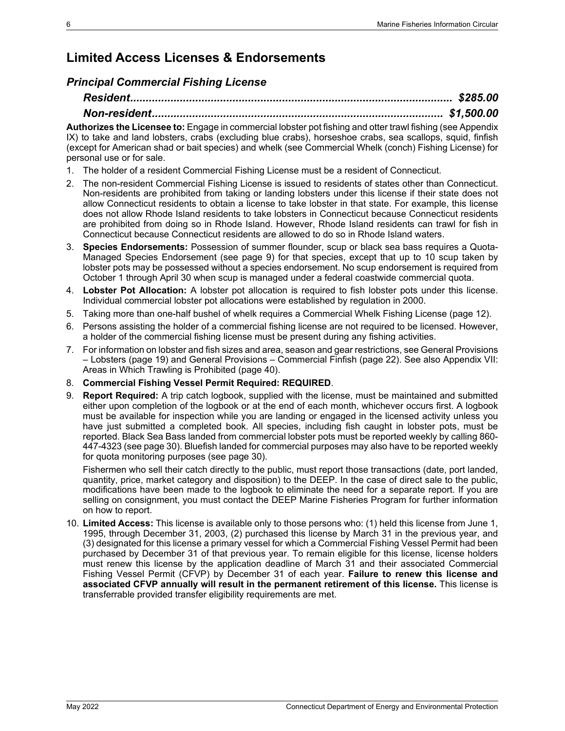# <span id="page-11-0"></span>**Limited Access Licenses & Endorsements**

### <span id="page-11-1"></span>*Principal Commercial Fishing License*

**Authorizes the Licensee to:** Engage in commercial lobster pot fishing and otter trawl fishing (see Appendix IX) to take and land lobsters, crabs (excluding blue crabs), horseshoe crabs, sea scallops, squid, finfish (except for American shad or bait species) and whelk (se[e Commercial Whelk \(conch\) Fishing License\)](#page-17-0) for personal use or for sale.

- 1. The holder of a resident Commercial Fishing License must be a resident of Connecticut.
- 2. The non-resident Commercial Fishing License is issued to residents of states other than Connecticut. Non-residents are prohibited from taking or landing lobsters under this license if their state does not allow Connecticut residents to obtain a license to take lobster in that state. For example, this license does not allow Rhode Island residents to take lobsters in Connecticut because Connecticut residents are prohibited from doing so in Rhode Island. However, Rhode Island residents can trawl for fish in Connecticut because Connecticut residents are allowed to do so in Rhode Island waters.
- 3. **Species Endorsements:** Possession of summer flounder, scup or black sea bass requires a Quota-Managed Species Endorsement (see page [9\)](#page-14-0) for that species, except that up to 10 scup taken by lobster pots may be possessed without a species endorsement. No scup endorsement is required from October 1 through April 30 when scup is managed under a federal coastwide commercial quota.
- 4. **Lobster Pot Allocation:** A lobster pot allocation is required to fish lobster pots under this license. Individual commercial lobster pot allocations were established by regulation in 2000.
- 5. Taking more than one-half bushel of whelk requires a Commercial Whelk Fishing License (page [12\)](#page-17-0).
- 6. Persons assisting the holder of a commercial fishing license are not required to be licensed. However, a holder of the commercial fishing license must be present during any fishing activities.
- 7. For information on lobster and fish sizes and area, season and gear restrictions, se[e General Provisions](#page-24-0)  – [Lobsters](#page-24-0) (page [19\)](#page-24-0) and [General Provisions –](#page-27-0) Commercial Finfish (page [22\)](#page-26-0). See also [Appendix VII:](#page-45-0)  [Areas in Which Trawling is Prohibited](#page-45-0) (page [40\)](#page-45-0).
- 8. **Commercial Fishing Vessel Permit Required: REQUIRED**.
- 9. **Report Required:** A trip catch logbook, supplied with the license, must be maintained and submitted either upon completion of the logbook or at the end of each month, whichever occurs first. A logbook must be available for inspection while you are landing or engaged in the licensed activity unless you have just submitted a completed book. All species, including fish caught in lobster pots, must be reported. Black Sea Bass landed from commercial lobster pots must be reported weekly by calling 860- 447-4323 (see page 30). Bluefish landed for commercial purposes may also have to be reported weekly for quota monitoring purposes (see page [30\)](#page-35-4).

Fishermen who sell their catch directly to the public, must report those transactions (date, port landed, quantity, price, market category and disposition) to the DEEP. In the case of direct sale to the public, modifications have been made to the logbook to eliminate the need for a separate report. If you are selling on consignment, you must contact the DEEP Marine Fisheries Program for further information on how to report.

<span id="page-11-3"></span><span id="page-11-2"></span>10. **Limited Access:** This license is available only to those persons who: (1) held this license from June 1, 1995, through December 31, 2003, (2) purchased this license by March 31 in the previous year, and (3) designated for this license a primary vessel for which a Commercial Fishing Vessel Permit had been purchased by December 31 of that previous year. To remain eligible for this license, license holders must renew this license by the application deadline of March 31 and their associated Commercial Fishing Vessel Permit (CFVP) by December 31 of each year. **Failure to renew this license and associated CFVP annually will result in the permanent retirement of this license.** This license is transferrable provided transfer eligibility requirements are met.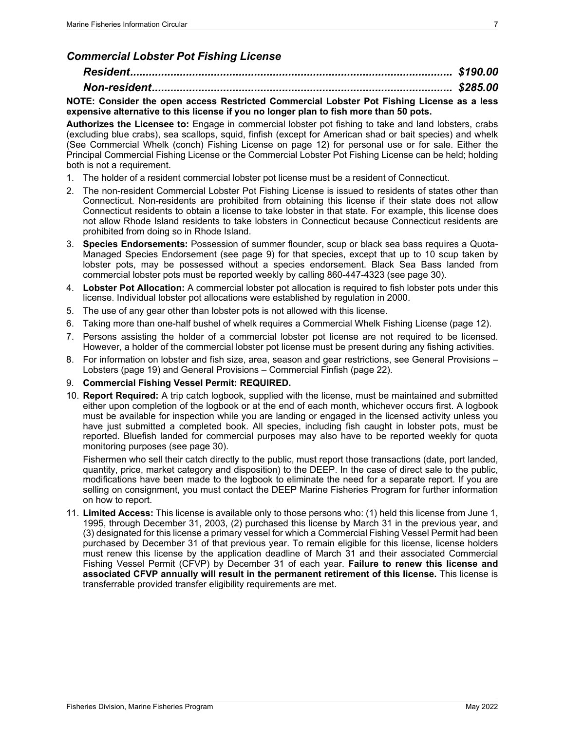### *Commercial Lobster Pot Fishing License*

### *Resident........................................................................................................ \$190.00*

### *Non-resident................................................................................................. \$285.00*

#### **NOTE: Consider the open access Restricted Commercial Lobster Pot Fishing License as a less expensive alternative to this license if you no longer plan to fish more than 50 pots.**

**Authorizes the Licensee to:** Engage in commercial lobster pot fishing to take and land lobsters, crabs (excluding blue crabs), sea scallops, squid, finfish (except for American shad or bait species) and whelk (See [Commercial Whelk \(conch\) Fishing License](#page-17-0) on page [12\)](#page-17-0) for personal use or for sale. Either the Principal Commercial Fishing License or the Commercial Lobster Pot Fishing License can be held; holding both is not a requirement.

- 1. The holder of a resident commercial lobster pot license must be a resident of Connecticut.
- 2. The non-resident Commercial Lobster Pot Fishing License is issued to residents of states other than Connecticut. Non-residents are prohibited from obtaining this license if their state does not allow Connecticut residents to obtain a license to take lobster in that state. For example, this license does not allow Rhode Island residents to take lobsters in Connecticut because Connecticut residents are prohibited from doing so in Rhode Island.
- 3. **Species Endorsements:** Possession of summer flounder, scup or black sea bass requires a Quota-Managed Species Endorsement (see page [9\)](#page-14-0) for that species, except that up to 10 scup taken by lobster pots, may be possessed without a species endorsement. Black Sea Bass landed from commercial lobster pots must be reported weekly by calling 860-447-4323 (see page 30).
- 4. **Lobster Pot Allocation:** A commercial lobster pot allocation is required to fish lobster pots under this license. Individual lobster pot allocations were established by regulation in 2000.
- 5. The use of any gear other than lobster pots is not allowed with this license.
- 6. Taking more than one-half bushel of whelk requires a Commercial Whelk Fishing License (page [12\)](#page-17-0).
- 7. Persons assisting the holder of a commercial lobster pot license are not required to be licensed. However, a holder of the commercial lobster pot license must be present during any fishing activities.
- 8. For information on lobster and fish size, area, season and gear restrictions, see [General Provisions –](#page-24-0) [Lobsters](#page-24-0) (page [19\)](#page-24-0) and [General Provisions –](#page-27-0) Commercial Finfish (page [22\)](#page-26-0).
- 9. **Commercial Fishing Vessel Permit: REQUIRED.**
- 10. **Report Required:** A trip catch logbook, supplied with the license, must be maintained and submitted either upon completion of the logbook or at the end of each month, whichever occurs first. A logbook must be available for inspection while you are landing or engaged in the licensed activity unless you have just submitted a completed book. All species, including fish caught in lobster pots, must be reported. Bluefish landed for commercial purposes may also have to be reported weekly for quota monitoring purposes (see page [30\)](#page-35-4).

Fishermen who sell their catch directly to the public, must report those transactions (date, port landed, quantity, price, market category and disposition) to the DEEP. In the case of direct sale to the public, modifications have been made to the logbook to eliminate the need for a separate report. If you are selling on consignment, you must contact the DEEP Marine Fisheries Program for further information on how to report.

<span id="page-12-1"></span><span id="page-12-0"></span>11. **Limited Access:** This license is available only to those persons who: (1) held this license from June 1, 1995, through December 31, 2003, (2) purchased this license by March 31 in the previous year, and (3) designated for this license a primary vessel for which a Commercial Fishing Vessel Permit had been purchased by December 31 of that previous year. To remain eligible for this license, license holders must renew this license by the application deadline of March 31 and their associated Commercial Fishing Vessel Permit (CFVP) by December 31 of each year. **Failure to renew this license and associated CFVP annually will result in the permanent retirement of this license.** This license is transferrable provided transfer eligibility requirements are met.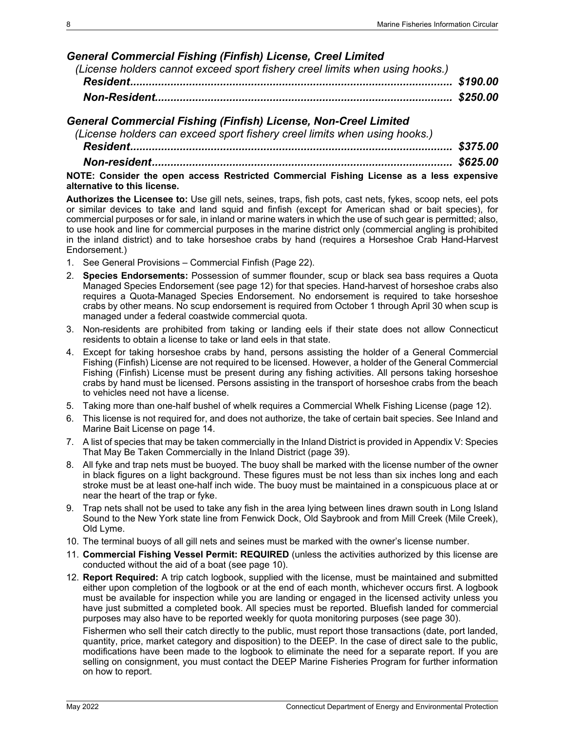### *General Commercial Fishing (Finfish) License, Creel Limited*

| (License holders cannot exceed sport fishery creel limits when using hooks.) |  |
|------------------------------------------------------------------------------|--|
|                                                                              |  |
|                                                                              |  |

### <span id="page-13-0"></span>*General Commercial Fishing (Finfish) License, Non-Creel Limited*

*(License holders can exceed sport fishery creel limits when using hooks.)*

*Resident........................................................................................................ \$375.00*

*Non-resident................................................................................................. \$625.00*

**NOTE: Consider the open access Restricted Commercial Fishing License as a less expensive alternative to this license.** 

**Authorizes the Licensee to:** Use gill nets, seines, traps, fish pots, cast nets, fykes, scoop nets, eel pots or similar devices to take and land squid and finfish (except for American shad or bait species), for commercial purposes or for sale, in inland or marine waters in which the use of such gear is permitted; also, to use hook and line for commercial purposes in the marine district only (commercial angling is prohibited in the inland district) and to take horseshoe crabs by hand (requires a Horseshoe Crab Hand-Harvest Endorsement.)

- 1. See [General Provisions –](#page-27-0) Commercial Finfish (Page [22\)](#page-26-0).
- 2. **Species Endorsements:** Possession of summer flounder, scup or black sea bass requires a Quota Managed Species Endorsement (see page [12\)](#page-17-0) for that species. Hand-harvest of horseshoe crabs also requires a Quota-Managed Species Endorsement. No endorsement is required to take horseshoe crabs by other means. No scup endorsement is required from October 1 through April 30 when scup is managed under a federal coastwide commercial quota.
- 3. Non-residents are prohibited from taking or landing eels if their state does not allow Connecticut residents to obtain a license to take or land eels in that state.
- 4. Except for taking horseshoe crabs by hand, persons assisting the holder of a General Commercial Fishing (Finfish) License are not required to be licensed. However, a holder of the General Commercial Fishing (Finfish) License must be present during any fishing activities. All persons taking horseshoe crabs by hand must be licensed. Persons assisting in the transport of horseshoe crabs from the beach to vehicles need not have a license.
- 5. Taking more than one-half bushel of whelk requires a Commercial Whelk Fishing License (page [12\)](#page-17-0).
- 6. This license is not required for, and does not authorize, the take of certain bait species. See Inland and Marine Bait License on page [14.](#page-19-1)
- 7. A list of species that may be taken commercially in the Inland District is provided in [Appendix V: Species](#page-44-0)  [That May Be Taken Commercially in the Inland District](#page-44-0) (page [39\)](#page-44-0).
- 8. All fyke and trap nets must be buoyed. The buoy shall be marked with the license number of the owner in black figures on a light background. These figures must be not less than six inches long and each stroke must be at least one-half inch wide. The buoy must be maintained in a conspicuous place at or near the heart of the trap or fyke.
- 9. Trap nets shall not be used to take any fish in the area lying between lines drawn south in Long Island Sound to the New York state line from Fenwick Dock, Old Saybrook and from Mill Creek (Mile Creek), Old Lyme.
- 10. The terminal buoys of all gill nets and seines must be marked with the owner's license number.
- 11. **Commercial Fishing Vessel Permit: REQUIRED** (unless the activities authorized by this license are conducted without the aid of a boat (see page [10\)](#page-15-0).
- 12. **Report Required:** A trip catch logbook, supplied with the license, must be maintained and submitted either upon completion of the logbook or at the end of each month, whichever occurs first. A logbook must be available for inspection while you are landing or engaged in the licensed activity unless you have just submitted a completed book. All species must be reported. Bluefish landed for commercial purposes may also have to be reported weekly for quota monitoring purposes (see page [30\)](#page-35-4).

Fishermen who sell their catch directly to the public, must report those transactions (date, port landed, quantity, price, market category and disposition) to the DEEP. In the case of direct sale to the public, modifications have been made to the logbook to eliminate the need for a separate report. If you are selling on consignment, you must contact the DEEP Marine Fisheries Program for further information on how to report.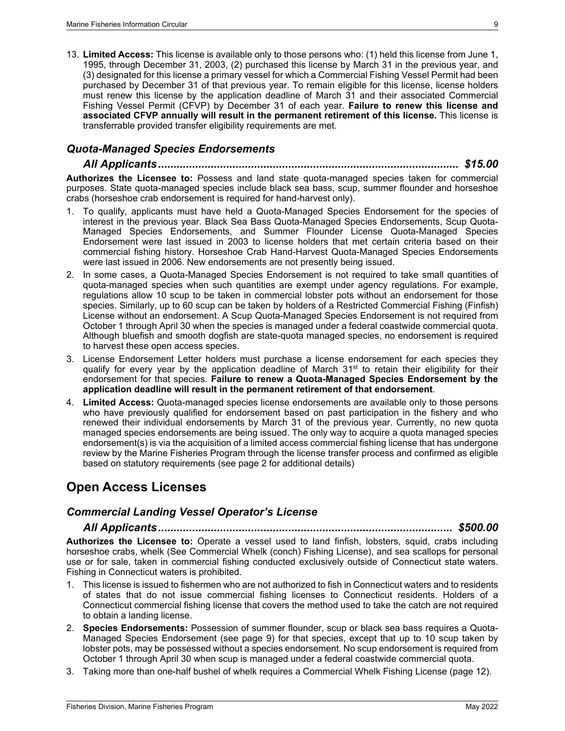<span id="page-14-3"></span>13. **Limited Access:** This license is available only to those persons who: (1) held this license from June 1, 1995, through December 31, 2003, (2) purchased this license by March 31 in the previous year, and (3) designated for this license a primary vessel for which a Commercial Fishing Vessel Permit had been purchased by December 31 of that previous year. To remain eligible for this license, license holders must renew this license by the application deadline of March 31 and their associated Commercial Fishing Vessel Permit (CFVP) by December 31 of each year. **Failure to renew this license and associated CFVP annually will result in the permanent retirement of this license.** This license is transferrable provided transfer eligibility requirements are met.

### <span id="page-14-0"></span>*Quota-Managed Species Endorsements*

*All Applicants................................................................................................. \$15.00* **Authorizes the Licensee to:** Possess and land state quota-managed species taken for commercial purposes. State quota-managed species include black sea bass, scup, summer flounder and horseshoe crabs (horseshoe crab endorsement is required for hand-harvest only).

- 1. To qualify, applicants must have held a Quota-Managed Species Endorsement for the species of interest in the previous year. Black Sea Bass Quota-Managed Species Endorsements, Scup Quota-Managed Species Endorsements, and Summer Flounder License Quota-Managed Species Endorsement were last issued in 2003 to license holders that met certain criteria based on their commercial fishing history. Horseshoe Crab Hand-Harvest Quota-Managed Species Endorsements were last issued in 2006. New endorsements are not presently being issued.
- 2. In some cases, a Quota-Managed Species Endorsement is not required to take small quantities of quota-managed species when such quantities are exempt under agency regulations. For example, regulations allow 10 scup to be taken in commercial lobster pots without an endorsement for those species. Similarly, up to 60 scup can be taken by holders of a Restricted Commercial Fishing (Finfish) License without an endorsement. A Scup Quota-Managed Species Endorsement is not required from October 1 through April 30 when the species is managed under a federal coastwide commercial quota. Although bluefish and smooth dogfish are state-quota managed species, no endorsement is required to harvest these open access species.
- 3. License Endorsement Letter holders must purchase a license endorsement for each species they qualify for every year by the application deadline of March 31<sup>st</sup> to retain their eligibility for their endorsement for that species. **Failure to renew a Quota-Managed Species Endorsement by the application deadline will result in the permanent retirement of that endorsement**.
- 4. **Limited Access:** Quota-managed species license endorsements are available only to those persons who have previously qualified for endorsement based on past participation in the fishery and who renewed their individual endorsements by March 31 of the previous year. Currently, no new quota managed species endorsements are being issued. The only way to acquire a quota managed species endorsement(s) is via the acquisition of a limited access commercial fishing license that has undergone review by the Marine Fisheries Program through the license transfer process and confirmed as eligible based on statutory requirements (see page 2 for additional details)

# <span id="page-14-1"></span>**Open Access Licenses**

#### <span id="page-14-2"></span>*Commercial Landing Vessel Operator's License*

*All Applicants............................................................................................... \$500.00*

**Authorizes the Licensee to:** Operate a vessel used to land finfish, lobsters, squid, crabs including horseshoe crabs, whelk (See [Commercial Whelk \(conch\) Fishing License\)](#page-17-0), and sea scallops for personal use or for sale, taken in commercial fishing conducted exclusively outside of Connecticut state waters. Fishing in Connecticut waters is prohibited.

- 1. This license is issued to fishermen who are not authorized to fish in Connecticut waters and to residents of states that do not issue commercial fishing licenses to Connecticut residents. Holders of a Connecticut commercial fishing license that covers the method used to take the catch are not required to obtain a landing license.
- 2. **Species Endorsements:** Possession of summer flounder, scup or black sea bass requires a Quota-Managed Species Endorsement (see page [9\)](#page-14-0) for that species, except that up to 10 scup taken by lobster pots, may be possessed without a species endorsement. No scup endorsement is required from October 1 through April 30 when scup is managed under a federal coastwide commercial quota.
- 3. Taking more than one-half bushel of whelk requires a Commercial Whelk Fishing License (page [12\)](#page-17-0).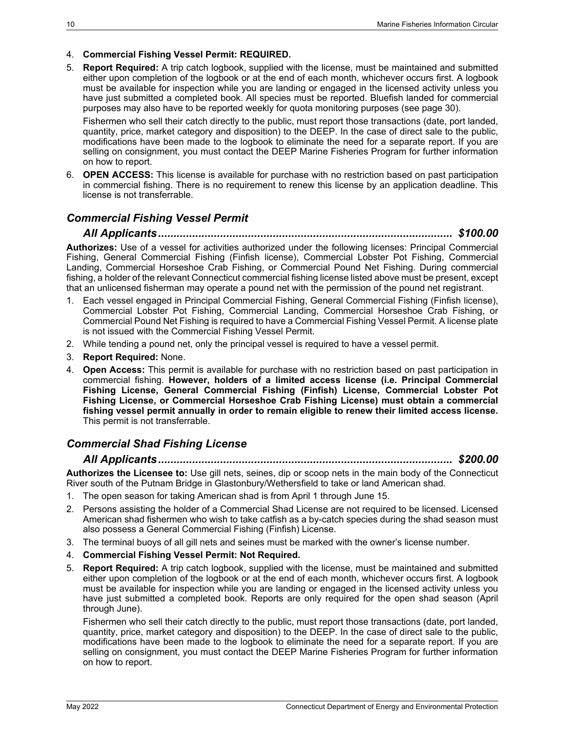#### 4. **Commercial Fishing Vessel Permit: REQUIRED.**

5. **Report Required:** A trip catch logbook, supplied with the license, must be maintained and submitted either upon completion of the logbook or at the end of each month, whichever occurs first. A logbook must be available for inspection while you are landing or engaged in the licensed activity unless you have just submitted a completed book. All species must be reported. Bluefish landed for commercial purposes may also have to be reported weekly for quota monitoring purposes (see page [30\)](#page-35-4).

Fishermen who sell their catch directly to the public, must report those transactions (date, port landed, quantity, price, market category and disposition) to the DEEP. In the case of direct sale to the public, modifications have been made to the logbook to eliminate the need for a separate report. If you are selling on consignment, you must contact the DEEP Marine Fisheries Program for further information on how to report.

6. **OPEN ACCESS:** This license is available for purchase with no restriction based on past participation in commercial fishing. There is no requirement to renew this license by an application deadline. This license is not transferrable.

### <span id="page-15-0"></span>*Commercial Fishing Vessel Permit*

*All Applicants............................................................................................... \$100.00*

**Authorizes:** Use of a vessel for activities authorized under the following licenses: Principal Commercial Fishing, General Commercial Fishing (Finfish license), Commercial Lobster Pot Fishing, Commercial Landing, Commercial Horseshoe Crab Fishing, or Commercial Pound Net Fishing. During commercial fishing, a holder of the relevant Connecticut commercial fishing license listed above must be present, except that an unlicensed fisherman may operate a pound net with the permission of the pound net registrant.

- 1. Each vessel engaged in Principal Commercial Fishing, General Commercial Fishing (Finfish license), Commercial Lobster Pot Fishing, Commercial Landing, Commercial Horseshoe Crab Fishing, or Commercial Pound Net Fishing is required to have a Commercial Fishing Vessel Permit. A license plate is not issued with the Commercial Fishing Vessel Permit.
- 2. While tending a pound net, only the principal vessel is required to have a vessel permit.
- 3. **Report Required:** None.
- 4. **Open Access:** This permit is available for purchase with no restriction based on past participation in commercial fishing. **However, holders of a limited access license (i.e. Principal Commercial Fishing License, General Commercial Fishing (Finfish) License, Commercial Lobster Pot Fishing License, or Commercial Horseshoe Crab Fishing License) must obtain a commercial fishing vessel permit annually in order to remain eligible to renew their limited access license.** This permit is not transferrable.

### <span id="page-15-1"></span>*Commercial Shad Fishing License*

#### *All Applicants............................................................................................... \$200.00*

**Authorizes the Licensee to:** Use gill nets, seines, dip or scoop nets in the main body of the Connecticut River south of the Putnam Bridge in Glastonbury/Wethersfield to take or land American shad.

- 1. The open season for taking American shad is from April 1 through June 15.
- 2. Persons assisting the holder of a Commercial Shad License are not required to be licensed. Licensed American shad fishermen who wish to take catfish as a by-catch species during the shad season must also possess a General Commercial Fishing (Finfish) License.
- 3. The terminal buoys of all gill nets and seines must be marked with the owner's license number.
- 4. **Commercial Fishing Vessel Permit: Not Required.**
- 5. **Report Required:** A trip catch logbook, supplied with the license, must be maintained and submitted either upon completion of the logbook or at the end of each month, whichever occurs first. A logbook must be available for inspection while you are landing or engaged in the licensed activity unless you have just submitted a completed book. Reports are only required for the open shad season (April through June).

Fishermen who sell their catch directly to the public, must report those transactions (date, port landed, quantity, price, market category and disposition) to the DEEP. In the case of direct sale to the public, modifications have been made to the logbook to eliminate the need for a separate report. If you are selling on consignment, you must contact the DEEP Marine Fisheries Program for further information on how to report.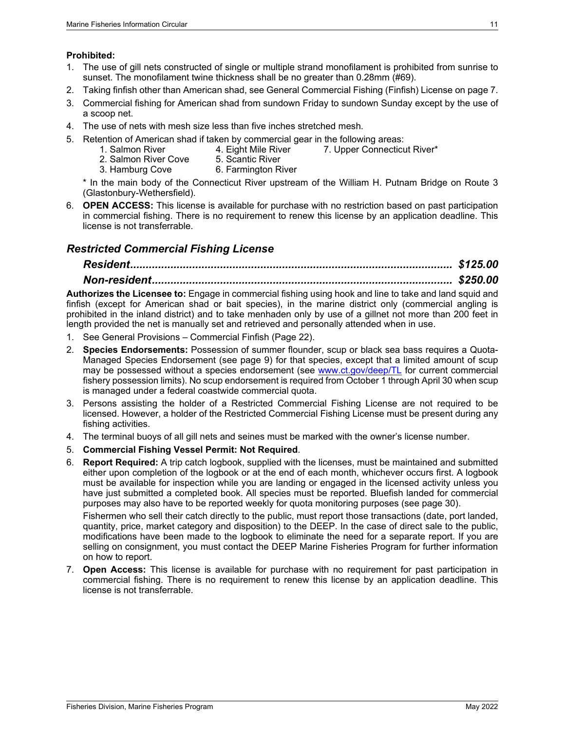#### **Prohibited:**

- 1. The use of gill nets constructed of single or multiple strand monofilament is prohibited from sunrise to sunset. The monofilament twine thickness shall be no greater than 0.28mm (#69).
- 2. Taking finfish other than American shad, see General Commercial Fishing (Finfish) License on pag[e 7.](#page-12-1)
- 3. Commercial fishing for American shad from sundown Friday to sundown Sunday except by the use of a scoop net.
- 4. The use of nets with mesh size less than five inches stretched mesh.
- 5. Retention of American shad if taken by commercial gear in the following areas:
	- 1. Salmon River 4. Eight Mile River 7. Upper Connecticut River\*<br>2. Salmon River Cove 5. Scantic River
	- 2. Salmon River Cove<br>3. Hamburg Cove
	- 6. Farmington River

\* In the main body of the Connecticut River upstream of the William H. Putnam Bridge on Route 3 (Glastonbury-Wethersfield).

6. **OPEN ACCESS:** This license is available for purchase with no restriction based on past participation in commercial fishing. There is no requirement to renew this license by an application deadline. This license is not transferrable.

### <span id="page-16-0"></span>*Restricted Commercial Fishing License*

# *Resident........................................................................................................ \$125.00*

### *Non-resident................................................................................................. \$250.00*

**Authorizes the Licensee to:** Engage in commercial fishing using hook and line to take and land squid and finfish (except for American shad or bait species), in the marine district only (commercial angling is prohibited in the inland district) and to take menhaden only by use of a gillnet not more than 200 feet in length provided the net is manually set and retrieved and personally attended when in use.

- 1. See [General Provisions –](#page-27-0) Commercial Finfish (Page [22\)](#page-26-0).
- 2. **Species Endorsements:** Possession of summer flounder, scup or black sea bass requires a Quota-Managed Species Endorsement (see page [9\)](#page-14-3) for that species, except that a limited amount of scup may be possessed without a species endorsement (see [www.ct.gov/deep/TL](http://www.ct.gov/deep/TL) for current commercial fishery possession limits). No scup endorsement is required from October 1 through April 30 when scup is managed under a federal coastwide commercial quota.
- 3. Persons assisting the holder of a Restricted Commercial Fishing License are not required to be licensed. However, a holder of the Restricted Commercial Fishing License must be present during any fishing activities.
- 4. The terminal buoys of all gill nets and seines must be marked with the owner's license number.
- 5. **Commercial Fishing Vessel Permit: Not Required**.
- 6. **Report Required:** A trip catch logbook, supplied with the licenses, must be maintained and submitted either upon completion of the logbook or at the end of each month, whichever occurs first. A logbook must be available for inspection while you are landing or engaged in the licensed activity unless you have just submitted a completed book. All species must be reported. Bluefish landed for commercial purposes may also have to be reported weekly for quota monitoring purposes (see page [30\)](#page-35-4).

Fishermen who sell their catch directly to the public, must report those transactions (date, port landed, quantity, price, market category and disposition) to the DEEP. In the case of direct sale to the public, modifications have been made to the logbook to eliminate the need for a separate report. If you are selling on consignment, you must contact the DEEP Marine Fisheries Program for further information on how to report.

<span id="page-16-1"></span>7. **Open Access:** This license is available for purchase with no requirement for past participation in commercial fishing. There is no requirement to renew this license by an application deadline. This license is not transferrable.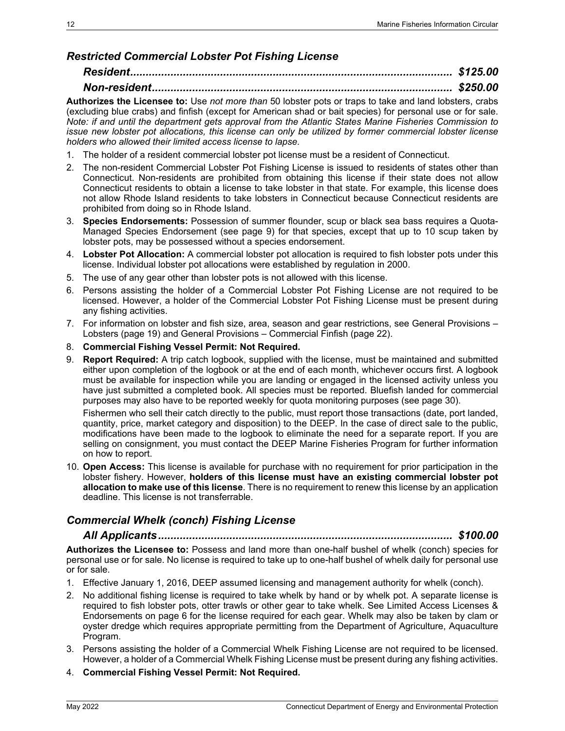### *Restricted Commercial Lobster Pot Fishing License*

### *Resident........................................................................................................ \$125.00 Non-resident................................................................................................. \$250.00*

**Authorizes the Licensee to:** Use *not more than* 50 lobster pots or traps to take and land lobsters, crabs (excluding blue crabs) and finfish (except for American shad or bait species) for personal use or for sale. *Note: if and until the department gets approval from the Atlantic States Marine Fisheries Commission to issue new lobster pot allocations, this license can only be utilized by former commercial lobster license holders who allowed their limited access license to lapse.*

- 1. The holder of a resident commercial lobster pot license must be a resident of Connecticut.
- 2. The non-resident Commercial Lobster Pot Fishing License is issued to residents of states other than Connecticut. Non-residents are prohibited from obtaining this license if their state does not allow Connecticut residents to obtain a license to take lobster in that state. For example, this license does not allow Rhode Island residents to take lobsters in Connecticut because Connecticut residents are prohibited from doing so in Rhode Island.
- 3. **Species Endorsements:** Possession of summer flounder, scup or black sea bass requires a Quota-Managed Species Endorsement (see page [9\)](#page-14-0) for that species, except that up to 10 scup taken by lobster pots, may be possessed without a species endorsement.
- 4. **Lobster Pot Allocation:** A commercial lobster pot allocation is required to fish lobster pots under this license. Individual lobster pot allocations were established by regulation in 2000.
- 5. The use of any gear other than lobster pots is not allowed with this license.
- 6. Persons assisting the holder of a Commercial Lobster Pot Fishing License are not required to be licensed. However, a holder of the Commercial Lobster Pot Fishing License must be present during any fishing activities.
- 7. For information on lobster and fish size, area, season and gear restrictions, see [General Provisions –](#page-24-0) [Lobsters](#page-24-0) (page [19\)](#page-24-0) and [General Provisions –](#page-27-0) Commercial Finfish (page [22\)](#page-26-0).
- 8. **Commercial Fishing Vessel Permit: Not Required.**
- 9. **Report Required:** A trip catch logbook, supplied with the license, must be maintained and submitted either upon completion of the logbook or at the end of each month, whichever occurs first. A logbook must be available for inspection while you are landing or engaged in the licensed activity unless you have just submitted a completed book. All species must be reported. Bluefish landed for commercial purposes may also have to be reported weekly for quota monitoring purposes (see page [30\)](#page-35-4).

Fishermen who sell their catch directly to the public, must report those transactions (date, port landed, quantity, price, market category and disposition) to the DEEP. In the case of direct sale to the public, modifications have been made to the logbook to eliminate the need for a separate report. If you are selling on consignment, you must contact the DEEP Marine Fisheries Program for further information on how to report.

10. **Open Access:** This license is available for purchase with no requirement for prior participation in the lobster fishery. However, **holders of this license must have an existing commercial lobster pot allocation to make use of this license**. There is no requirement to renew this license by an application deadline. This license is not transferrable.

### <span id="page-17-0"></span>*Commercial Whelk (conch) Fishing License*

*All Applicants............................................................................................... \$100.00* **Authorizes the Licensee to:** Possess and land more than one-half bushel of whelk (conch) species for personal use or for sale. No license is required to take up to one-half bushel of whelk daily for personal use or for sale.

- 1. Effective January 1, 2016, DEEP assumed licensing and management authority for whelk (conch).
- 2. No additional fishing license is required to take whelk by hand or by whelk pot. A separate license is required to fish lobster pots, otter trawls or other gear to take whelk. See [Limited Access Licenses &](#page-11-0)  [Endorsements](#page-11-0) on page [6](#page-11-0) for the license required for each gear. Whelk may also be taken by clam or oyster dredge which requires appropriate permitting from the Department of Agriculture, Aquaculture Program.
- 3. Persons assisting the holder of a Commercial Whelk Fishing License are not required to be licensed. However, a holder of a Commercial Whelk Fishing License must be present during any fishing activities.
- 4. **Commercial Fishing Vessel Permit: Not Required.**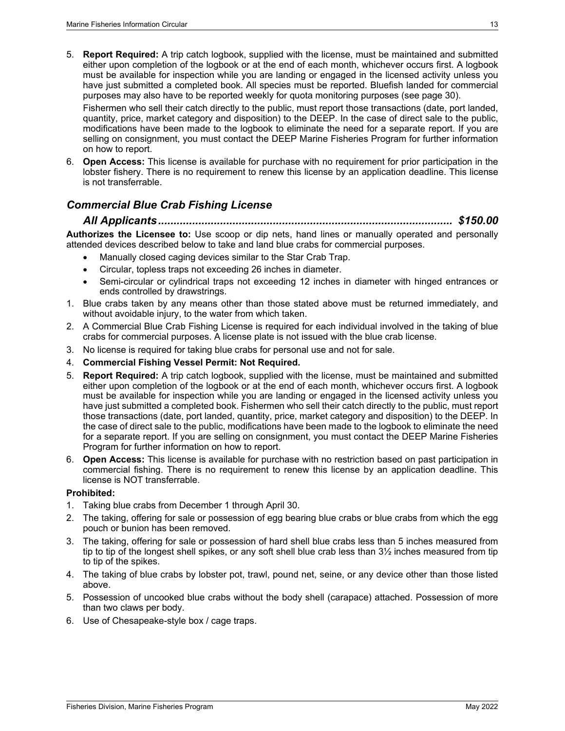5. **Report Required:** A trip catch logbook, supplied with the license, must be maintained and submitted either upon completion of the logbook or at the end of each month, whichever occurs first. A logbook must be available for inspection while you are landing or engaged in the licensed activity unless you have just submitted a completed book. All species must be reported. Bluefish landed for commercial purposes may also have to be reported weekly for quota monitoring purposes (see page [30\)](#page-35-4).

Fishermen who sell their catch directly to the public, must report those transactions (date, port landed, quantity, price, market category and disposition) to the DEEP. In the case of direct sale to the public, modifications have been made to the logbook to eliminate the need for a separate report. If you are selling on consignment, you must contact the DEEP Marine Fisheries Program for further information on how to report.

6. **Open Access:** This license is available for purchase with no requirement for prior participation in the lobster fishery. There is no requirement to renew this license by an application deadline. This license is not transferrable.

### <span id="page-18-0"></span>*Commercial Blue Crab Fishing License*

#### *All Applicants............................................................................................... \$150.00*

**Authorizes the Licensee to:** Use scoop or dip nets, hand lines or manually operated and personally attended devices described below to take and land blue crabs for commercial purposes.

- Manually closed caging devices similar to the Star Crab Trap.
- Circular, topless traps not exceeding 26 inches in diameter.
- Semi-circular or cylindrical traps not exceeding 12 inches in diameter with hinged entrances or ends controlled by drawstrings.
- 1. Blue crabs taken by any means other than those stated above must be returned immediately, and without avoidable injury, to the water from which taken.
- 2. A Commercial Blue Crab Fishing License is required for each individual involved in the taking of blue crabs for commercial purposes. A license plate is not issued with the blue crab license.
- 3. No license is required for taking blue crabs for personal use and not for sale.
- 4. **Commercial Fishing Vessel Permit: Not Required.**
- 5. **Report Required:** A trip catch logbook, supplied with the license, must be maintained and submitted either upon completion of the logbook or at the end of each month, whichever occurs first. A logbook must be available for inspection while you are landing or engaged in the licensed activity unless you have just submitted a completed book. Fishermen who sell their catch directly to the public, must report those transactions (date, port landed, quantity, price, market category and disposition) to the DEEP. In the case of direct sale to the public, modifications have been made to the logbook to eliminate the need for a separate report. If you are selling on consignment, you must contact the DEEP Marine Fisheries Program for further information on how to report.
- 6. **Open Access:** This license is available for purchase with no restriction based on past participation in commercial fishing. There is no requirement to renew this license by an application deadline. This license is NOT transferrable.

#### **Prohibited:**

- 1. Taking blue crabs from December 1 through April 30.
- 2. The taking, offering for sale or possession of egg bearing blue crabs or blue crabs from which the egg pouch or bunion has been removed.
- 3. The taking, offering for sale or possession of hard shell blue crabs less than 5 inches measured from tip to tip of the longest shell spikes, or any soft shell blue crab less than 3½ inches measured from tip to tip of the spikes.
- 4. The taking of blue crabs by lobster pot, trawl, pound net, seine, or any device other than those listed above.
- 5. Possession of uncooked blue crabs without the body shell (carapace) attached. Possession of more than two claws per body.
- 6. Use of Chesapeake-style box / cage traps.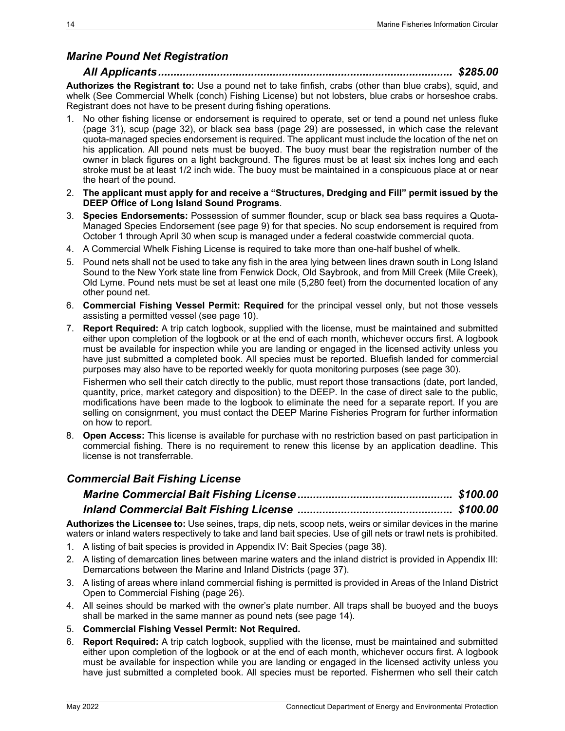### <span id="page-19-0"></span>*Marine Pound Net Registration*

### *All Applicants............................................................................................... \$285.00*

**Authorizes the Registrant to:** Use a pound net to take finfish, crabs (other than blue crabs), squid, and whelk (See [Commercial Whelk \(conch\) Fishing License\)](#page-17-0) but not lobsters, blue crabs or horseshoe crabs. Registrant does not have to be present during fishing operations.

- 1. No other fishing license or endorsement is required to operate, set or tend a pound net unless fluke (page [31\)](#page-36-1), scup (page [32\)](#page-37-1), or black sea bass (page [29\)](#page-34-6) are possessed, in which case the relevant quota-managed species endorsement is required. The applicant must include the location of the net on his application. All pound nets must be buoyed. The buoy must bear the registration number of the owner in black figures on a light background. The figures must be at least six inches long and each stroke must be at least 1/2 inch wide. The buoy must be maintained in a conspicuous place at or near the heart of the pound.
- 2. **The applicant must apply for and receive a "Structures, Dredging and Fill" permit issued by the DEEP Office of Long Island Sound Programs**.
- 3. **Species Endorsements:** Possession of summer flounder, scup or black sea bass requires a Quota-Managed Species Endorsement (see page [9\)](#page-14-0) for that species. No scup endorsement is required from October 1 through April 30 when scup is managed under a federal coastwide commercial quota.
- 4. A Commercial Whelk Fishing License is required to take more than one-half bushel of whelk.
- 5. Pound nets shall not be used to take any fish in the area lying between lines drawn south in Long Island Sound to the New York state line from Fenwick Dock, Old Saybrook, and from Mill Creek (Mile Creek), Old Lyme. Pound nets must be set at least one mile (5,280 feet) from the documented location of any other pound net.
- 6. **Commercial Fishing Vessel Permit: Required** for the principal vessel only, but not those vessels assisting a permitted vessel (see page [10\)](#page-15-0).
- 7. **Report Required:** A trip catch logbook, supplied with the license, must be maintained and submitted either upon completion of the logbook or at the end of each month, whichever occurs first. A logbook must be available for inspection while you are landing or engaged in the licensed activity unless you have just submitted a completed book. All species must be reported. Bluefish landed for commercial purposes may also have to be reported weekly for quota monitoring purposes (see page [30\)](#page-35-4).

Fishermen who sell their catch directly to the public, must report those transactions (date, port landed, quantity, price, market category and disposition) to the DEEP. In the case of direct sale to the public, modifications have been made to the logbook to eliminate the need for a separate report. If you are selling on consignment, you must contact the DEEP Marine Fisheries Program for further information on how to report.

8. **Open Access:** This license is available for purchase with no restriction based on past participation in commercial fishing. There is no requirement to renew this license by an application deadline. This license is not transferrable.

### <span id="page-19-1"></span>*Commercial Bait Fishing License*

**Authorizes the Licensee to:** Use seines, traps, dip nets, scoop nets, weirs or similar devices in the marine waters or inland waters respectively to take and land bait species. Use of gill nets or trawl nets is prohibited.

- 1. A listing of bait species is provided in [Appendix IV: Bait Species](#page-43-0) (page [38\)](#page-43-0).
- 2. A listing of demarcation lines between marine waters and the inland district is provided in [Appendix III:](#page-42-0)  [Demarcations between the Marine and Inland Districts](#page-42-0) (page [37\)](#page-42-0).
- 3. A listing of areas where inland commercial fishing is permitted is provided in [Areas of the Inland District](#page-31-0)  [Open to Commercial Fishing](#page-31-0) (page [26\)](#page-31-0).
- 4. All seines should be marked with the owner's plate number. All traps shall be buoyed and the buoys shall be marked in the same manner as pound nets (see page [14\)](#page-19-0).
- 5. **Commercial Fishing Vessel Permit: Not Required.**
- 6. **Report Required:** A trip catch logbook, supplied with the license, must be maintained and submitted either upon completion of the logbook or at the end of each month, whichever occurs first. A logbook must be available for inspection while you are landing or engaged in the licensed activity unless you have just submitted a completed book. All species must be reported. Fishermen who sell their catch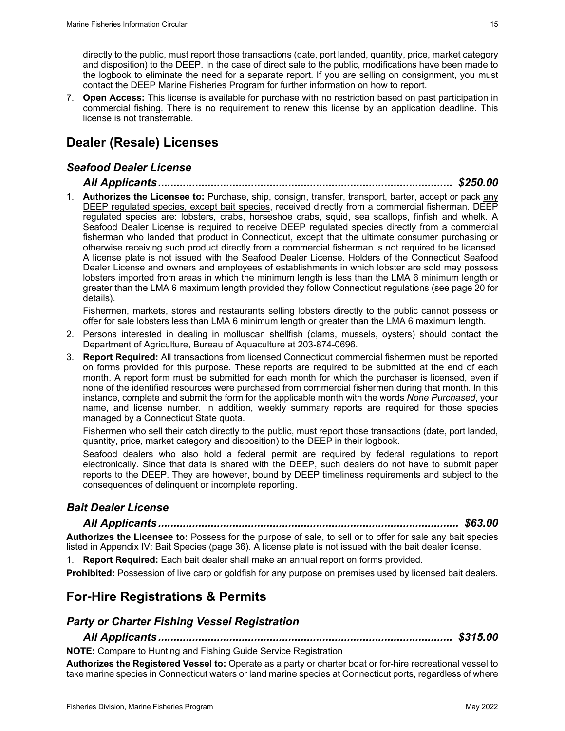directly to the public, must report those transactions (date, port landed, quantity, price, market category and disposition) to the DEEP. In the case of direct sale to the public, modifications have been made to the logbook to eliminate the need for a separate report. If you are selling on consignment, you must contact the DEEP Marine Fisheries Program for further information on how to report.

7. **Open Access:** This license is available for purchase with no restriction based on past participation in commercial fishing. There is no requirement to renew this license by an application deadline. This license is not transferrable.

# <span id="page-20-0"></span>**Dealer (Resale) Licenses**

### <span id="page-20-1"></span>*Seafood Dealer License*

#### *All Applicants............................................................................................... \$250.00*

1. **Authorizes the Licensee to:** Purchase, ship, consign, transfer, transport, barter, accept or pack any DEEP regulated species, except bait species, received directly from a commercial fisherman. DEEP regulated species are: lobsters, crabs, horseshoe crabs, squid, sea scallops, finfish and whelk. A Seafood Dealer License is required to receive DEEP regulated species directly from a commercial fisherman who landed that product in Connecticut, except that the ultimate consumer purchasing or otherwise receiving such product directly from a commercial fisherman is not required to be licensed. A license plate is not issued with the Seafood Dealer License. Holders of the Connecticut Seafood Dealer License and owners and employees of establishments in which lobster are sold may possess lobsters imported from areas in which the minimum length is less than the LMA 6 minimum length or greater than the LMA 6 maximum length provided they follow Connecticut regulations (see pag[e 20](#page-25-1) for details).

Fishermen, markets, stores and restaurants selling lobsters directly to the public cannot possess or offer for sale lobsters less than LMA 6 minimum length or greater than the LMA 6 maximum length.

- 2. Persons interested in dealing in molluscan shellfish (clams, mussels, oysters) should contact the Department of Agriculture, Bureau of Aquaculture at 203-874-0696.
- 3. **Report Required:** All transactions from licensed Connecticut commercial fishermen must be reported on forms provided for this purpose. These reports are required to be submitted at the end of each month. A report form must be submitted for each month for which the purchaser is licensed, even if none of the identified resources were purchased from commercial fishermen during that month. In this instance, complete and submit the form for the applicable month with the words *None Purchased*, your name, and license number. In addition, weekly summary reports are required for those species managed by a Connecticut State quota.

Fishermen who sell their catch directly to the public, must report those transactions (date, port landed, quantity, price, market category and disposition) to the DEEP in their logbook.

Seafood dealers who also hold a federal permit are required by federal regulations to report electronically. Since that data is shared with the DEEP, such dealers do not have to submit paper reports to the DEEP. They are however, bound by DEEP timeliness requirements and subject to the consequences of delinquent or incomplete reporting.

### <span id="page-20-2"></span>*Bait Dealer License*

#### *All Applicants................................................................................................. \$63.00*

**Authorizes the Licensee to:** Possess for the purpose of sale, to sell or to offer for sale any bait species listed in [Appendix IV: Bait Species](#page-43-0) (page 36). A license plate is not issued with the bait dealer license.

1. **Report Required:** Each bait dealer shall make an annual report on forms provided.

**Prohibited:** Possession of live carp or goldfish for any purpose on premises used by licensed bait dealers.

### <span id="page-20-3"></span>**For-Hire Registrations & Permits**

#### <span id="page-20-4"></span>*Party or Charter Fishing Vessel Registration*

*All Applicants............................................................................................... \$315.00* **NOTE:** Compare to Hunting and Fishing Guide Service Registration

**Authorizes the Registered Vessel to:** Operate as a party or charter boat or for-hire recreational vessel to take marine species in Connecticut waters or land marine species at Connecticut ports, regardless of where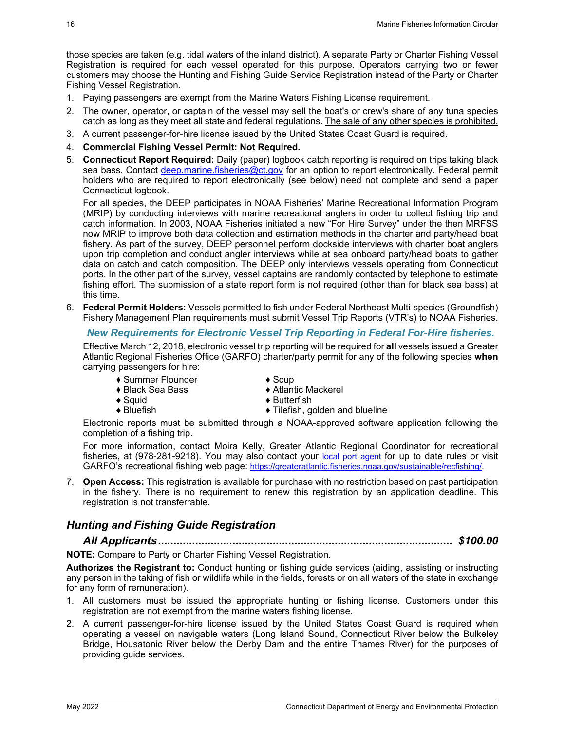those species are taken (e.g. tidal waters of the inland district). A separate Party or Charter Fishing Vessel Registration is required for each vessel operated for this purpose. Operators carrying two or fewer customers may choose the Hunting and Fishing Guide Service Registration instead of the Party or Charter Fishing Vessel Registration.

- 1. Paying passengers are exempt from the Marine Waters Fishing License requirement.
- 2. The owner, operator, or captain of the vessel may sell the boat's or crew's share of any tuna species catch as long as they meet all state and federal regulations. The sale of any other species is prohibited.
- 3. A current passenger-for-hire license issued by the United States Coast Guard is required.
- 4. **Commercial Fishing Vessel Permit: Not Required.**
- 5. **Connecticut Report Required:** Daily (paper) logbook catch reporting is required on trips taking black sea bass. Contact [deep.marine.fisheries@ct.gov](mailto:deep.marine.fisheries@ct.gov) for an option to report electronically. Federal permit holders who are required to report electronically (see below) need not complete and send a paper Connecticut logbook.

For all species, the DEEP participates in NOAA Fisheries' Marine Recreational Information Program (MRIP) by conducting interviews with marine recreational anglers in order to collect fishing trip and catch information. In 2003, NOAA Fisheries initiated a new "For Hire Survey" under the then MRFSS now MRIP to improve both data collection and estimation methods in the charter and party/head boat fishery. As part of the survey, DEEP personnel perform dockside interviews with charter boat anglers upon trip completion and conduct angler interviews while at sea onboard party/head boats to gather data on catch and catch composition. The DEEP only interviews vessels operating from Connecticut ports. In the other part of the survey, vessel captains are randomly contacted by telephone to estimate fishing effort. The submission of a state report form is not required (other than for black sea bass) at this time.

6. **Federal Permit Holders:** Vessels permitted to fish under Federal Northeast Multi-species (Groundfish) Fishery Management Plan requirements must submit Vessel Trip Reports (VTR's) to NOAA Fisheries.

#### *New Requirements for Electronic Vessel Trip Reporting in Federal For-Hire fisheries***.**

Effective March 12, 2018, electronic vessel trip reporting will be required for **all** vessels issued a Greater Atlantic Regional Fisheries Office (GARFO) charter/party permit for any of the following species **when** carrying passengers for hire:

- ♦ Summer Flounder ♦ Scup<br>♦ Black Sea Bass ♦ Atlan
- 
- 
- 
- ♦ Squid ♦ Butterfish  $\blacklozenge$  Tilefish, golden and blueline

 $\triangle$  Atlantic Mackerel

Electronic reports must be submitted through a NOAA-approved software application following the completion of a fishing trip.

For more information, contact Moira Kelly, Greater Atlantic Regional Coordinator for recreational fisheries, at (978-281-9218). You may also contact your [local port agent](http://www.greateratlantic.fisheries.noaa.gov/sed/portagents/portagents.html) for up to date rules or visit GARFO's recreational fishing web page: [https://greateratlantic.fisheries.noaa.gov/sustainable/recfishing/.](https://greateratlantic.fisheries.noaa.gov/sustainable/recfishing/)

7. **Open Access:** This registration is available for purchase with no restriction based on past participation in the fishery. There is no requirement to renew this registration by an application deadline. This registration is not transferrable.

### <span id="page-21-0"></span>*Hunting and Fishing Guide Registration*

*All Applicants............................................................................................... \$100.00*

#### **NOTE:** Compare to Party or Charter Fishing Vessel Registration.

**Authorizes the Registrant to:** Conduct hunting or fishing guide services (aiding, assisting or instructing any person in the taking of fish or wildlife while in the fields, forests or on all waters of the state in exchange for any form of remuneration).

- 1. All customers must be issued the appropriate hunting or fishing license. Customers under this registration are not exempt from the marine waters fishing license.
- 2. A current passenger-for-hire license issued by the United States Coast Guard is required when operating a vessel on navigable waters (Long Island Sound, Connecticut River below the Bulkeley Bridge, Housatonic River below the Derby Dam and the entire Thames River) for the purposes of providing guide services.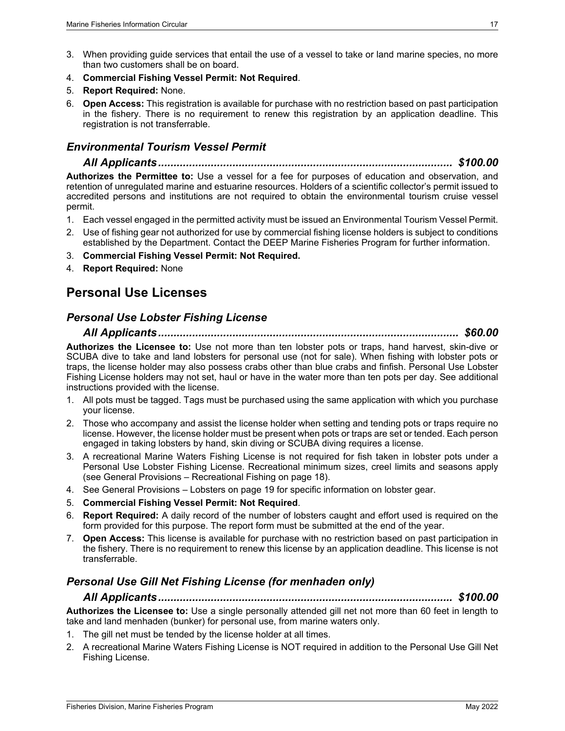- 3. When providing guide services that entail the use of a vessel to take or land marine species, no more than two customers shall be on board.
- 4. **Commercial Fishing Vessel Permit: Not Required**.
- 5. **Report Required:** None.
- 6. **Open Access:** This registration is available for purchase with no restriction based on past participation in the fishery. There is no requirement to renew this registration by an application deadline. This registration is not transferrable.

### <span id="page-22-0"></span>*Environmental Tourism Vessel Permit*

*All Applicants............................................................................................... \$100.00*

**Authorizes the Permittee to:** Use a vessel for a fee for purposes of education and observation, and retention of unregulated marine and estuarine resources. Holders of a scientific collector's permit issued to accredited persons and institutions are not required to obtain the environmental tourism cruise vessel permit.

- 1. Each vessel engaged in the permitted activity must be issued an Environmental Tourism Vessel Permit.
- 2. Use of fishing gear not authorized for use by commercial fishing license holders is subject to conditions established by the Department. Contact the DEEP Marine Fisheries Program for further information.
- 3. **Commercial Fishing Vessel Permit: Not Required.**
- 4. **Report Required:** None

## <span id="page-22-1"></span>**Personal Use Licenses**

### <span id="page-22-2"></span>*Personal Use Lobster Fishing License*

*All Applicants................................................................................................. \$60.00*

**Authorizes the Licensee to:** Use not more than ten lobster pots or traps, hand harvest, skin-dive or SCUBA dive to take and land lobsters for personal use (not for sale). When fishing with lobster pots or traps, the license holder may also possess crabs other than blue crabs and finfish. Personal Use Lobster Fishing License holders may not set, haul or have in the water more than ten pots per day. See additional instructions provided with the license.

- 1. All pots must be tagged. Tags must be purchased using the same application with which you purchase your license.
- 2. Those who accompany and assist the license holder when setting and tending pots or traps require no license. However, the license holder must be present when pots or traps are set or tended. Each person engaged in taking lobsters by hand, skin diving or SCUBA diving requires a license.
- 3. A recreational Marine Waters Fishing License is not required for fish taken in lobster pots under a Personal Use Lobster Fishing License. Recreational minimum sizes, creel limits and seasons apply (see [General Provisions –](#page-23-0) Recreational Fishing on page [18\)](#page-23-0).
- 4. See [General Provisions –](#page-24-0) Lobsters on page [19](#page-24-0) for specific information on lobster gear.
- 5. **Commercial Fishing Vessel Permit: Not Required**.
- 6. **Report Required:** A daily record of the number of lobsters caught and effort used is required on the form provided for this purpose. The report form must be submitted at the end of the year.
- 7. **Open Access:** This license is available for purchase with no restriction based on past participation in the fishery. There is no requirement to renew this license by an application deadline. This license is not transferrable.

### <span id="page-22-3"></span>*Personal Use Gill Net Fishing License (for menhaden only)*

*All Applicants............................................................................................... \$100.00*

**Authorizes the Licensee to:** Use a single personally attended gill net not more than 60 feet in length to take and land menhaden (bunker) for personal use, from marine waters only.

- 1. The gill net must be tended by the license holder at all times.
- 2. A recreational Marine Waters Fishing License is NOT required in addition to the Personal Use Gill Net Fishing License.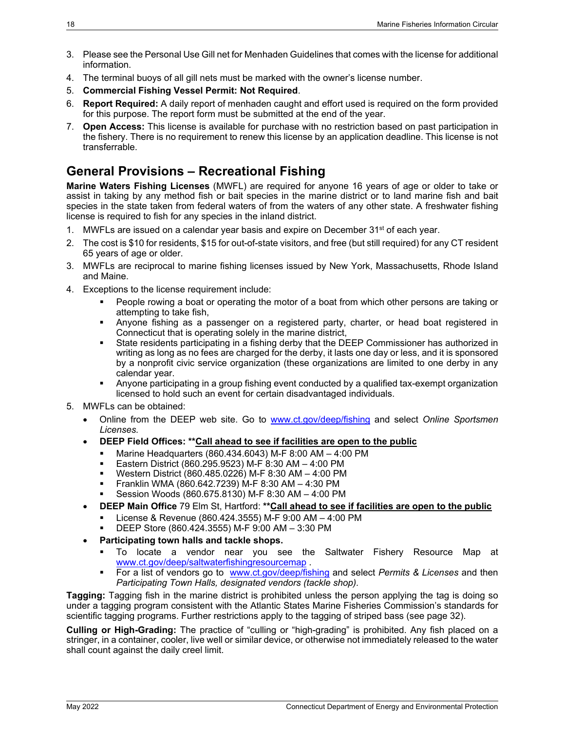- 3. Please see the Personal Use Gill net for Menhaden Guidelines that comes with the license for additional information.
- 4. The terminal buoys of all gill nets must be marked with the owner's license number.
- 5. **Commercial Fishing Vessel Permit: Not Required**.
- 6. **Report Required:** A daily report of menhaden caught and effort used is required on the form provided for this purpose. The report form must be submitted at the end of the year.
- 7. **Open Access:** This license is available for purchase with no restriction based on past participation in the fishery. There is no requirement to renew this license by an application deadline. This license is not transferrable.

# <span id="page-23-0"></span>**General Provisions – Recreational Fishing**

**Marine Waters Fishing Licenses** (MWFL) are required for anyone 16 years of age or older to take or assist in taking by any method fish or bait species in the marine district or to land marine fish and bait species in the state taken from federal waters of from the waters of any other state. A freshwater fishing license is required to fish for any species in the inland district.

- 1. MWFLs are issued on a calendar year basis and expire on December  $31<sup>st</sup>$  of each year.
- 2. The cost is \$10 for residents, \$15 for out-of-state visitors, and free (but still required) for any CT resident 65 years of age or older.
- 3. MWFLs are reciprocal to marine fishing licenses issued by New York, Massachusetts, Rhode Island and Maine.
- 4. Exceptions to the license requirement include:
	- People rowing a boat or operating the motor of a boat from which other persons are taking or attempting to take fish,
	- Anyone fishing as a passenger on a registered party, charter, or head boat registered in Connecticut that is operating solely in the marine district,
	- State residents participating in a fishing derby that the DEEP Commissioner has authorized in writing as long as no fees are charged for the derby, it lasts one day or less, and it is sponsored by a nonprofit civic service organization (these organizations are limited to one derby in any calendar year.
	- Anyone participating in a group fishing event conducted by a qualified tax-exempt organization licensed to hold such an event for certain disadvantaged individuals.
- 5. MWFLs can be obtained:
	- Online from the DEEP web site. Go to [www.ct.gov/deep/fishing](http://www.ct.gov/deep/fishing) and select *Online Sportsmen Licenses.*
	- **DEEP Field Offices: \*\*Call ahead to see if facilities are open to the public**
		- Marine Headquarters (860.434.6043) M-F 8:00 AM 4:00 PM
		- Eastern District (860.295.9523) M-F 8:30 AM 4:00 PM
		- Western District (860.485.0226) M-F 8:30 AM 4:00 PM
		- **Figure 1.5 Franklin WMA (860.642.7239) M-F 8:30 AM 4:30 PM**
		- Session Woods (860.675.8130) M-F 8:30 AM 4:00 PM
	- **DEEP Main Office** 79 Elm St, Hartford: **\*\*Call ahead to see if facilities are open to the public**
		- License & Revenue (860.424.3555) M-F 9:00 AM 4:00 PM
		- DEEP Store (860.424.3555) M-F 9:00 AM 3:30 PM
	- **Participating town halls and tackle shops.**
		- To locate a vendor near you see the Saltwater Fishery Resource Map at [www.ct.gov/deep/saltwaterfishingresourcemap](http://www.ct.gov/deep/saltwaterfishingresourcemap) .
		- For a list of vendors go to [www.ct.gov/deep/fishing](http://www.ct.gov/deep/fishing) and select *Permits & Licenses* and then *Participating Town Halls, designated vendors (tackle shop).*

**Tagging:** Tagging fish in the marine district is prohibited unless the person applying the tag is doing so under a tagging program consistent with the Atlantic States Marine Fisheries Commission's standards for scientific tagging programs. Further restrictions apply to the tagging of striped bass (see page [32\)](#page-37-4).

**Culling or High-Grading:** The practice of "culling or "high-grading" is prohibited. Any fish placed on a stringer, in a container, cooler, live well or similar device, or otherwise not immediately released to the water shall count against the daily creel limit.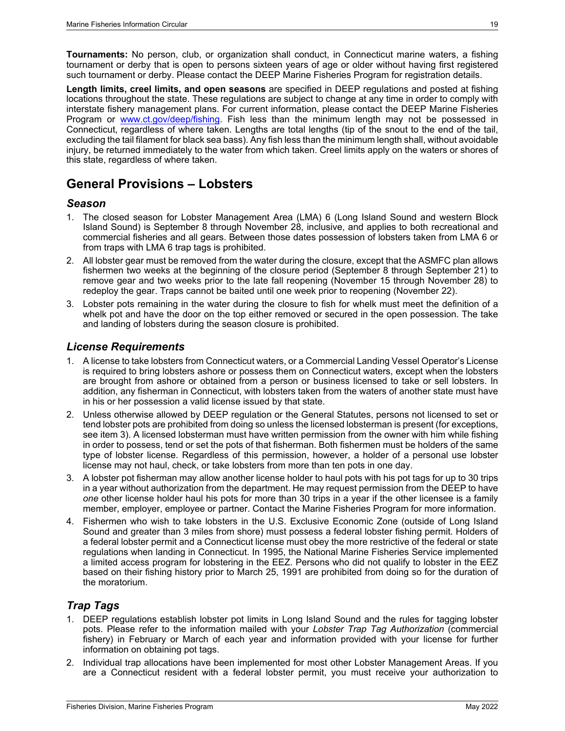**Tournaments:** No person, club, or organization shall conduct, in Connecticut marine waters, a fishing tournament or derby that is open to persons sixteen years of age or older without having first registered such tournament or derby. Please contact the DEEP Marine Fisheries Program for registration details.

**Length limits, creel limits, and open seasons** are specified in DEEP regulations and posted at fishing locations throughout the state. These regulations are subject to change at any time in order to comply with interstate fishery management plans. For current information, please contact the DEEP Marine Fisheries Program or [www.ct.gov/deep/fishing.](http://www.ct.gov/deep/fishing) Fish less than the minimum length may not be possessed in Connecticut, regardless of where taken. Lengths are total lengths (tip of the snout to the end of the tail, excluding the tail filament for black sea bass). Any fish less than the minimum length shall, without avoidable injury, be returned immediately to the water from which taken. Creel limits apply on the waters or shores of this state, regardless of where taken.

# <span id="page-24-0"></span>**General Provisions – Lobsters**

### <span id="page-24-1"></span>*Season*

- 1. The closed season for Lobster Management Area (LMA) 6 (Long Island Sound and western Block Island Sound) is September 8 through November 28, inclusive, and applies to both recreational and commercial fisheries and all gears. Between those dates possession of lobsters taken from LMA 6 or from traps with LMA 6 trap tags is prohibited.
- 2. All lobster gear must be removed from the water during the closure, except that the ASMFC plan allows fishermen two weeks at the beginning of the closure period (September 8 through September 21) to remove gear and two weeks prior to the late fall reopening (November 15 through November 28) to redeploy the gear. Traps cannot be baited until one week prior to reopening (November 22).
- 3. Lobster pots remaining in the water during the closure to fish for whelk must meet the definition of a whelk pot and have the door on the top either removed or secured in the open possession. The take and landing of lobsters during the season closure is prohibited.

### <span id="page-24-2"></span>*License Requirements*

- 1. A license to take lobsters from Connecticut waters, or a Commercial Landing Vessel Operator's License is required to bring lobsters ashore or possess them on Connecticut waters, except when the lobsters are brought from ashore or obtained from a person or business licensed to take or sell lobsters. In addition, any fisherman in Connecticut, with lobsters taken from the waters of another state must have in his or her possession a valid license issued by that state.
- 2. Unless otherwise allowed by DEEP regulation or the General Statutes, persons not licensed to set or tend lobster pots are prohibited from doing so unless the licensed lobsterman is present (for exceptions, see item 3). A licensed lobsterman must have written permission from the owner with him while fishing in order to possess, tend or set the pots of that fisherman. Both fishermen must be holders of the same type of lobster license. Regardless of this permission, however, a holder of a personal use lobster license may not haul, check, or take lobsters from more than ten pots in one day.
- 3. A lobster pot fisherman may allow another license holder to haul pots with his pot tags for up to 30 trips in a year without authorization from the department. He may request permission from the DEEP to have *one* other license holder haul his pots for more than 30 trips in a year if the other licensee is a family member, employer, employee or partner. Contact the Marine Fisheries Program for more information.
- 4. Fishermen who wish to take lobsters in the U.S. Exclusive Economic Zone (outside of Long Island Sound and greater than 3 miles from shore) must possess a federal lobster fishing permit. Holders of a federal lobster permit and a Connecticut license must obey the more restrictive of the federal or state regulations when landing in Connecticut. In 1995, the National Marine Fisheries Service implemented a limited access program for lobstering in the EEZ. Persons who did not qualify to lobster in the EEZ based on their fishing history prior to March 25, 1991 are prohibited from doing so for the duration of the moratorium.

### <span id="page-24-3"></span>*Trap Tags*

- 1. DEEP regulations establish lobster pot limits in Long Island Sound and the rules for tagging lobster pots. Please refer to the information mailed with your *Lobster Trap Tag Authorization* (commercial fishery) in February or March of each year and information provided with your license for further information on obtaining pot tags.
- 2. Individual trap allocations have been implemented for most other Lobster Management Areas. If you are a Connecticut resident with a federal lobster permit, you must receive your authorization to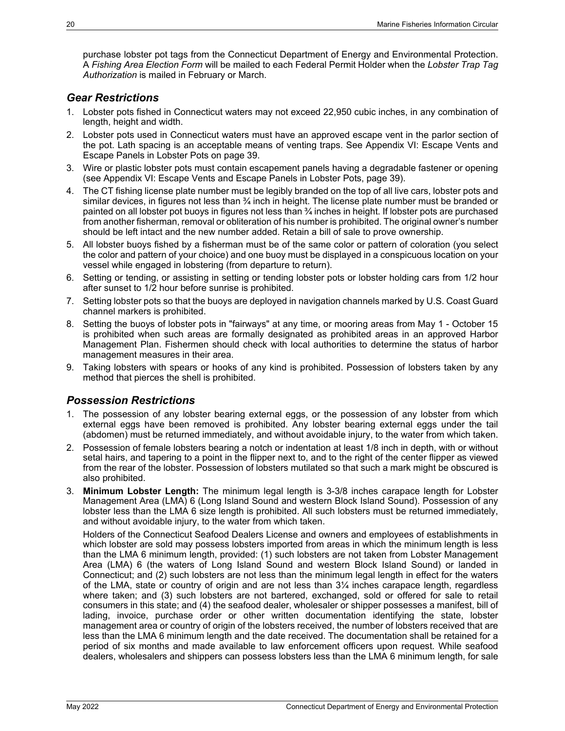purchase lobster pot tags from the Connecticut Department of Energy and Environmental Protection. A *Fishing Area Election Form* will be mailed to each Federal Permit Holder when the *Lobster Trap Tag Authorization* is mailed in February or March.

#### <span id="page-25-0"></span>*Gear Restrictions*

- 1. Lobster pots fished in Connecticut waters may not exceed 22,950 cubic inches, in any combination of length, height and width.
- 2. Lobster pots used in Connecticut waters must have an approved escape vent in the parlor section of the pot. Lath spacing is an acceptable means of venting traps. See [Appendix VI: Escape Vents and](#page-44-1)  [Escape Panels in Lobster Pots](#page-44-1) on page [39.](#page-44-1)
- 3. Wire or plastic lobster pots must contain escapement panels having a degradable fastener or opening (see [Appendix VI: Escape Vents and Escape Panels in Lobster Pots,](#page-44-1) page [39\)](#page-44-1).
- 4. The CT fishing license plate number must be legibly branded on the top of all live cars, lobster pots and similar devices, in figures not less than ¾ inch in height. The license plate number must be branded or painted on all lobster pot buoys in figures not less than ¾ inches in height. If lobster pots are purchased from another fisherman, removal or obliteration of his number is prohibited. The original owner's number should be left intact and the new number added. Retain a bill of sale to prove ownership.
- 5. All lobster buoys fished by a fisherman must be of the same color or pattern of coloration (you select the color and pattern of your choice) and one buoy must be displayed in a conspicuous location on your vessel while engaged in lobstering (from departure to return).
- 6. Setting or tending, or assisting in setting or tending lobster pots or lobster holding cars from 1/2 hour after sunset to 1/2 hour before sunrise is prohibited.
- 7. Setting lobster pots so that the buoys are deployed in navigation channels marked by U.S. Coast Guard channel markers is prohibited.
- 8. Setting the buoys of lobster pots in "fairways" at any time, or mooring areas from May 1 October 15 is prohibited when such areas are formally designated as prohibited areas in an approved Harbor Management Plan. Fishermen should check with local authorities to determine the status of harbor management measures in their area.
- 9. Taking lobsters with spears or hooks of any kind is prohibited. Possession of lobsters taken by any method that pierces the shell is prohibited.

#### <span id="page-25-1"></span>*Possession Restrictions*

- 1. The possession of any lobster bearing external eggs, or the possession of any lobster from which external eggs have been removed is prohibited. Any lobster bearing external eggs under the tail (abdomen) must be returned immediately, and without avoidable injury, to the water from which taken.
- 2. Possession of female lobsters bearing a notch or indentation at least 1/8 inch in depth, with or without setal hairs, and tapering to a point in the flipper next to, and to the right of the center flipper as viewed from the rear of the lobster. Possession of lobsters mutilated so that such a mark might be obscured is also prohibited.
- 3. **Minimum Lobster Length:** The minimum legal length is 3-3/8 inches carapace length for Lobster Management Area (LMA) 6 (Long Island Sound and western Block Island Sound). Possession of any lobster less than the LMA 6 size length is prohibited. All such lobsters must be returned immediately, and without avoidable injury, to the water from which taken.

Holders of the Connecticut Seafood Dealers License and owners and employees of establishments in which lobster are sold may possess lobsters imported from areas in which the minimum length is less than the LMA 6 minimum length, provided: (1) such lobsters are not taken from Lobster Management Area (LMA) 6 (the waters of Long Island Sound and western Block Island Sound) or landed in Connecticut; and (2) such lobsters are not less than the minimum legal length in effect for the waters of the LMA, state or country of origin and are not less than 3¼ inches carapace length, regardless where taken; and (3) such lobsters are not bartered, exchanged, sold or offered for sale to retail consumers in this state; and (4) the seafood dealer, wholesaler or shipper possesses a manifest, bill of lading, invoice, purchase order or other written documentation identifying the state, lobster management area or country of origin of the lobsters received, the number of lobsters received that are less than the LMA 6 minimum length and the date received. The documentation shall be retained for a period of six months and made available to law enforcement officers upon request. While seafood dealers, wholesalers and shippers can possess lobsters less than the LMA 6 minimum length, for sale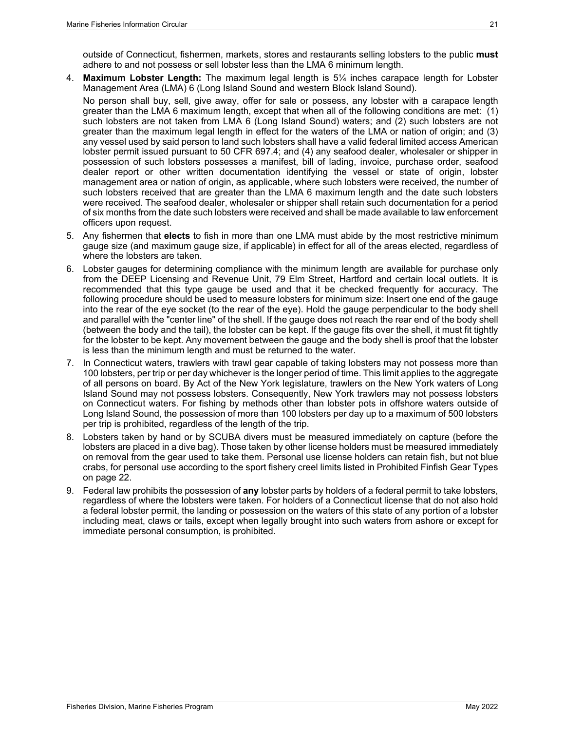outside of Connecticut, fishermen, markets, stores and restaurants selling lobsters to the public **must** adhere to and not possess or sell lobster less than the LMA 6 minimum length.

4. **Maximum Lobster Length:** The maximum legal length is 5¼ inches carapace length for Lobster Management Area (LMA) 6 (Long Island Sound and western Block Island Sound).

No person shall buy, sell, give away, offer for sale or possess, any lobster with a carapace length greater than the LMA 6 maximum length, except that when all of the following conditions are met: (1) such lobsters are not taken from LMA 6 (Long Island Sound) waters; and (2) such lobsters are not greater than the maximum legal length in effect for the waters of the LMA or nation of origin; and (3) any vessel used by said person to land such lobsters shall have a valid federal limited access American lobster permit issued pursuant to 50 CFR 697.4; and (4) any seafood dealer, wholesaler or shipper in possession of such lobsters possesses a manifest, bill of lading, invoice, purchase order, seafood dealer report or other written documentation identifying the vessel or state of origin, lobster management area or nation of origin, as applicable, where such lobsters were received, the number of such lobsters received that are greater than the LMA 6 maximum length and the date such lobsters were received. The seafood dealer, wholesaler or shipper shall retain such documentation for a period of six months from the date such lobsters were received and shall be made available to law enforcement officers upon request.

- 5. Any fishermen that **elects** to fish in more than one LMA must abide by the most restrictive minimum gauge size (and maximum gauge size, if applicable) in effect for all of the areas elected, regardless of where the lobsters are taken.
- 6. Lobster gauges for determining compliance with the minimum length are available for purchase only from the DEEP Licensing and Revenue Unit, 79 Elm Street, Hartford and certain local outlets. It is recommended that this type gauge be used and that it be checked frequently for accuracy. The following procedure should be used to measure lobsters for minimum size: Insert one end of the gauge into the rear of the eye socket (to the rear of the eye). Hold the gauge perpendicular to the body shell and parallel with the "center line" of the shell. If the gauge does not reach the rear end of the body shell (between the body and the tail), the lobster can be kept. If the gauge fits over the shell, it must fit tightly for the lobster to be kept. Any movement between the gauge and the body shell is proof that the lobster is less than the minimum length and must be returned to the water.
- 7. In Connecticut waters, trawlers with trawl gear capable of taking lobsters may not possess more than 100 lobsters, per trip or per day whichever is the longer period of time. This limit applies to the aggregate of all persons on board. By Act of the New York legislature, trawlers on the New York waters of Long Island Sound may not possess lobsters. Consequently, New York trawlers may not possess lobsters on Connecticut waters. For fishing by methods other than lobster pots in offshore waters outside of Long Island Sound, the possession of more than 100 lobsters per day up to a maximum of 500 lobsters per trip is prohibited, regardless of the length of the trip.
- 8. Lobsters taken by hand or by SCUBA divers must be measured immediately on capture (before the lobsters are placed in a dive bag). Those taken by other license holders must be measured immediately on removal from the gear used to take them. Personal use license holders can retain fish, but not blue crabs, for personal use according to the sport fishery creel limits listed in [Prohibited Finfish Gear Types](#page-27-1) on page [22.](#page-27-1)
- <span id="page-26-0"></span>9. Federal law prohibits the possession of **any** lobster parts by holders of a federal permit to take lobsters, regardless of where the lobsters were taken. For holders of a Connecticut license that do not also hold a federal lobster permit, the landing or possession on the waters of this state of any portion of a lobster including meat, claws or tails, except when legally brought into such waters from ashore or except for immediate personal consumption, is prohibited.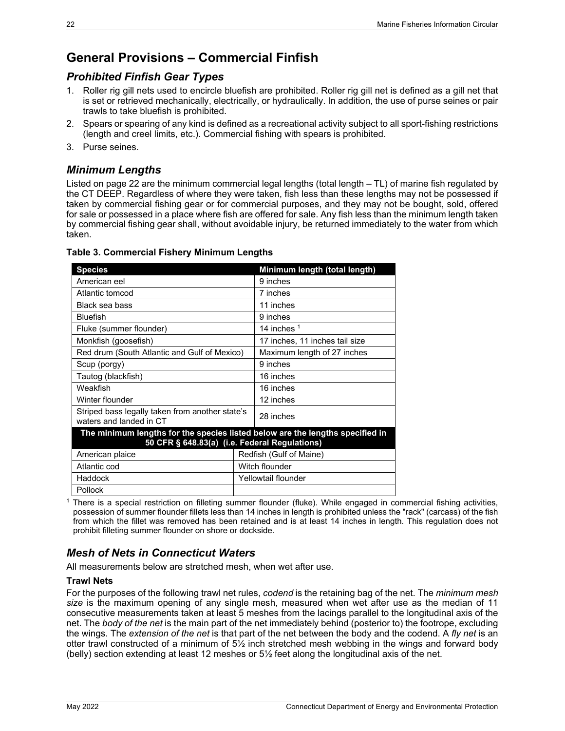# <span id="page-27-0"></span>**General Provisions – Commercial Finfish**

### <span id="page-27-1"></span>*Prohibited Finfish Gear Types*

- 1. Roller rig gill nets used to encircle bluefish are prohibited. Roller rig gill net is defined as a gill net that is set or retrieved mechanically, electrically, or hydraulically. In addition, the use of purse seines or pair trawls to take bluefish is prohibited.
- 2. Spears or spearing of any kind is defined as a recreational activity subject to all sport-fishing restrictions (length and creel limits, etc.). Commercial fishing with spears is prohibited.
- 3. Purse seines.

### <span id="page-27-2"></span>*Minimum Lengths*

Listed on page [22](#page-27-5) are the minimum commercial legal lengths (total length – TL) of marine fish regulated by the CT DEEP. Regardless of where they were taken, fish less than these lengths may not be possessed if taken by commercial fishing gear or for commercial purposes, and they may not be bought, sold, offered for sale or possessed in a place where fish are offered for sale. Any fish less than the minimum length taken by commercial fishing gear shall, without avoidable injury, be returned immediately to the water from which taken.

| <b>Species</b>                                                                                                                 | Minimum length (total length)  |  |  |  |  |
|--------------------------------------------------------------------------------------------------------------------------------|--------------------------------|--|--|--|--|
| American eel                                                                                                                   | 9 inches                       |  |  |  |  |
| Atlantic tomcod                                                                                                                | 7 inches                       |  |  |  |  |
| Black sea bass                                                                                                                 | 11 inches                      |  |  |  |  |
| <b>Bluefish</b>                                                                                                                | 9 inches                       |  |  |  |  |
| Fluke (summer flounder)                                                                                                        | 14 inches $1$                  |  |  |  |  |
| Monkfish (goosefish)                                                                                                           | 17 inches, 11 inches tail size |  |  |  |  |
| Red drum (South Atlantic and Gulf of Mexico)                                                                                   | Maximum length of 27 inches    |  |  |  |  |
| Scup (porgy)                                                                                                                   | 9 inches                       |  |  |  |  |
| Tautog (blackfish)                                                                                                             | 16 inches                      |  |  |  |  |
| Weakfish                                                                                                                       | 16 inches                      |  |  |  |  |
| Winter flounder                                                                                                                | 12 inches                      |  |  |  |  |
| Striped bass legally taken from another state's<br>waters and landed in CT                                                     | 28 inches                      |  |  |  |  |
| The minimum lengths for the species listed below are the lengths specified in<br>50 CFR § 648.83(a) (i.e. Federal Regulations) |                                |  |  |  |  |
| American plaice                                                                                                                | Redfish (Gulf of Maine)        |  |  |  |  |
| Atlantic cod                                                                                                                   | Witch flounder                 |  |  |  |  |
| Haddock                                                                                                                        | Yellowtail flounder            |  |  |  |  |
| Pollock                                                                                                                        |                                |  |  |  |  |

#### <span id="page-27-5"></span>**Table 3. Commercial Fishery Minimum Lengths**

<sup>1</sup> There is a special restriction on filleting summer flounder (fluke). While engaged in commercial fishing activities, possession of summer flounder fillets less than 14 inches in length is prohibited unless the "rack" (carcass) of the fish from which the fillet was removed has been retained and is at least 14 inches in length. This regulation does not prohibit filleting summer flounder on shore or dockside.

### <span id="page-27-3"></span>*Mesh of Nets in Connecticut Waters*

All measurements below are stretched mesh, when wet after use.

#### <span id="page-27-4"></span>**Trawl Nets**

For the purposes of the following trawl net rules, *codend* is the retaining bag of the net. The *minimum mesh size* is the maximum opening of any single mesh, measured when wet after use as the median of 11 consecutive measurements taken at least 5 meshes from the lacings parallel to the longitudinal axis of the net. The *body of the net* is the main part of the net immediately behind (posterior to) the footrope, excluding the wings. The *extension of the net* is that part of the net between the body and the codend. A *fly net* is an otter trawl constructed of a minimum of 5½ inch stretched mesh webbing in the wings and forward body (belly) section extending at least 12 meshes or 5½ feet along the longitudinal axis of the net.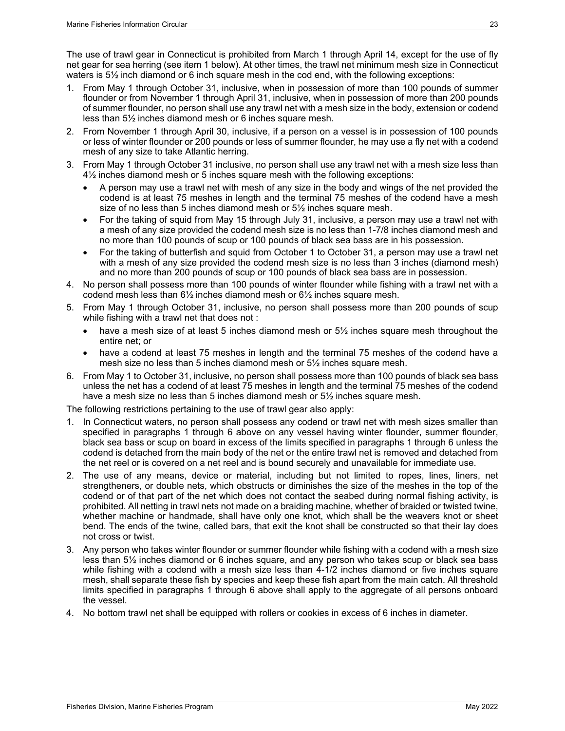The use of trawl gear in Connecticut is prohibited from March 1 through April 14, except for the use of fly net gear for sea herring (see item [1](#page-28-0) below). At other times, the trawl net minimum mesh size in Connecticut waters is 5½ inch diamond or 6 inch square mesh in the cod end, with the following exceptions:

- <span id="page-28-0"></span>1. From May 1 through October 31, inclusive, when in possession of more than 100 pounds of summer flounder or from November 1 through April 31, inclusive, when in possession of more than 200 pounds of summer flounder, no person shall use any trawl net with a mesh size in the body, extension or codend less than 5½ inches diamond mesh or 6 inches square mesh.
- 2. From November 1 through April 30, inclusive, if a person on a vessel is in possession of 100 pounds or less of winter flounder or 200 pounds or less of summer flounder, he may use a fly net with a codend mesh of any size to take Atlantic herring.
- 3. From May 1 through October 31 inclusive, no person shall use any trawl net with a mesh size less than 4½ inches diamond mesh or 5 inches square mesh with the following exceptions:
	- A person may use a trawl net with mesh of any size in the body and wings of the net provided the codend is at least 75 meshes in length and the terminal 75 meshes of the codend have a mesh size of no less than 5 inches diamond mesh or 5½ inches square mesh.
	- For the taking of squid from May 15 through July 31, inclusive, a person may use a trawl net with a mesh of any size provided the codend mesh size is no less than 1-7/8 inches diamond mesh and no more than 100 pounds of scup or 100 pounds of black sea bass are in his possession.
	- For the taking of butterfish and squid from October 1 to October 31, a person may use a trawl net with a mesh of any size provided the codend mesh size is no less than 3 inches (diamond mesh) and no more than 200 pounds of scup or 100 pounds of black sea bass are in possession.
- 4. No person shall possess more than 100 pounds of winter flounder while fishing with a trawl net with a codend mesh less than 6½ inches diamond mesh or 6½ inches square mesh.
- 5. From May 1 through October 31, inclusive, no person shall possess more than 200 pounds of scup while fishing with a trawl net that does not :
	- have a mesh size of at least 5 inches diamond mesh or 5<sup>1/2</sup> inches square mesh throughout the entire net; or
	- have a codend at least 75 meshes in length and the terminal 75 meshes of the codend have a mesh size no less than 5 inches diamond mesh or 5½ inches square mesh.
- 6. From May 1 to October 31, inclusive, no person shall possess more than 100 pounds of black sea bass unless the net has a codend of at least 75 meshes in length and the terminal 75 meshes of the codend have a mesh size no less than 5 inches diamond mesh or 5<sup>1</sup>/<sub>2</sub> inches square mesh.

The following restrictions pertaining to the use of trawl gear also apply:

- 1. In Connecticut waters, no person shall possess any codend or trawl net with mesh sizes smaller than specified in paragraphs 1 through 6 above on any vessel having winter flounder, summer flounder, black sea bass or scup on board in excess of the limits specified in paragraphs 1 through 6 unless the codend is detached from the main body of the net or the entire trawl net is removed and detached from the net reel or is covered on a net reel and is bound securely and unavailable for immediate use.
- 2. The use of any means, device or material, including but not limited to ropes, lines, liners, net strengtheners, or double nets, which obstructs or diminishes the size of the meshes in the top of the codend or of that part of the net which does not contact the seabed during normal fishing activity, is prohibited. All netting in trawl nets not made on a braiding machine, whether of braided or twisted twine, whether machine or handmade, shall have only one knot, which shall be the weavers knot or sheet bend. The ends of the twine, called bars, that exit the knot shall be constructed so that their lay does not cross or twist.
- 3. Any person who takes winter flounder or summer flounder while fishing with a codend with a mesh size less than 5½ inches diamond or 6 inches square, and any person who takes scup or black sea bass while fishing with a codend with a mesh size less than 4-1/2 inches diamond or five inches square mesh, shall separate these fish by species and keep these fish apart from the main catch. All threshold limits specified in paragraphs 1 through 6 above shall apply to the aggregate of all persons onboard the vessel.
- 4. No bottom trawl net shall be equipped with rollers or cookies in excess of 6 inches in diameter.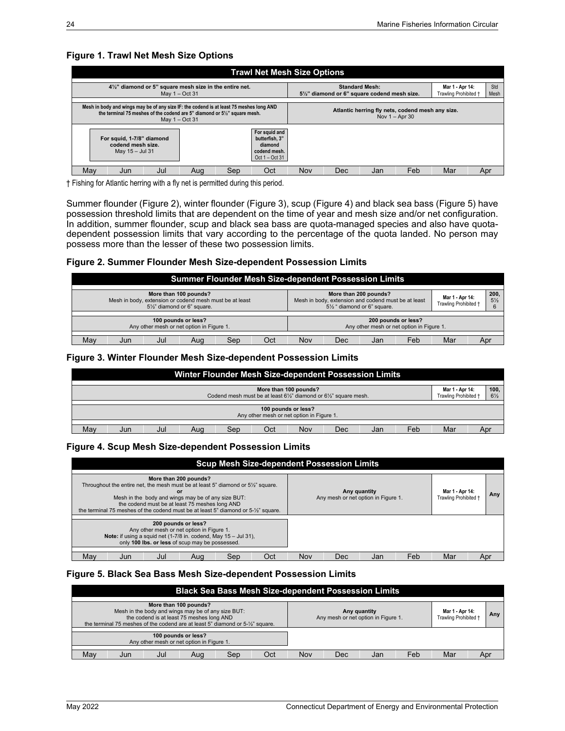#### **Figure 1. Trawl Net Mesh Size Options**

|                                                                                                                                                                                        | <b>Trawl Net Mesh Size Options</b> |     |     |     |                                                   |                                                  |                                                                       |     |                                          |     |             |  |
|----------------------------------------------------------------------------------------------------------------------------------------------------------------------------------------|------------------------------------|-----|-----|-----|---------------------------------------------------|--------------------------------------------------|-----------------------------------------------------------------------|-----|------------------------------------------|-----|-------------|--|
| 41/2" diamond or 5" square mesh size in the entire net.<br>May $1 - Oct$ 31                                                                                                            |                                    |     |     |     |                                                   |                                                  | <b>Standard Mesh:</b><br>51/2" diamond or 6" square codend mesh size. |     | Mar 1 - Apr 14:<br>Trawling Prohibited † |     | Std<br>Mesh |  |
| Mesh in body and wings may be of any size IF: the codend is at least 75 meshes long AND<br>the terminal 75 meshes of the codend are 5" diamond or 5%" square mesh.<br>May $1 - Oct$ 31 |                                    |     |     |     |                                                   | Atlantic herring fly nets, codend mesh any size. | Nov $1 -$ Apr 30                                                      |     |                                          |     |             |  |
| butterfish. 3"<br>For squid, 1-7/8" diamond<br>codend mesh size.<br>diamond<br>May 15 - Jul 31                                                                                         |                                    |     |     |     | For squid and<br>codend mesh.<br>Oct $1 -$ Oct 31 |                                                  |                                                                       |     |                                          |     |             |  |
| Mav                                                                                                                                                                                    | Jun                                | Jul | Aua | Sep | Oct                                               | Nov                                              | Dec                                                                   | Jan | Feb                                      | Mar | Apr         |  |

† Fishing for Atlantic herring with a fly net is permitted during this period.

Summer flounder [\(Figure 2\)](#page-29-0), winter flounder [\(Figure 3\)](#page-29-1), scup [\(Figure 4\)](#page-29-2) and black sea bass [\(Figure 5\)](#page-29-3) have possession threshold limits that are dependent on the time of year and mesh size and/or net configuration. In addition, summer flounder, scup and black sea bass are quota-managed species and also have quotadependent possession limits that vary according to the percentage of the quota landed. No person may possess more than the lesser of these two possession limits.

#### <span id="page-29-0"></span>**Figure 2. Summer Flounder Mesh Size-dependent Possession Limits**

| <b>Summer Flounder Mesh Size-dependent Possession Limits</b>                                                    |                                                                                                              |     |     |                                                                    |     |     |     |  |
|-----------------------------------------------------------------------------------------------------------------|--------------------------------------------------------------------------------------------------------------|-----|-----|--------------------------------------------------------------------|-----|-----|-----|--|
| More than 100 pounds?<br>Mesh in body, extension or codend mesh must be at least<br>51/2" diamond or 6" square. | More than 200 pounds?<br>Mesh in body, extension and codend must be at least<br>51/2 " diamond or 6" square. |     |     | 200,<br>Mar 1 - Apr 14:<br>$5\frac{1}{2}$<br>Trawling Prohibited + |     |     |     |  |
|                                                                                                                 |                                                                                                              |     |     |                                                                    |     |     |     |  |
| 100 pounds or less?<br>Any other mesh or net option in Figure 1.                                                |                                                                                                              |     |     | 200 pounds or less?<br>Any other mesh or net option in Figure 1.   |     |     |     |  |
|                                                                                                                 |                                                                                                              |     |     |                                                                    |     |     |     |  |
| Mav<br>Jul<br>Sep<br>Aug<br>Jun                                                                                 | Oct                                                                                                          | Nov | Dec | Jan                                                                | Feb | Mar | Apr |  |

#### <span id="page-29-1"></span>**Figure 3. Winter Flounder Mesh Size-dependent Possession Limits**

| Winter Flounder Mesh Size-dependent Possession Limits                                                                                                       |     |     |  |  |  |  |  |  |
|-------------------------------------------------------------------------------------------------------------------------------------------------------------|-----|-----|--|--|--|--|--|--|
|                                                                                                                                                             |     |     |  |  |  |  |  |  |
| More than 100 pounds?<br>Mar 1 - Apr 14:<br>Trawling Prohibited +<br>Codend mesh must be at least $6\frac{1}{2}$ " diamond or $6\frac{1}{2}$ " square mesh. |     |     |  |  |  |  |  |  |
|                                                                                                                                                             |     |     |  |  |  |  |  |  |
| 100 pounds or less?<br>Any other mesh or net option in Figure 1.                                                                                            |     |     |  |  |  |  |  |  |
|                                                                                                                                                             |     |     |  |  |  |  |  |  |
| May<br>Feb<br>Jul<br>Oct<br>Nov<br>Dec<br>Sep<br>Aug<br>Jun<br>Jan                                                                                          | Mar | Apr |  |  |  |  |  |  |

#### <span id="page-29-2"></span>**Figure 4. Scup Mesh Size-dependent Possession Limits**

| <b>Scup Mesh Size-dependent Possession Limits</b>                                                                                                                                                                                                                                                                                     |                                                                                                 |     |  |  |  |  |  |  |  |
|---------------------------------------------------------------------------------------------------------------------------------------------------------------------------------------------------------------------------------------------------------------------------------------------------------------------------------------|-------------------------------------------------------------------------------------------------|-----|--|--|--|--|--|--|--|
| More than 200 pounds?<br>Throughout the entire net, the mesh must be at least 5" diamond or $5\frac{1}{2}$ " square.<br>or<br>Mesh in the body and wings may be of any size BUT:<br>the codend must be at least 75 meshes long AND<br>the terminal 75 meshes of the codend must be at least 5" diamond or 5-1/ <sub>2</sub> " square. | Mar 1 - Apr 14:<br>Any quantity<br>Any mesh or net option in Figure 1.<br>Trawling Prohibited + | Any |  |  |  |  |  |  |  |
| 200 pounds or less?<br>Any other mesh or net option in Figure 1.<br><b>Note:</b> if using a squid net $(1-7/8)$ in. codend, May $15 -$ Jul 31),<br>only 100 lbs. or less of scup may be possessed.                                                                                                                                    |                                                                                                 |     |  |  |  |  |  |  |  |
| May<br>Oct<br>Jul<br>Sep<br>Jun<br>Aua                                                                                                                                                                                                                                                                                                | Feb<br>Mar<br>Nov<br>Dec<br>Jan                                                                 | Apr |  |  |  |  |  |  |  |

#### <span id="page-29-3"></span>**Figure 5. Black Sea Bass Mesh Size-dependent Possession Limits**

| <b>Black Sea Bass Mesh Size-dependent Possession Limits</b>                    |                                                                                                                          |     |     |     |     |                                                     |     |                                          |  |     |
|--------------------------------------------------------------------------------|--------------------------------------------------------------------------------------------------------------------------|-----|-----|-----|-----|-----------------------------------------------------|-----|------------------------------------------|--|-----|
| the terminal 75 meshes of the codend are at least 5" diamond or 5-1/2" square. | More than 100 pounds?<br>Mesh in the body and wings may be of any size BUT:<br>the codend is at least 75 meshes long AND |     |     |     |     | Any quantity<br>Any mesh or net option in Figure 1. |     | Mar 1 - Apr 14:<br>Trawling Prohibited + |  | Any |
|                                                                                | 100 pounds or less?<br>Any other mesh or net option in Figure 1.                                                         |     |     |     |     |                                                     |     |                                          |  |     |
| May<br>Jun                                                                     | Jul<br>Aug                                                                                                               | Sep | Oct | Nov | Dec | Jan                                                 | Feb | Mar                                      |  | Apr |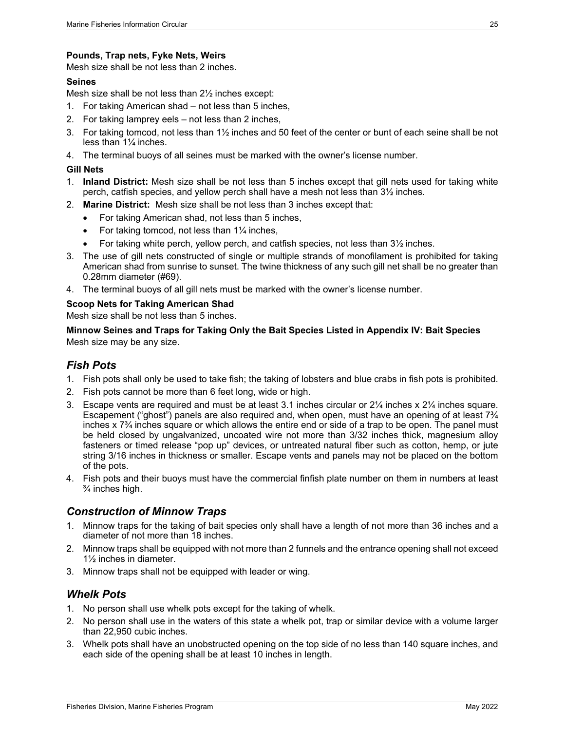#### <span id="page-30-0"></span>**Pounds, Trap nets, Fyke Nets, Weirs**

Mesh size shall be not less than 2 inches.

#### <span id="page-30-1"></span>**Seines**

Mesh size shall be not less than 2½ inches except:

- 1. For taking American shad not less than 5 inches,
- 2. For taking lamprey eels not less than 2 inches,
- 3. For taking tomcod, not less than 1½ inches and 50 feet of the center or bunt of each seine shall be not less than 1¼ inches.
- 4. The terminal buoys of all seines must be marked with the owner's license number.

#### <span id="page-30-2"></span>**Gill Nets**

- 1. **Inland District:** Mesh size shall be not less than 5 inches except that gill nets used for taking white perch, catfish species, and yellow perch shall have a mesh not less than 3½ inches.
- 2. **Marine District:** Mesh size shall be not less than 3 inches except that:
	- For taking American shad, not less than 5 inches,
	- For taking tomcod, not less than  $1\frac{1}{4}$  inches,
	- For taking white perch, yellow perch, and catfish species, not less than 3½ inches.
- 3. The use of gill nets constructed of single or multiple strands of monofilament is prohibited for taking American shad from sunrise to sunset. The twine thickness of any such gill net shall be no greater than 0.28mm diameter (#69).
- 4. The terminal buoys of all gill nets must be marked with the owner's license number.

#### <span id="page-30-3"></span>**Scoop Nets for Taking American Shad**

Mesh size shall be not less than 5 inches.

<span id="page-30-4"></span>**Minnow Seines and Traps for Taking Only the Bait Species Listed in [Appendix IV: Bait Species](#page-43-0)** Mesh size may be any size.

#### <span id="page-30-5"></span>*Fish Pots*

- 1. Fish pots shall only be used to take fish; the taking of lobsters and blue crabs in fish pots is prohibited.
- 2. Fish pots cannot be more than 6 feet long, wide or high.
- 3. Escape vents are required and must be at least 3.1 inches circular or 2¼ inches x 2¼ inches square. Escapement ("ghost") panels are also required and, when open, must have an opening of at least 7¾ inches x 7¾ inches square or which allows the entire end or side of a trap to be open. The panel must be held closed by ungalvanized, uncoated wire not more than 3/32 inches thick, magnesium alloy fasteners or timed release "pop up" devices, or untreated natural fiber such as cotton, hemp, or jute string 3/16 inches in thickness or smaller. Escape vents and panels may not be placed on the bottom of the pots.
- 4. Fish pots and their buoys must have the commercial finfish plate number on them in numbers at least ¾ inches high.

#### <span id="page-30-6"></span>*Construction of Minnow Traps*

- 1. Minnow traps for the taking of bait species only shall have a length of not more than 36 inches and a diameter of not more than 18 inches.
- 2. Minnow traps shall be equipped with not more than 2 funnels and the entrance opening shall not exceed 1½ inches in diameter.
- 3. Minnow traps shall not be equipped with leader or wing.

#### <span id="page-30-7"></span>*Whelk Pots*

- 1. No person shall use whelk pots except for the taking of whelk.
- 2. No person shall use in the waters of this state a whelk pot, trap or similar device with a volume larger than 22,950 cubic inches.
- 3. Whelk pots shall have an unobstructed opening on the top side of no less than 140 square inches, and each side of the opening shall be at least 10 inches in length.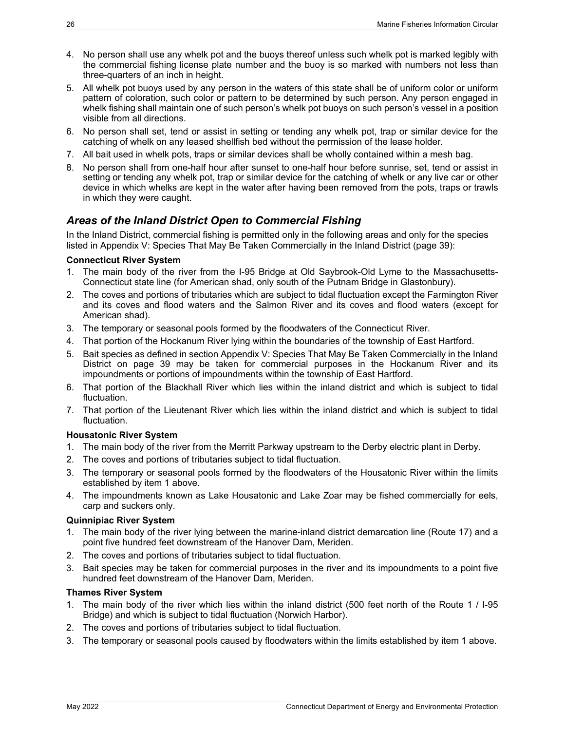- 4. No person shall use any whelk pot and the buoys thereof unless such whelk pot is marked legibly with the commercial fishing license plate number and the buoy is so marked with numbers not less than three-quarters of an inch in height.
- 5. All whelk pot buoys used by any person in the waters of this state shall be of uniform color or uniform pattern of coloration, such color or pattern to be determined by such person. Any person engaged in whelk fishing shall maintain one of such person's whelk pot buoys on such person's vessel in a position visible from all directions.
- 6. No person shall set, tend or assist in setting or tending any whelk pot, trap or similar device for the catching of whelk on any leased shellfish bed without the permission of the lease holder.
- 7. All bait used in whelk pots, traps or similar devices shall be wholly contained within a mesh bag.
- 8. No person shall from one-half hour after sunset to one-half hour before sunrise, set, tend or assist in setting or tending any whelk pot, trap or similar device for the catching of whelk or any live car or other device in which whelks are kept in the water after having been removed from the pots, traps or trawls in which they were caught.

### <span id="page-31-0"></span>*Areas of the Inland District Open to Commercial Fishing*

In the Inland District, commercial fishing is permitted only in the following areas and only for the species listed in [Appendix V: Species That May Be Taken Commercially in the Inland District](#page-44-0) (page [39\)](#page-43-1):

#### <span id="page-31-1"></span>**Connecticut River System**

- 1. The main body of the river from the I-95 Bridge at Old Saybrook-Old Lyme to the Massachusetts-Connecticut state line (for American shad, only south of the Putnam Bridge in Glastonbury).
- 2. The coves and portions of tributaries which are subject to tidal fluctuation except the Farmington River and its coves and flood waters and the Salmon River and its coves and flood waters (except for American shad).
- 3. The temporary or seasonal pools formed by the floodwaters of the Connecticut River.
- 4. That portion of the Hockanum River lying within the boundaries of the township of East Hartford.
- 5. Bait species as defined in section [Appendix V: Species That May Be Taken Commercially in the Inland](#page-44-0)  [District](#page-44-0) on page [39](#page-44-0) may be taken for commercial purposes in the Hockanum River and its impoundments or portions of impoundments within the township of East Hartford.
- 6. That portion of the Blackhall River which lies within the inland district and which is subject to tidal fluctuation.
- 7. That portion of the Lieutenant River which lies within the inland district and which is subject to tidal fluctuation.

#### <span id="page-31-2"></span>**Housatonic River System**

- <span id="page-31-5"></span>1. The main body of the river from the Merritt Parkway upstream to the Derby electric plant in Derby.
- 2. The coves and portions of tributaries subject to tidal fluctuation.
- 3. The temporary or seasonal pools formed by the floodwaters of the Housatonic River within the limits established by item [1](#page-31-5) above.
- 4. The impoundments known as Lake Housatonic and Lake Zoar may be fished commercially for eels, carp and suckers only.

#### <span id="page-31-3"></span>**Quinnipiac River System**

- 1. The main body of the river lying between the marine-inland district demarcation line (Route 17) and a point five hundred feet downstream of the Hanover Dam, Meriden.
- 2. The coves and portions of tributaries subject to tidal fluctuation.
- 3. Bait species may be taken for commercial purposes in the river and its impoundments to a point five hundred feet downstream of the Hanover Dam, Meriden.

#### <span id="page-31-4"></span>**Thames River System**

- <span id="page-31-6"></span>1. The main body of the river which lies within the inland district (500 feet north of the Route 1 / I-95 Bridge) and which is subject to tidal fluctuation (Norwich Harbor).
- 2. The coves and portions of tributaries subject to tidal fluctuation.
- 3. The temporary or seasonal pools caused by floodwaters within the limits established by item [1](#page-31-6) above.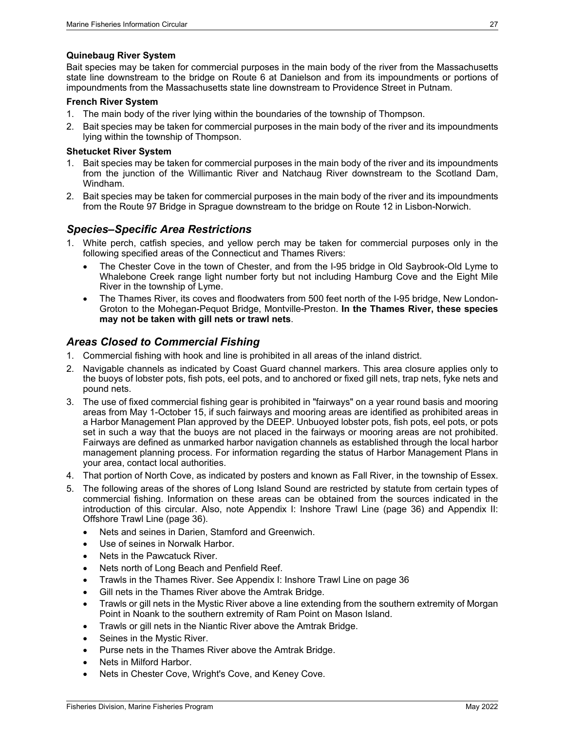#### <span id="page-32-0"></span>**Quinebaug River System**

Bait species may be taken for commercial purposes in the main body of the river from the Massachusetts state line downstream to the bridge on Route 6 at Danielson and from its impoundments or portions of impoundments from the Massachusetts state line downstream to Providence Street in Putnam.

#### <span id="page-32-1"></span>**French River System**

- 1. The main body of the river lying within the boundaries of the township of Thompson.
- 2. Bait species may be taken for commercial purposes in the main body of the river and its impoundments lying within the township of Thompson.

#### <span id="page-32-2"></span>**Shetucket River System**

- 1. Bait species may be taken for commercial purposes in the main body of the river and its impoundments from the junction of the Willimantic River and Natchaug River downstream to the Scotland Dam, Windham.
- 2. Bait species may be taken for commercial purposes in the main body of the river and its impoundments from the Route 97 Bridge in Sprague downstream to the bridge on Route 12 in Lisbon-Norwich.

#### <span id="page-32-3"></span>*Species–Specific Area Restrictions*

- 1. White perch, catfish species, and yellow perch may be taken for commercial purposes only in the following specified areas of the Connecticut and Thames Rivers:
	- The Chester Cove in the town of Chester, and from the I-95 bridge in Old Saybrook-Old Lyme to Whalebone Creek range light number forty but not including Hamburg Cove and the Eight Mile River in the township of Lyme.
	- The Thames River, its coves and floodwaters from 500 feet north of the I-95 bridge, New London-Groton to the Mohegan-Pequot Bridge, Montville-Preston. **In the Thames River, these species may not be taken with gill nets or trawl nets**.

#### <span id="page-32-4"></span>*Areas Closed to Commercial Fishing*

- 1. Commercial fishing with hook and line is prohibited in all areas of the inland district.
- 2. Navigable channels as indicated by Coast Guard channel markers. This area closure applies only to the buoys of lobster pots, fish pots, eel pots, and to anchored or fixed gill nets, trap nets, fyke nets and pound nets.
- 3. The use of fixed commercial fishing gear is prohibited in "fairways" on a year round basis and mooring areas from May 1-October 15, if such fairways and mooring areas are identified as prohibited areas in a Harbor Management Plan approved by the DEEP. Unbuoyed lobster pots, fish pots, eel pots, or pots set in such a way that the buoys are not placed in the fairways or mooring areas are not prohibited. Fairways are defined as unmarked harbor navigation channels as established through the local harbor management planning process. For information regarding the status of Harbor Management Plans in your area, contact local authorities.
- 4. That portion of North Cove, as indicated by posters and known as Fall River, in the township of Essex.
- 5. The following areas of the shores of Long Island Sound are restricted by statute from certain types of commercial fishing. Information on these areas can be obtained from the sources indicated in the introduction of this circular. Also, note [Appendix I: Inshore Trawl Line](#page-41-1) (page [36\)](#page-41-1) and [Appendix II:](#page-41-2)  [Offshore Trawl Line](#page-41-2) (page [36\)](#page-41-2).
	- Nets and seines in Darien, Stamford and Greenwich.
	- Use of seines in Norwalk Harbor.
	- Nets in the Pawcatuck River.
	- Nets north of Long Beach and Penfield Reef.
	- Trawls in the Thames River. See [Appendix I: Inshore Trawl Line](#page-41-1) on page [36](#page-41-1)
	- Gill nets in the Thames River above the Amtrak Bridge.
	- Trawls or gill nets in the Mystic River above a line extending from the southern extremity of Morgan Point in Noank to the southern extremity of Ram Point on Mason Island.
	- Trawls or gill nets in the Niantic River above the Amtrak Bridge.
	- Seines in the Mystic River.
	- Purse nets in the Thames River above the Amtrak Bridge.
	- Nets in Milford Harbor.
	- Nets in Chester Cove, Wright's Cove, and Keney Cove.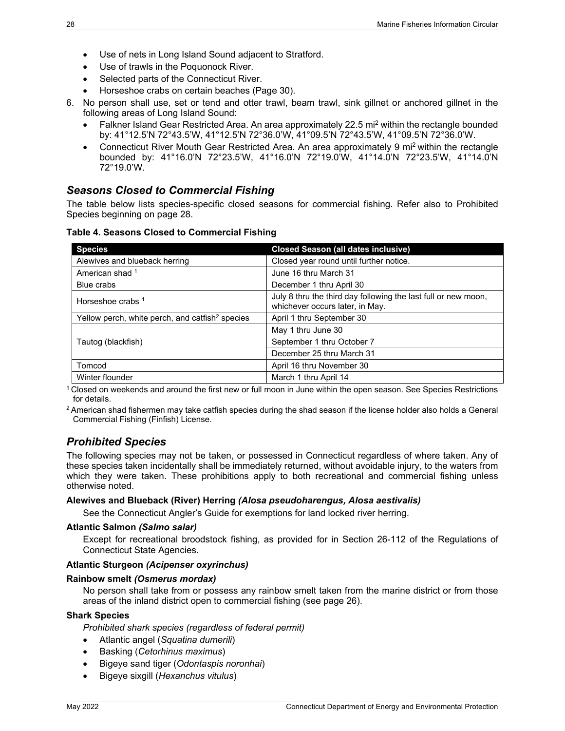- Use of nets in Long Island Sound adjacent to Stratford.
- Use of trawls in the Poquonock River.
- Selected parts of the Connecticut River.
- Horseshoe crabs on certain beaches (Page [30\)](#page-35-3).
- 6. No person shall use, set or tend and otter trawl, beam trawl, sink gillnet or anchored gillnet in the following areas of Long Island Sound:
	- Falkner Island Gear Restricted Area. An area approximately 22.5 mi<sup>2</sup> within the rectangle bounded by: 41°12.5'N 72°43.5'W, 41°12.5'N 72°36.0'W, 41°09.5'N 72°43.5'W, 41°09.5'N 72°36.0'W.
	- Connecticut River Mouth Gear Restricted Area. An area approximately 9 mi2 within the rectangle bounded by: 41°16.0'N 72°23.5'W, 41°16.0'N 72°19.0'W, 41°14.0'N 72°23.5'W, 41°14.0'N 72°19.0'W.

### <span id="page-33-0"></span>*Seasons Closed to Commercial Fishing*

The table below lists species-specific closed seasons for commercial fishing. Refer also to [Prohibited](#page-33-1)  [Species](#page-33-1) beginning on page [28.](#page-33-1)

| <b>Species</b>                                              | <b>Closed Season (all dates inclusive)</b>                                                        |
|-------------------------------------------------------------|---------------------------------------------------------------------------------------------------|
| Alewives and blueback herring                               | Closed year round until further notice.                                                           |
| American shad 1                                             | June 16 thru March 31                                                                             |
| Blue crabs                                                  | December 1 thru April 30                                                                          |
| Horseshoe crabs 1                                           | July 8 thru the third day following the last full or new moon,<br>whichever occurs later, in May. |
| Yellow perch, white perch, and catfish <sup>2</sup> species | April 1 thru September 30                                                                         |
|                                                             | May 1 thru June 30                                                                                |
| Tautog (blackfish)                                          | September 1 thru October 7                                                                        |
|                                                             | December 25 thru March 31                                                                         |
| Tomcod                                                      | April 16 thru November 30                                                                         |
| Winter flounder                                             | March 1 thru April 14                                                                             |

**Table 4. Seasons Closed to Commercial Fishing**

 $1$  Closed on weekends and around the first new or full moon in June within the open season. See Species Restrictions for details.

 $2$  American shad fishermen may take catfish species during the shad season if the license holder also holds a General Commercial Fishing (Finfish) License.

### <span id="page-33-1"></span>*Prohibited Species*

The following species may not be taken, or possessed in Connecticut regardless of where taken. Any of these species taken incidentally shall be immediately returned, without avoidable injury, to the waters from which they were taken. These prohibitions apply to both recreational and commercial fishing unless otherwise noted.

#### <span id="page-33-2"></span>**Alewives and Blueback (River) Herring** *(Alosa pseudoharengus, Alosa aestivalis)*

See the Connecticut Angler's Guide for exemptions for land locked river herring.

#### <span id="page-33-3"></span>**Atlantic Salmon** *(Salmo salar)*

Except for recreational broodstock fishing, as provided for in Section 26-112 of the Regulations of Connecticut State Agencies.

#### <span id="page-33-4"></span>**Atlantic Sturgeon** *(Acipenser oxyrinchus)*

#### <span id="page-33-5"></span>**Rainbow smelt** *(Osmerus mordax)*

No person shall take from or possess any rainbow smelt taken from the marine district or from those areas of the inland district open to commercial fishing (see page [26\)](#page-31-0).

#### <span id="page-33-6"></span>**Shark Species**

*Prohibited shark species (regardless of federal permit)*

- Atlantic angel (*Squatina dumerili*)
- Basking (*Cetorhinus maximus*)
- Bigeye sand tiger (*Odontaspis noronhai*)
- Bigeye sixgill (*Hexanchus vitulus*)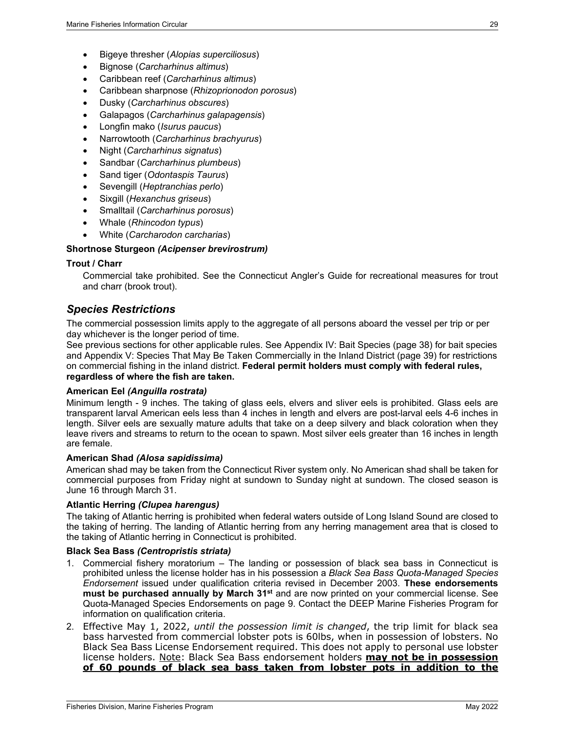- Bigeye thresher (*Alopias superciliosus*)
- Bignose (*Carcharhinus altimus*)
- Caribbean reef (*Carcharhinus altimus*)
- Caribbean sharpnose (*Rhizoprionodon porosus*)
- Dusky (*Carcharhinus obscures*)
- Galapagos (*Carcharhinus galapagensis*)
- Longfin mako (*Isurus paucus*)
- Narrowtooth (*Carcharhinus brachyurus*)
- Night (*Carcharhinus signatus*)
- Sandbar (*Carcharhinus plumbeus*)
- Sand tiger (*Odontaspis Taurus*)
- Sevengill (*Heptranchias perlo*)
- Sixgill (*Hexanchus griseus*)
- Smalltail (*Carcharhinus porosus*)
- Whale (*Rhincodon typus*)
- White (*Carcharodon carcharias*)

#### <span id="page-34-0"></span>**Shortnose Sturgeon** *(Acipenser brevirostrum)*

#### <span id="page-34-1"></span>**Trout / Charr**

Commercial take prohibited. See the Connecticut Angler's Guide for recreational measures for trout and charr (brook trout).

#### <span id="page-34-2"></span>*Species Restrictions*

The commercial possession limits apply to the aggregate of all persons aboard the vessel per trip or per day whichever is the longer period of time.

See previous sections for other applicable rules. See [Appendix IV: Bait Species](#page-43-0) (page [38\)](#page-43-0) for bait species and [Appendix V: Species That May Be Taken Commercially in the Inland District](#page-44-0) (page [39\)](#page-43-1) for restrictions on commercial fishing in the inland district. **Federal permit holders must comply with federal rules, regardless of where the fish are taken.**

#### <span id="page-34-3"></span>**American Eel** *(Anguilla rostrata)*

Minimum length - 9 inches. The taking of glass eels, elvers and sliver eels is prohibited. Glass eels are transparent larval American eels less than 4 inches in length and elvers are post-larval eels 4-6 inches in length. Silver eels are sexually mature adults that take on a deep silvery and black coloration when they leave rivers and streams to return to the ocean to spawn. Most silver eels greater than 16 inches in length are female.

#### <span id="page-34-4"></span>**American Shad** *(Alosa sapidissima)*

American shad may be taken from the Connecticut River system only. No American shad shall be taken for commercial purposes from Friday night at sundown to Sunday night at sundown. The closed season is June 16 through March 31.

#### <span id="page-34-5"></span>**Atlantic Herring** *(Clupea harengus)*

The taking of Atlantic herring is prohibited when federal waters outside of Long Island Sound are closed to the taking of herring. The landing of Atlantic herring from any herring management area that is closed to the taking of Atlantic herring in Connecticut is prohibited.

#### <span id="page-34-6"></span>**Black Sea Bass** *(Centropristis striata)*

- 1. Commercial fishery moratorium The landing or possession of black sea bass in Connecticut is prohibited unless the license holder has in his possession a *Black Sea Bass Quota-Managed Species Endorsement* issued under qualification criteria revised in December 2003. **These endorsements must be purchased annually by March 31st** and are now printed on your commercial license. See [Quota-Managed Species Endorsements](#page-14-0) on page [9.](#page-14-0) Contact the DEEP Marine Fisheries Program for information on qualification criteria.
- 2. Effective May 1, 2022, *until the possession limit is changed*, the trip limit for black sea bass harvested from commercial lobster pots is 60lbs, when in possession of lobsters. No Black Sea Bass License Endorsement required. This does not apply to personal use lobster license holders. Note: Black Sea Bass endorsement holders **may not be in possession of 60 pounds of black sea bass taken from lobster pots in addition to the**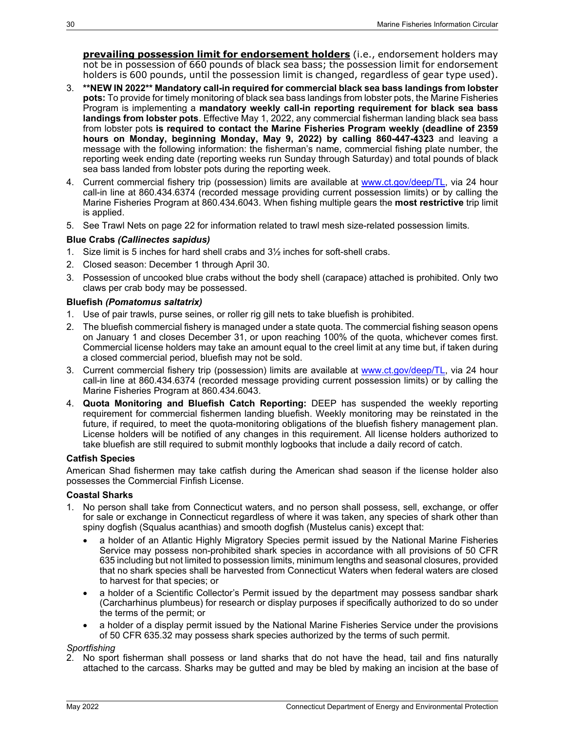**prevailing possession limit for endorsement holders** (i.e., endorsement holders may not be in possession of 660 pounds of black sea bass; the possession limit for endorsement holders is 600 pounds, until the possession limit is changed, regardless of gear type used).

- 3. **\*\*NEW IN 2022\*\* Mandatory call-in required for commercial black sea bass landings from lobster pots:** To provide for timely monitoring of black sea bass landings from lobster pots, the Marine Fisheries Program is implementing a **mandatory weekly call-in reporting requirement for black sea bass landings from lobster pots**. Effective May 1, 2022, any commercial fisherman landing black sea bass from lobster pots **is required to contact the Marine Fisheries Program weekly (deadline of 2359 hours on Monday, beginning Monday, May 9, 2022) by calling 860-447-4323** and leaving a message with the following information: the fisherman's name, commercial fishing plate number, the reporting week ending date (reporting weeks run Sunday through Saturday) and total pounds of black sea bass landed from lobster pots during the reporting week.
- 4. Current commercial fishery trip (possession) limits are available at [www.ct.gov/deep/TL,](http://www.ct.gov/deep/TL) via 24 hour call-in line at 860.434.6374 (recorded message providing current possession limits) or by calling the Marine Fisheries Program at 860.434.6043. When fishing multiple gears the **most restrictive** trip limit is applied.
- 5. See [Trawl Nets](#page-27-4) on page [22](#page-27-4) for information related to trawl mesh size-related possession limits.

#### <span id="page-35-0"></span>**Blue Crabs** *(Callinectes sapidus)*

- 1. Size limit is 5 inches for hard shell crabs and 3½ inches for soft-shell crabs.
- 2. Closed season: December 1 through April 30.
- 3. Possession of uncooked blue crabs without the body shell (carapace) attached is prohibited. Only two claws per crab body may be possessed.

#### <span id="page-35-1"></span>**Bluefish** *(Pomatomus saltatrix)*

- 1. Use of pair trawls, purse seines, or roller rig gill nets to take bluefish is prohibited.
- 2. The bluefish commercial fishery is managed under a state quota. The commercial fishing season opens on January 1 and closes December 31, or upon reaching 100% of the quota, whichever comes first. Commercial license holders may take an amount equal to the creel limit at any time but, if taken during a closed commercial period, bluefish may not be sold.
- <span id="page-35-4"></span>3. Current commercial fishery trip (possession) limits are available at [www.ct.gov/deep/TL,](http://www.ct.gov/deep/TL) via 24 hour call-in line at 860.434.6374 (recorded message providing current possession limits) or by calling the Marine Fisheries Program at 860.434.6043.
- 4. **Quota Monitoring and Bluefish Catch Reporting:** DEEP has suspended the weekly reporting requirement for commercial fishermen landing bluefish. Weekly monitoring may be reinstated in the future, if required, to meet the quota-monitoring obligations of the bluefish fishery management plan. License holders will be notified of any changes in this requirement. All license holders authorized to take bluefish are still required to submit monthly logbooks that include a daily record of catch.

#### <span id="page-35-2"></span>**Catfish Species**

American Shad fishermen may take catfish during the American shad season if the license holder also possesses the Commercial Finfish License.

#### <span id="page-35-3"></span>**Coastal Sharks**

- 1. No person shall take from Connecticut waters, and no person shall possess, sell, exchange, or offer for sale or exchange in Connecticut regardless of where it was taken, any species of shark other than spiny dogfish (Squalus acanthias) and smooth dogfish (Mustelus canis) except that:
	- a holder of an Atlantic Highly Migratory Species permit issued by the National Marine Fisheries Service may possess non-prohibited shark species in accordance with all provisions of 50 CFR 635 including but not limited to possession limits, minimum lengths and seasonal closures, provided that no shark species shall be harvested from Connecticut Waters when federal waters are closed to harvest for that species; or
	- a holder of a Scientific Collector's Permit issued by the department may possess sandbar shark (Carcharhinus plumbeus) for research or display purposes if specifically authorized to do so under the terms of the permit; or
	- a holder of a display permit issued by the National Marine Fisheries Service under the provisions of 50 CFR 635.32 may possess shark species authorized by the terms of such permit.

#### *Sportfishing*

2. No sport fisherman shall possess or land sharks that do not have the head, tail and fins naturally attached to the carcass. Sharks may be gutted and may be bled by making an incision at the base of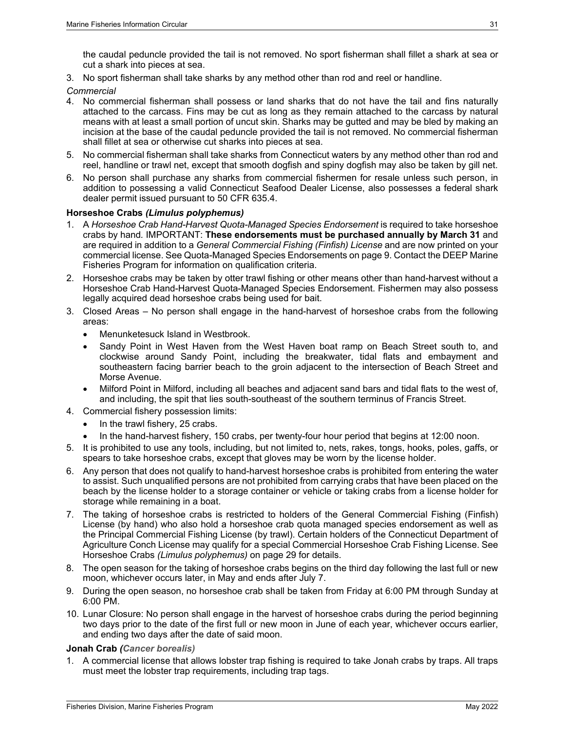the caudal peduncle provided the tail is not removed. No sport fisherman shall fillet a shark at sea or cut a shark into pieces at sea.

3. No sport fisherman shall take sharks by any method other than rod and reel or handline.

*Commercial*

- 4. No commercial fisherman shall possess or land sharks that do not have the tail and fins naturally attached to the carcass. Fins may be cut as long as they remain attached to the carcass by natural means with at least a small portion of uncut skin. Sharks may be gutted and may be bled by making an incision at the base of the caudal peduncle provided the tail is not removed. No commercial fisherman shall fillet at sea or otherwise cut sharks into pieces at sea.
- 5. No commercial fisherman shall take sharks from Connecticut waters by any method other than rod and reel, handline or trawl net, except that smooth dogfish and spiny dogfish may also be taken by gill net.
- 6. No person shall purchase any sharks from commercial fishermen for resale unless such person, in addition to possessing a valid Connecticut Seafood Dealer License, also possesses a federal shark dealer permit issued pursuant to 50 CFR 635.4.

#### <span id="page-36-0"></span>**Horseshoe Crabs** *(Limulus polyphemus)*

- 1. A *Horseshoe Crab Hand-Harvest Quota-Managed Species Endorsement* is required to take horseshoe crabs by hand*.* IMPORTANT: **These endorsements must be purchased annually by March 31** and are required in addition to a *General Commercial Fishing (Finfish) License* and are now printed on your commercial license. Se[e Quota-Managed Species Endorsements](#page-14-0) on pag[e 9.](#page-14-0) Contact the DEEP Marine Fisheries Program for information on qualification criteria.
- 2. Horseshoe crabs may be taken by otter trawl fishing or other means other than hand-harvest without a Horseshoe Crab Hand-Harvest Quota-Managed Species Endorsement. Fishermen may also possess legally acquired dead horseshoe crabs being used for bait.
- 3. Closed Areas No person shall engage in the hand-harvest of horseshoe crabs from the following areas:
	- Menunketesuck Island in Westbrook.
	- Sandy Point in West Haven from the West Haven boat ramp on Beach Street south to, and clockwise around Sandy Point, including the breakwater, tidal flats and embayment and southeastern facing barrier beach to the groin adjacent to the intersection of Beach Street and Morse Avenue.
	- Milford Point in Milford, including all beaches and adjacent sand bars and tidal flats to the west of, and including, the spit that lies south-southeast of the southern terminus of Francis Street.
- 4. Commercial fishery possession limits:
	- In the trawl fishery, 25 crabs.
	- In the hand-harvest fishery, 150 crabs, per twenty-four hour period that begins at 12:00 noon.
- 5. It is prohibited to use any tools, including, but not limited to, nets, rakes, tongs, hooks, poles, gaffs, or spears to take horseshoe crabs, except that gloves may be worn by the license holder.
- 6. Any person that does not qualify to hand-harvest horseshoe crabs is prohibited from entering the water to assist. Such unqualified persons are not prohibited from carrying crabs that have been placed on the beach by the license holder to a storage container or vehicle or taking crabs from a license holder for storage while remaining in a boat.
- 7. The taking of horseshoe crabs is restricted to holders of the General Commercial Fishing (Finfish) License (by hand) who also hold a horseshoe crab quota managed species endorsement as well as the Principal Commercial Fishing License (by trawl). Certain holders of the Connecticut Department of Agriculture Conch License may qualify for a special Commercial Horseshoe Crab Fishing License. See Horseshoe Crabs *[\(Limulus polyphemus\)](#page-35-3)* on page [29](#page-34-2) for details.
- 8. The open season for the taking of horseshoe crabs begins on the third day following the last full or new moon, whichever occurs later, in May and ends after July 7.
- 9. During the open season, no horseshoe crab shall be taken from Friday at 6:00 PM through Sunday at 6:00 PM.
- 10. Lunar Closure: No person shall engage in the harvest of horseshoe crabs during the period beginning two days prior to the date of the first full or new moon in June of each year, whichever occurs earlier, and ending two days after the date of said moon.

#### <span id="page-36-1"></span>**Jonah Crab** *(Cancer borealis)*

1. A commercial license that allows lobster trap fishing is required to take Jonah crabs by traps. All traps must meet the lobster trap requirements, including trap tags.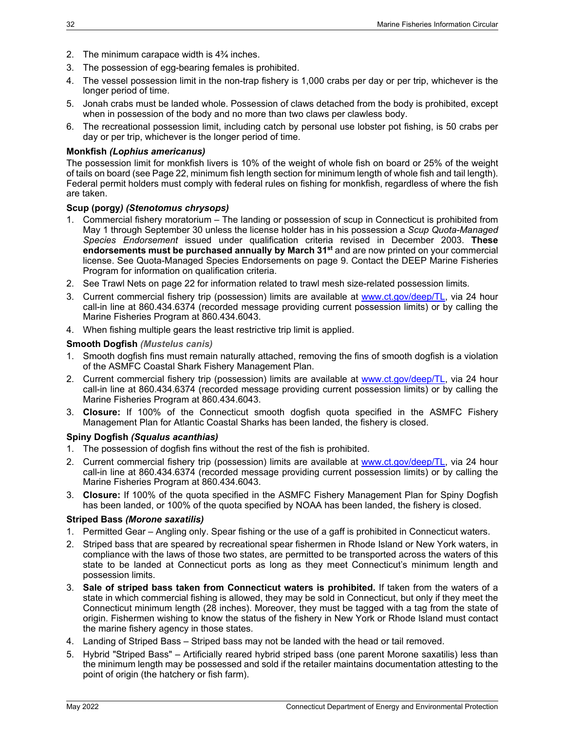- 2. The minimum carapace width is 4¾ inches.
- 3. The possession of egg-bearing females is prohibited.
- 4. The vessel possession limit in the non-trap fishery is 1,000 crabs per day or per trip, whichever is the longer period of time.
- 5. Jonah crabs must be landed whole. Possession of claws detached from the body is prohibited, except when in possession of the body and no more than two claws per clawless body.
- 6. The recreational possession limit, including catch by personal use lobster pot fishing, is 50 crabs per day or per trip, whichever is the longer period of time.

#### <span id="page-37-0"></span>**Monkfish** *(Lophius americanus)*

The possession limit for monkfish livers is 10% of the weight of whole fish on board or 25% of the weight of tails on board (see Pag[e 22,](#page-27-1) minimum fish length section for minimum length of whole fish and tail length). Federal permit holders must comply with federal rules on fishing for monkfish, regardless of where the fish are taken.

#### <span id="page-37-1"></span>**Scup (porgy***) (Stenotomus chrysops)*

- 1. Commercial fishery moratorium The landing or possession of scup in Connecticut is prohibited from May 1 through September 30 unless the license holder has in his possession a *Scup Quota-Managed Species Endorsement* issued under qualification criteria revised in December 2003. **These endorsements must be purchased annually by March 31st** and are now printed on your commercial license. See [Quota-Managed Species Endorsements](#page-14-0) on page [9.](#page-14-0) Contact the DEEP Marine Fisheries Program for information on qualification criteria.
- 2. See [Trawl Nets](#page-27-4) on page [22](#page-27-4) for information related to trawl mesh size-related possession limits.
- 3. Current commercial fishery trip (possession) limits are available at [www.ct.gov/deep/TL,](http://www.ct.gov/deep/TL) via 24 hour call-in line at 860.434.6374 (recorded message providing current possession limits) or by calling the Marine Fisheries Program at 860.434.6043.
- 4. When fishing multiple gears the least restrictive trip limit is applied.

#### <span id="page-37-2"></span>**Smooth Dogfish** *(Mustelus canis)*

- 1. Smooth dogfish fins must remain naturally attached, removing the fins of smooth dogfish is a violation of the ASMFC Coastal Shark Fishery Management Plan.
- 2. Current commercial fishery trip (possession) limits are available at [www.ct.gov/deep/TL,](http://www.ct.gov/deep/TL) via 24 hour call-in line at 860.434.6374 (recorded message providing current possession limits) or by calling the Marine Fisheries Program at 860.434.6043.
- 3. **Closure:** If 100% of the Connecticut smooth dogfish quota specified in the ASMFC Fishery Management Plan for Atlantic Coastal Sharks has been landed, the fishery is closed.

#### <span id="page-37-3"></span>**Spiny Dogfish** *(Squalus acanthias)*

- 1. The possession of dogfish fins without the rest of the fish is prohibited.
- 2. Current commercial fishery trip (possession) limits are available at [www.ct.gov/deep/TL,](http://www.ct.gov/deep/TL) via 24 hour call-in line at 860.434.6374 (recorded message providing current possession limits) or by calling the Marine Fisheries Program at 860.434.6043.
- 3. **Closure:** If 100% of the quota specified in the ASMFC Fishery Management Plan for Spiny Dogfish has been landed, or 100% of the quota specified by NOAA has been landed, the fishery is closed.

#### <span id="page-37-4"></span>**Striped Bass** *(Morone saxatilis)*

- 1. Permitted Gear Angling only. Spear fishing or the use of a gaff is prohibited in Connecticut waters.
- 2. Striped bass that are speared by recreational spear fishermen in Rhode Island or New York waters, in compliance with the laws of those two states, are permitted to be transported across the waters of this state to be landed at Connecticut ports as long as they meet Connecticut's minimum length and possession limits.
- 3. **Sale of striped bass taken from Connecticut waters is prohibited.** If taken from the waters of a state in which commercial fishing is allowed, they may be sold in Connecticut, but only if they meet the Connecticut minimum length (28 inches). Moreover, they must be tagged with a tag from the state of origin. Fishermen wishing to know the status of the fishery in New York or Rhode Island must contact the marine fishery agency in those states.
- 4. Landing of Striped Bass Striped bass may not be landed with the head or tail removed.
- 5. Hybrid "Striped Bass" Artificially reared hybrid striped bass (one parent Morone saxatilis) less than the minimum length may be possessed and sold if the retailer maintains documentation attesting to the point of origin (the hatchery or fish farm).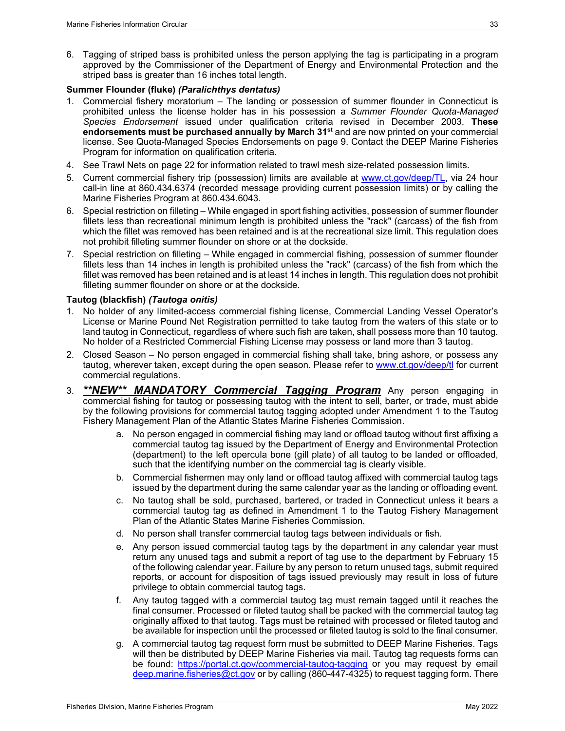6. Tagging of striped bass is prohibited unless the person applying the tag is participating in a program approved by the Commissioner of the Department of Energy and Environmental Protection and the striped bass is greater than 16 inches total length.

#### <span id="page-38-0"></span>**Summer Flounder (fluke)** *(Paralichthys dentatus)*

- 1. Commercial fishery moratorium The landing or possession of summer flounder in Connecticut is prohibited unless the license holder has in his possession a *Summer Flounder Quota-Managed Species Endorsement* issued under qualification criteria revised in December 2003. **These endorsements must be purchased annually by March 31st** and are now printed on your commercial license. See [Quota-Managed Species Endorsements](#page-14-0) on page [9.](#page-14-0) Contact the DEEP Marine Fisheries Program for information on qualification criteria.
- 4. See [Trawl Nets](#page-27-4) on page [22](#page-27-4) for information related to trawl mesh size-related possession limits.
- 5. Current commercial fishery trip (possession) limits are available at [www.ct.gov/deep/TL,](http://www.ct.gov/deep/TL) via 24 hour call-in line at 860.434.6374 (recorded message providing current possession limits) or by calling the Marine Fisheries Program at 860.434.6043.
- 6. Special restriction on filleting While engaged in sport fishing activities, possession of summer flounder fillets less than recreational minimum length is prohibited unless the "rack" (carcass) of the fish from which the fillet was removed has been retained and is at the recreational size limit. This regulation does not prohibit filleting summer flounder on shore or at the dockside.
- 7. Special restriction on filleting While engaged in commercial fishing, possession of summer flounder fillets less than 14 inches in length is prohibited unless the "rack" (carcass) of the fish from which the fillet was removed has been retained and is at least 14 inches in length. This regulation does not prohibit filleting summer flounder on shore or at the dockside.

#### <span id="page-38-1"></span>**Tautog (blackfish)** *(Tautoga onitis)*

- 1. No holder of any limited-access commercial fishing license, Commercial Landing Vessel Operator's License or Marine Pound Net Registration permitted to take tautog from the waters of this state or to land tautog in Connecticut, regardless of where such fish are taken, shall possess more than 10 tautog. No holder of a Restricted Commercial Fishing License may possess or land more than 3 tautog.
- 2. Closed Season No person engaged in commercial fishing shall take, bring ashore, or possess any tautog, wherever taken, except during the open season. Please refer to [www.ct.gov/deep/tl](http://www.ct.gov/deep/tl) for current commercial regulations.
- 3. *\*\*NEW\*\* MANDATORY Commercial Tagging Program* Any person engaging in commercial fishing for tautog or possessing tautog with the intent to sell, barter, or trade, must abide by the following provisions for commercial tautog tagging adopted under Amendment 1 to the Tautog Fishery Management Plan of the Atlantic States Marine Fisheries Commission.
	- a. No person engaged in commercial fishing may land or offload tautog without first affixing a commercial tautog tag issued by the Department of Energy and Environmental Protection (department) to the left opercula bone (gill plate) of all tautog to be landed or offloaded, such that the identifying number on the commercial tag is clearly visible.
	- b. Commercial fishermen may only land or offload tautog affixed with commercial tautog tags issued by the department during the same calendar year as the landing or offloading event.
	- c. No tautog shall be sold, purchased, bartered, or traded in Connecticut unless it bears a commercial tautog tag as defined in Amendment 1 to the Tautog Fishery Management Plan of the Atlantic States Marine Fisheries Commission.
	- d. No person shall transfer commercial tautog tags between individuals or fish.
	- e. Any person issued commercial tautog tags by the department in any calendar year must return any unused tags and submit a report of tag use to the department by February 15 of the following calendar year. Failure by any person to return unused tags, submit required reports, or account for disposition of tags issued previously may result in loss of future privilege to obtain commercial tautog tags.
	- f. Any tautog tagged with a commercial tautog tag must remain tagged until it reaches the final consumer. Processed or fileted tautog shall be packed with the commercial tautog tag originally affixed to that tautog. Tags must be retained with processed or fileted tautog and be available for inspection until the processed or fileted tautog is sold to the final consumer.
	- g. A commercial tautog tag request form must be submitted to DEEP Marine Fisheries. Tags will then be distributed by DEEP Marine Fisheries via mail. Tautog tag requests forms can be found: <https://portal.ct.gov/commercial-tautog-tagging> or you may request by email [deep.marine.fisheries@ct.gov](mailto:deep.marine.fisheries@ct.gov) or by calling (860-447-4325) to request tagging form. There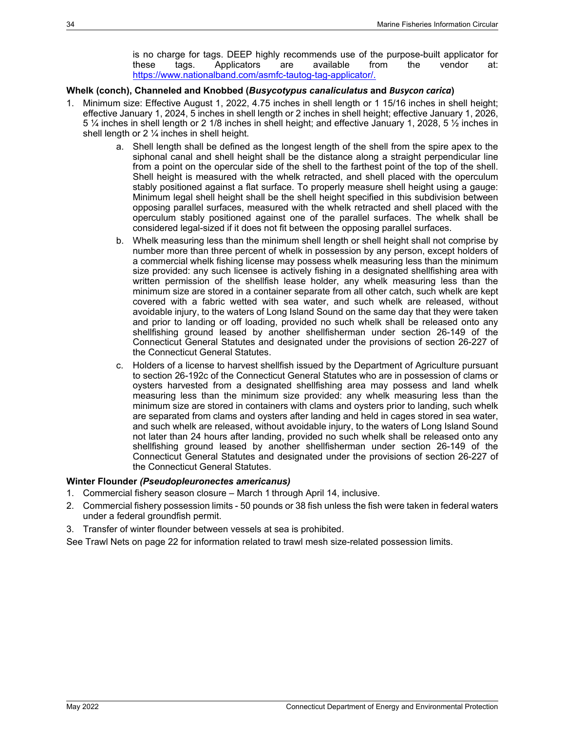is no charge for tags. DEEP highly recommends use of the purpose-built applicator for these tags. Applicators are available from the vendor at: [https://www.nationalband.com/asmfc-tautog-tag-applicator/.](https://www.nationalband.com/asmfc-tautog-tag-applicator/)

#### <span id="page-39-0"></span>**Whelk (conch), Channeled and Knobbed (***Busycotypus canaliculatus* **and** *Busycon carica***)**

- 1. Minimum size: Effective August 1, 2022, 4.75 inches in shell length or 1 15/16 inches in shell height; effective January 1, 2024, 5 inches in shell length or 2 inches in shell height; effective January 1, 2026, 5 ¼ inches in shell length or 2 1/8 inches in shell height; and effective January 1, 2028, 5 ½ inches in shell length or  $2\frac{1}{4}$  inches in shell height.
	- a. Shell length shall be defined as the longest length of the shell from the spire apex to the siphonal canal and shell height shall be the distance along a straight perpendicular line from a point on the opercular side of the shell to the farthest point of the top of the shell. Shell height is measured with the whelk retracted, and shell placed with the operculum stably positioned against a flat surface. To properly measure shell height using a gauge: Minimum legal shell height shall be the shell height specified in this subdivision between opposing parallel surfaces, measured with the whelk retracted and shell placed with the operculum stably positioned against one of the parallel surfaces. The whelk shall be considered legal-sized if it does not fit between the opposing parallel surfaces.
	- b. Whelk measuring less than the minimum shell length or shell height shall not comprise by number more than three percent of whelk in possession by any person, except holders of a commercial whelk fishing license may possess whelk measuring less than the minimum size provided: any such licensee is actively fishing in a designated shellfishing area with written permission of the shellfish lease holder, any whelk measuring less than the minimum size are stored in a container separate from all other catch, such whelk are kept covered with a fabric wetted with sea water, and such whelk are released, without avoidable injury, to the waters of Long Island Sound on the same day that they were taken and prior to landing or off loading, provided no such whelk shall be released onto any shellfishing ground leased by another shellfisherman under section 26-149 of the Connecticut General Statutes and designated under the provisions of section 26-227 of the Connecticut General Statutes.
	- c. Holders of a license to harvest shellfish issued by the Department of Agriculture pursuant to section 26-192c of the Connecticut General Statutes who are in possession of clams or oysters harvested from a designated shellfishing area may possess and land whelk measuring less than the minimum size provided: any whelk measuring less than the minimum size are stored in containers with clams and oysters prior to landing, such whelk are separated from clams and oysters after landing and held in cages stored in sea water, and such whelk are released, without avoidable injury, to the waters of Long Island Sound not later than 24 hours after landing, provided no such whelk shall be released onto any shellfishing ground leased by another shellfisherman under section 26-149 of the Connecticut General Statutes and designated under the provisions of section 26-227 of the Connecticut General Statutes.

#### <span id="page-39-1"></span>**Winter Flounder** *(Pseudopleuronectes americanus)*

- 1. Commercial fishery season closure March 1 through April 14, inclusive.
- 2. Commercial fishery possession limits 50 pounds or 38 fish unless the fish were taken in federal waters under a federal groundfish permit.
- 3. Transfer of winter flounder between vessels at sea is prohibited.

<span id="page-39-2"></span>See [Trawl Nets](#page-27-4) on page [22](#page-27-4) for information related to trawl mesh size-related possession limits.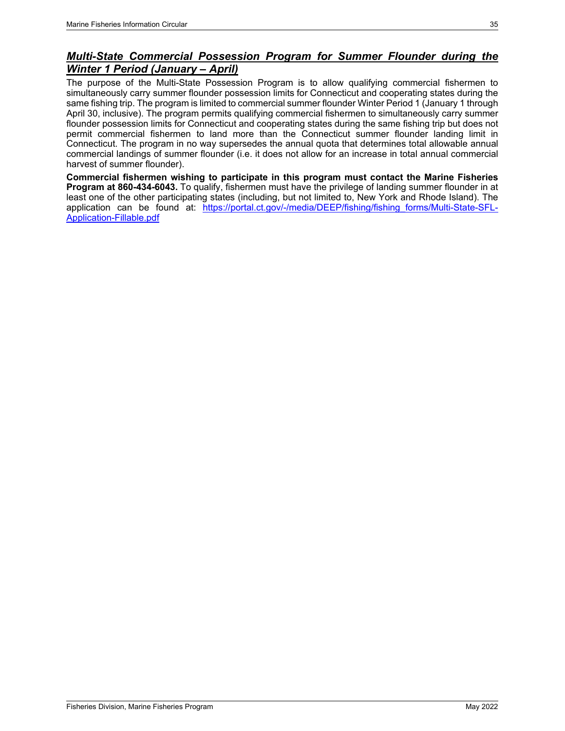### *Multi-State Commercial Possession Program for Summer Flounder during the Winter 1 Period (January – April)*

The purpose of the Multi-State Possession Program is to allow qualifying commercial fishermen to simultaneously carry summer flounder possession limits for Connecticut and cooperating states during the same fishing trip. The program is limited to commercial summer flounder Winter Period 1 (January 1 through April 30, inclusive). The program permits qualifying commercial fishermen to simultaneously carry summer flounder possession limits for Connecticut and cooperating states during the same fishing trip but does not permit commercial fishermen to land more than the Connecticut summer flounder landing limit in Connecticut. The program in no way supersedes the annual quota that determines total allowable annual commercial landings of summer flounder (i.e. it does not allow for an increase in total annual commercial harvest of summer flounder).

**Commercial fishermen wishing to participate in this program must contact the Marine Fisheries Program at 860-434-6043.** To qualify, fishermen must have the privilege of landing summer flounder in at least one of the other participating states (including, but not limited to, New York and Rhode Island). The application can be found at: [https://portal.ct.gov/-/media/DEEP/fishing/fishing\\_forms/Multi-State-SFL-](https://portal.ct.gov/-/media/DEEP/fishing/fishing_forms/Multi-State-SFL-Application-Fillable.pdf)[Application-Fillable.pdf](https://portal.ct.gov/-/media/DEEP/fishing/fishing_forms/Multi-State-SFL-Application-Fillable.pdf)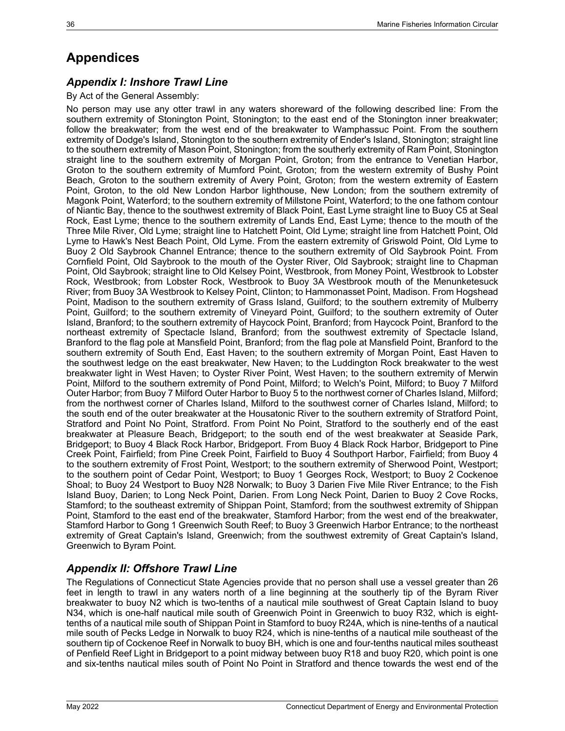# <span id="page-41-0"></span>**Appendices**

### <span id="page-41-1"></span>*Appendix I: Inshore Trawl Line*

By Act of the General Assembly:

No person may use any otter trawl in any waters shoreward of the following described line: From the southern extremity of Stonington Point, Stonington; to the east end of the Stonington inner breakwater; follow the breakwater; from the west end of the breakwater to Wamphassuc Point. From the southern extremity of Dodge's Island, Stonington to the southern extremity of Ender's Island, Stonington; straight line to the southern extremity of Mason Point, Stonington; from the southerly extremity of Ram Point, Stonington straight line to the southern extremity of Morgan Point, Groton; from the entrance to Venetian Harbor, Groton to the southern extremity of Mumford Point, Groton; from the western extremity of Bushy Point Beach, Groton to the southern extremity of Avery Point, Groton; from the western extremity of Eastern Point, Groton, to the old New London Harbor lighthouse, New London; from the southern extremity of Magonk Point, Waterford; to the southern extremity of Millstone Point, Waterford; to the one fathom contour of Niantic Bay, thence to the southwest extremity of Black Point, East Lyme straight line to Buoy C5 at Seal Rock, East Lyme; thence to the southern extremity of Lands End, East Lyme; thence to the mouth of the Three Mile River, Old Lyme; straight line to Hatchett Point, Old Lyme; straight line from Hatchett Point, Old Lyme to Hawk's Nest Beach Point, Old Lyme. From the eastern extremity of Griswold Point, Old Lyme to Buoy 2 Old Saybrook Channel Entrance; thence to the southern extremity of Old Saybrook Point. From Cornfield Point, Old Saybrook to the mouth of the Oyster River, Old Saybrook; straight line to Chapman Point, Old Saybrook; straight line to Old Kelsey Point, Westbrook, from Money Point, Westbrook to Lobster Rock, Westbrook; from Lobster Rock, Westbrook to Buoy 3A Westbrook mouth of the Menunketesuck River; from Buoy 3A Westbrook to Kelsey Point, Clinton; to Hammonasset Point, Madison. From Hogshead Point, Madison to the southern extremity of Grass Island, Guilford; to the southern extremity of Mulberry Point, Guilford; to the southern extremity of Vineyard Point, Guilford; to the southern extremity of Outer Island, Branford; to the southern extremity of Haycock Point, Branford; from Haycock Point, Branford to the northeast extremity of Spectacle Island, Branford; from the southwest extremity of Spectacle Island, Branford to the flag pole at Mansfield Point, Branford; from the flag pole at Mansfield Point, Branford to the southern extremity of South End, East Haven; to the southern extremity of Morgan Point, East Haven to the southwest ledge on the east breakwater, New Haven; to the Luddington Rock breakwater to the west breakwater light in West Haven; to Oyster River Point, West Haven; to the southern extremity of Merwin Point, Milford to the southern extremity of Pond Point, Milford; to Welch's Point, Milford; to Buoy 7 Milford Outer Harbor; from Buoy 7 Milford Outer Harbor to Buoy 5 to the northwest corner of Charles Island, Milford; from the northwest corner of Charles Island, Milford to the southwest corner of Charles Island, Milford; to the south end of the outer breakwater at the Housatonic River to the southern extremity of Stratford Point, Stratford and Point No Point, Stratford. From Point No Point, Stratford to the southerly end of the east breakwater at Pleasure Beach, Bridgeport; to the south end of the west breakwater at Seaside Park, Bridgeport; to Buoy 4 Black Rock Harbor, Bridgeport. From Buoy 4 Black Rock Harbor, Bridgeport to Pine Creek Point, Fairfield; from Pine Creek Point, Fairfield to Buoy 4 Southport Harbor, Fairfield; from Buoy 4 to the southern extremity of Frost Point, Westport; to the southern extremity of Sherwood Point, Westport; to the southern point of Cedar Point, Westport; to Buoy 1 Georges Rock, Westport; to Buoy 2 Cockenoe Shoal; to Buoy 24 Westport to Buoy N28 Norwalk; to Buoy 3 Darien Five Mile River Entrance; to the Fish Island Buoy, Darien; to Long Neck Point, Darien. From Long Neck Point, Darien to Buoy 2 Cove Rocks, Stamford; to the southeast extremity of Shippan Point, Stamford; from the southwest extremity of Shippan Point, Stamford to the east end of the breakwater, Stamford Harbor; from the west end of the breakwater, Stamford Harbor to Gong 1 Greenwich South Reef; to Buoy 3 Greenwich Harbor Entrance; to the northeast extremity of Great Captain's Island, Greenwich; from the southwest extremity of Great Captain's Island, Greenwich to Byram Point.

### <span id="page-41-2"></span>*Appendix II: Offshore Trawl Line*

The Regulations of Connecticut State Agencies provide that no person shall use a vessel greater than 26 feet in length to trawl in any waters north of a line beginning at the southerly tip of the Byram River breakwater to buoy N2 which is two-tenths of a nautical mile southwest of Great Captain Island to buoy N34, which is one-half nautical mile south of Greenwich Point in Greenwich to buoy R32, which is eighttenths of a nautical mile south of Shippan Point in Stamford to buoy R24A, which is nine-tenths of a nautical mile south of Pecks Ledge in Norwalk to buoy R24, which is nine-tenths of a nautical mile southeast of the southern tip of Cockenoe Reef in Norwalk to buoy BH, which is one and four-tenths nautical miles southeast of Penfield Reef Light in Bridgeport to a point midway between buoy R18 and buoy R20, which point is one and six-tenths nautical miles south of Point No Point in Stratford and thence towards the west end of the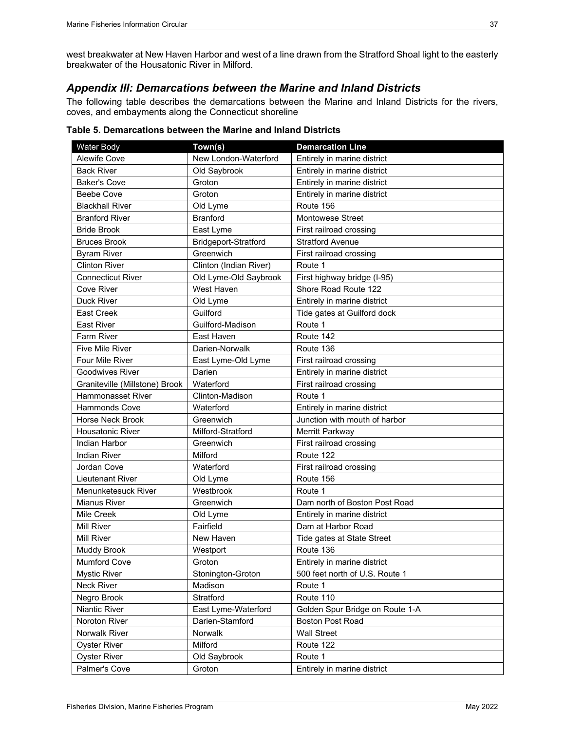west breakwater at New Haven Harbor and west of a line drawn from the Stratford Shoal light to the easterly breakwater of the Housatonic River in Milford.

### <span id="page-42-0"></span>*Appendix III: Demarcations between the Marine and Inland Districts*

The following table describes the demarcations between the Marine and Inland Districts for the rivers, coves, and embayments along the Connecticut shoreline

| Water Body                     | Town(s)                | <b>Demarcation Line</b>         |
|--------------------------------|------------------------|---------------------------------|
| <b>Alewife Cove</b>            | New London-Waterford   | Entirely in marine district     |
| <b>Back River</b>              | Old Saybrook           | Entirely in marine district     |
| <b>Baker's Cove</b>            | Groton                 | Entirely in marine district     |
| Beebe Cove                     | Groton                 | Entirely in marine district     |
| <b>Blackhall River</b>         | Old Lyme               | Route 156                       |
| <b>Branford River</b>          | <b>Branford</b>        | <b>Montowese Street</b>         |
| <b>Bride Brook</b>             | East Lyme              | First railroad crossing         |
| <b>Bruces Brook</b>            | Bridgeport-Stratford   | <b>Stratford Avenue</b>         |
| <b>Byram River</b>             | Greenwich              | First railroad crossing         |
| <b>Clinton River</b>           | Clinton (Indian River) | Route 1                         |
| <b>Connecticut River</b>       | Old Lyme-Old Saybrook  | First highway bridge (I-95)     |
| <b>Cove River</b>              | West Haven             | Shore Road Route 122            |
| <b>Duck River</b>              | Old Lyme               | Entirely in marine district     |
| East Creek                     | Guilford               | Tide gates at Guilford dock     |
| <b>East River</b>              | Guilford-Madison       | Route 1                         |
| Farm River                     | East Haven             | Route 142                       |
| <b>Five Mile River</b>         | Darien-Norwalk         | Route 136                       |
| Four Mile River                | East Lyme-Old Lyme     | First railroad crossing         |
| <b>Goodwives River</b>         | Darien                 | Entirely in marine district     |
| Graniteville (Millstone) Brook | Waterford              | First railroad crossing         |
| <b>Hammonasset River</b>       | Clinton-Madison        | Route 1                         |
| <b>Hammonds Cove</b>           | Waterford              | Entirely in marine district     |
| Horse Neck Brook               | Greenwich              | Junction with mouth of harbor   |
| <b>Housatonic River</b>        | Milford-Stratford      | Merritt Parkway                 |
| Indian Harbor                  | Greenwich              | First railroad crossing         |
| <b>Indian River</b>            | Milford                | Route 122                       |
| Jordan Cove                    | Waterford              | First railroad crossing         |
| Lieutenant River               | Old Lyme               | Route 156                       |
| Menunketesuck River            | Westbrook              | Route 1                         |
| <b>Mianus River</b>            | Greenwich              | Dam north of Boston Post Road   |
| Mile Creek                     | Old Lyme               | Entirely in marine district     |
| Mill River                     | Fairfield              | Dam at Harbor Road              |
| <b>Mill River</b>              | New Haven              | Tide gates at State Street      |
| Muddy Brook                    | Westport               | Route 136                       |
| <b>Mumford Cove</b>            | Groton                 | Entirely in marine district     |
| <b>Mystic River</b>            | Stonington-Groton      | 500 feet north of U.S. Route 1  |
| Neck River                     | Madison                | Route 1                         |
| Negro Brook                    | Stratford              | Route 110                       |
| Niantic River                  | East Lyme-Waterford    | Golden Spur Bridge on Route 1-A |
| Noroton River                  | Darien-Stamford        | <b>Boston Post Road</b>         |
| Norwalk River                  | Norwalk                | <b>Wall Street</b>              |
| <b>Oyster River</b>            | Milford                | Route 122                       |
| <b>Oyster River</b>            | Old Saybrook           | Route 1                         |
| Palmer's Cove                  | Groton                 | Entirely in marine district     |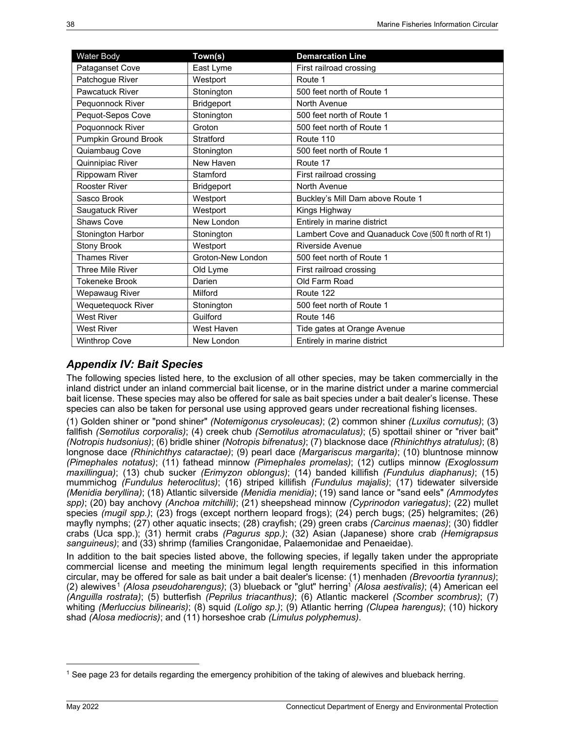| Water Body              | Town(s)           | <b>Demarcation Line</b>                                |
|-------------------------|-------------------|--------------------------------------------------------|
| Pataganset Cove         | East Lyme         | First railroad crossing                                |
| Patchogue River         | Westport          | Route 1                                                |
| <b>Pawcatuck River</b>  | Stonington        | 500 feet north of Route 1                              |
| Pequonnock River        | <b>Bridgeport</b> | North Avenue                                           |
| Pequot-Sepos Cove       | Stonington        | 500 feet north of Route 1                              |
| Poquonnock River        | Groton            | 500 feet north of Route 1                              |
| Pumpkin Ground Brook    | Stratford         | Route 110                                              |
| Quiambaug Cove          | Stonington        | 500 feet north of Route 1                              |
| Quinnipiac River        | New Haven         | Route 17                                               |
| <b>Rippowam River</b>   | Stamford          | First railroad crossing                                |
| <b>Rooster River</b>    | <b>Bridgeport</b> | North Avenue                                           |
| Sasco Brook             | Westport          | Buckley's Mill Dam above Route 1                       |
| Saugatuck River         | Westport          | Kings Highway                                          |
| Shaws Cove              | New London        | Entirely in marine district                            |
| Stonington Harbor       | Stonington        | Lambert Cove and Quanaduck Cove (500 ft north of Rt 1) |
| <b>Stony Brook</b>      | Westport          | Riverside Avenue                                       |
| <b>Thames River</b>     | Groton-New London | 500 feet north of Route 1                              |
| <b>Three Mile River</b> | Old Lyme          | First railroad crossing                                |
| <b>Tokeneke Brook</b>   | Darien            | Old Farm Road                                          |
| Wepawaug River          | Milford           | Route 122                                              |
| Wequetequock River      | Stonington        | 500 feet north of Route 1                              |
| <b>West River</b>       | Guilford          | Route 146                                              |
| <b>West River</b>       | West Haven        | Tide gates at Orange Avenue                            |
| <b>Winthrop Cove</b>    | New London        | Entirely in marine district                            |

### <span id="page-43-0"></span>*Appendix IV: Bait Species*

The following species listed here, to the exclusion of all other species, may be taken commercially in the inland district under an inland commercial bait license, or in the marine district under a marine commercial bait license. These species may also be offered for sale as bait species under a bait dealer's license. These species can also be taken for personal use using approved gears under recreational fishing licenses.

(1) Golden shiner or "pond shiner" *(Notemigonus crysoleucas)*; (2) common shiner *(Luxilus cornutus)*; (3) fallfish *(Semotilus corporalis)*; (4) creek chub *(Semotilus atromaculatus)*; (5) spottail shiner or "river bait" *(Notropis hudsonius)*; (6) bridle shiner *(Notropis bifrenatus)*; (7) blacknose dace *(Rhinichthys atratulus)*; (8) longnose dace *(Rhinichthys cataractae)*; (9) pearl dace *(Margariscus margarita)*; (10) bluntnose minnow *(Pimephales notatus)*; (11) fathead minnow *(Pimephales promelas)*; (12) cutlips minnow *(Exoglossum maxillingua)*; (13) chub sucker *(Erimyzon oblongus)*; (14) banded killifish *(Fundulus diaphanus)*; (15) mummichog *(Fundulus heteroclitus)*; (16) striped killifish *(Fundulus majalis)*; (17) tidewater silverside *(Menidia beryllina)*; (18) Atlantic silverside *(Menidia menidia)*; (19) sand lance or "sand eels" *(Ammodytes spp)*; (20) bay anchovy *(Anchoa mitchilli)*; (21) sheepshead minnow *(Cyprinodon variegatus)*; (22) mullet species *(mugil spp.)*; (23) frogs (except northern leopard frogs); (24) perch bugs; (25) helgramites; (26) mayfly nymphs; (27) other aquatic insects; (28) crayfish; (29) green crabs *(Carcinus maenas)*; (30) fiddler crabs (Uca spp.); (31) hermit crabs *(Pagurus spp.)*; (32) Asian (Japanese) shore crab *(Hemigrapsus sanguineus)*; and (33) shrimp (families Crangonidae, Palaemonidae and Penaeidae).

In addition to the bait species listed above, the following species, if legally taken under the appropriate commercial license and meeting the minimum legal length requirements specified in this information circular, may be offered for sale as bait under a bait dealer's license: (1) menhaden *(Brevoortia tyrannus)*; (2) alewives [1](#page-43-2) *(Alosa pseudoharengus)*; (3) blueback or "glut" herring1 *(Alosa aestivalis)*; (4) American eel *(Anguilla rostrata)*; (5) butterfish *(Peprilus triacanthus)*; (6) Atlantic mackerel *(Scomber scombrus)*; (7) whiting *(Merluccius bilinearis)*; (8) squid *(Loligo sp.)*; (9) Atlantic herring *(Clupea harengus)*; (10) hickory shad *(Alosa mediocris)*; and (11) horseshoe crab *(Limulus polyphemus)*.

<span id="page-43-2"></span><span id="page-43-1"></span><sup>1</sup> See page [23](#page-33-2) for details regarding the emergency prohibition of the taking of alewives and blueback herring.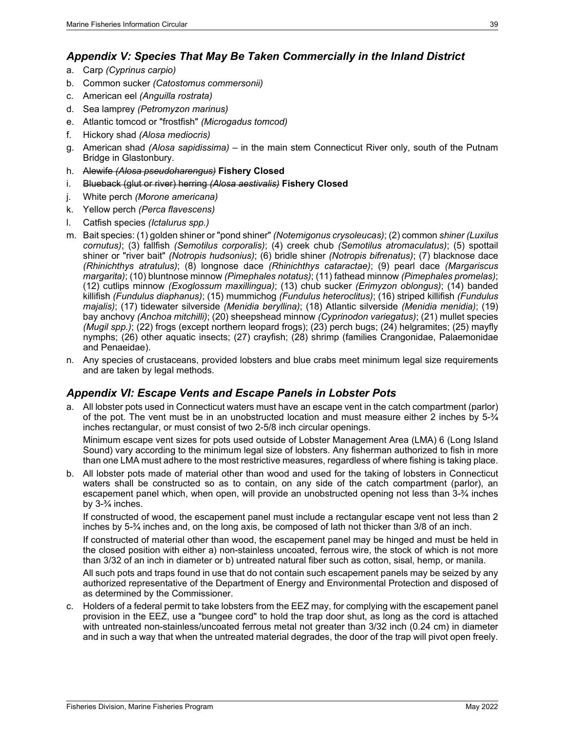- <span id="page-44-0"></span>a. Carp *(Cyprinus carpio)*
- b. Common sucker *(Catostomus commersonii)*
- c. American eel *(Anguilla rostrata)*
- d. Sea lamprey *(Petromyzon marinus)*
- e. Atlantic tomcod or "frostfish" *(Microgadus tomcod)*
- f. Hickory shad *(Alosa mediocris)*
- g. American shad *(Alosa sapidissima)* in the main stem Connecticut River only, south of the Putnam Bridge in Glastonbury.
- h. Alewife *(Alosa pseudoharengus)* **Fishery Closed**
- i. Blueback (glut or river) herring *(Alosa aestivalis)* **Fishery Closed**
- j. White perch *(Morone americana)*
- k. Yellow perch *(Perca flavescens)*
- l. Catfish species *(Ictalurus spp.)*
- m. Bait species: (1) golden shiner or "pond shiner" *(Notemigonus crysoleucas)*; (2) common *shiner (Luxilus cornutus)*; (3) fallfish *(Semotilus corporalis)*; (4) creek chub *(Semotilus atromaculatus)*; (5) spottail shiner or "river bait" *(Notropis hudsonius)*; (6) bridle shiner *(Notropis bifrenatus)*; (7) blacknose dace *(Rhinichthys atratulus)*; (8) longnose dace *(Rhinichthys cataractae)*; (9) pearl dace *(Margariscus margarita)*; (10) bluntnose minnow *(Pimephales notatus)*; (11) fathead minnow *(Pimephales promelas)*; (12) cutlips minnow *(Exoglossum maxillingua)*; (13) chub sucker *(Erimyzon oblongus)*; (14) banded killifish *(Fundulus diaphanus)*; (15) mummichog *(Fundulus heteroclitus)*; (16) striped killifish *(Fundulus majalis)*; (17) tidewater silverside *(Menidia beryllina)*; (18) Atlantic silverside *(Menidia menidia)*; (19) bay anchovy *(Anchoa mitchilli)*; (20) sheepshead minnow *(Cyprinodon variegatus)*; (21) mullet species *(Mugil spp.)*; (22) frogs (except northern leopard frogs); (23) perch bugs; (24) helgramites; (25) mayfly nymphs; (26) other aquatic insects; (27) crayfish; (28) shrimp (families Crangonidae, Palaemonidae and Penaeidae).
- n. Any species of crustaceans, provided lobsters and blue crabs meet minimum legal size requirements and are taken by legal methods.

### <span id="page-44-1"></span>*Appendix VI: Escape Vents and Escape Panels in Lobster Pots*

a. All lobster pots used in Connecticut waters must have an escape vent in the catch compartment (parlor) of the pot. The vent must be in an unobstructed location and must measure either 2 inches by 5-¾ inches rectangular, or must consist of two 2-5/8 inch circular openings.

Minimum escape vent sizes for pots used outside of Lobster Management Area (LMA) 6 (Long Island Sound) vary according to the minimum legal size of lobsters. Any fisherman authorized to fish in more than one LMA must adhere to the most restrictive measures, regardless of where fishing is taking place.

b. All lobster pots made of material other than wood and used for the taking of lobsters in Connecticut waters shall be constructed so as to contain, on any side of the catch compartment (parlor), an escapement panel which, when open, will provide an unobstructed opening not less than 3-<sup>3</sup>/4 inches by 3-¾ inches.

If constructed of wood, the escapement panel must include a rectangular escape vent not less than 2 inches by 5-¾ inches and, on the long axis, be composed of lath not thicker than 3/8 of an inch.

If constructed of material other than wood, the escapement panel may be hinged and must be held in the closed position with either a) non-stainless uncoated, ferrous wire, the stock of which is not more than 3/32 of an inch in diameter or b) untreated natural fiber such as cotton, sisal, hemp, or manila.

All such pots and traps found in use that do not contain such escapement panels may be seized by any authorized representative of the Department of Energy and Environmental Protection and disposed of as determined by the Commissioner.

c. Holders of a federal permit to take lobsters from the EEZ may, for complying with the escapement panel provision in the EEZ, use a "bungee cord" to hold the trap door shut, as long as the cord is attached with untreated non-stainless/uncoated ferrous metal not greater than 3/32 inch (0.24 cm) in diameter and in such a way that when the untreated material degrades, the door of the trap will pivot open freely.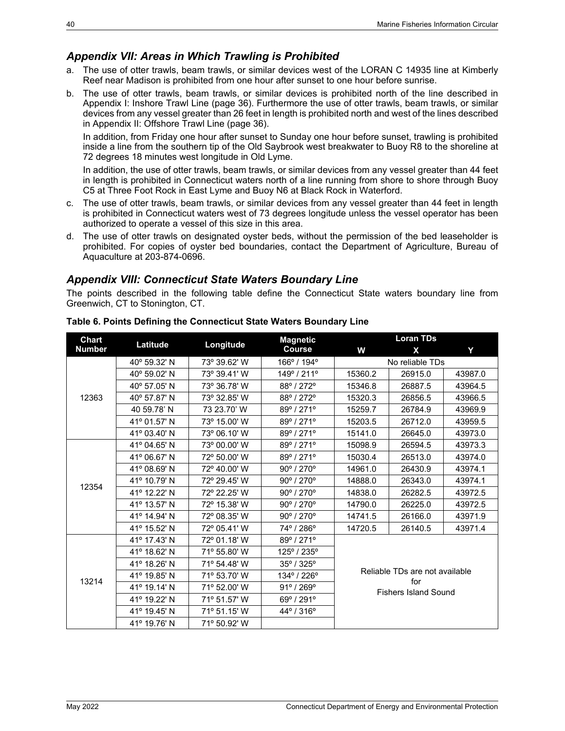### <span id="page-45-0"></span>*Appendix VII: Areas in Which Trawling is Prohibited*

- a. The use of otter trawls, beam trawls, or similar devices west of the LORAN C 14935 line at Kimberly Reef near Madison is prohibited from one hour after sunset to one hour before sunrise.
- b. The use of otter trawls, beam trawls, or similar devices is prohibited north of the line described in [Appendix I: Inshore Trawl Line](#page-41-1) (page [36\)](#page-41-1). Furthermore the use of otter trawls, beam trawls, or similar devices from any vessel greater than 26 feet in length is prohibited north and west of the lines described in [Appendix II: Offshore Trawl Line](#page-41-2) (page [36\)](#page-41-2).

In addition, from Friday one hour after sunset to Sunday one hour before sunset, trawling is prohibited inside a line from the southern tip of the Old Saybrook west breakwater to Buoy R8 to the shoreline at 72 degrees 18 minutes west longitude in Old Lyme.

In addition, the use of otter trawls, beam trawls, or similar devices from any vessel greater than 44 feet in length is prohibited in Connecticut waters north of a line running from shore to shore through Buoy C5 at Three Foot Rock in East Lyme and Buoy N6 at Black Rock in Waterford.

- c. The use of otter trawls, beam trawls, or similar devices from any vessel greater than 44 feet in length is prohibited in Connecticut waters west of 73 degrees longitude unless the vessel operator has been authorized to operate a vessel of this size in this area.
- d. The use of otter trawls on designated oyster beds, without the permission of the bed leaseholder is prohibited. For copies of oyster bed boundaries, contact the Department of Agriculture, Bureau of Aquaculture at 203-874-0696.

### <span id="page-45-1"></span>*Appendix VIII: Connecticut State Waters Boundary Line*

The points described in the following table define the Connecticut State waters boundary line from Greenwich, CT to Stonington, CT.

| Chart         | Latitude<br>Longitude | <b>Magnetic</b> | Loran TDs                     |                                    |                                |         |  |  |
|---------------|-----------------------|-----------------|-------------------------------|------------------------------------|--------------------------------|---------|--|--|
| <b>Number</b> |                       | <b>Course</b>   | W                             | X                                  | Y                              |         |  |  |
|               | 40° 59.32' N          | 73° 39.62' W    | 166° / 194°                   |                                    | No reliable TDs                |         |  |  |
|               | 40° 59.02' N          | 73° 39.41' W    | 149° / 211°                   | 15360.2                            | 26915.0                        | 43987.0 |  |  |
|               | 40° 57.05' N          | 73° 36.78' W    | 88° / 272°                    | 15346.8                            | 26887.5                        | 43964.5 |  |  |
| 12363         | 40° 57.87' N          | 73° 32.85' W    | 88° / 272°                    | 15320.3                            | 26856.5                        | 43966.5 |  |  |
|               | 40 59.78' N           | 73 23.70' W     | 89°/271°                      | 15259.7                            | 26784.9                        | 43969.9 |  |  |
|               | 41º 01.57' N          | 73° 15.00' W    | 89° / 271°                    | 15203.5                            | 26712.0                        | 43959.5 |  |  |
|               | 41° 03.40' N          | 73° 06.10' W    | 89° / 271°                    | 15141.0                            | 26645.0                        | 43973.0 |  |  |
|               | 41° 04.65' N          | 73° 00.00' W    | 89°/271°                      | 15098.9                            | 26594.5                        | 43973.3 |  |  |
|               | 41° 06.67' N          | 72° 50.00' W    | 89° / 271°                    | 15030.4                            | 26513.0                        | 43974.0 |  |  |
|               | 41° 08.69' N          | 72° 40.00' W    | 90° / 270°                    | 14961.0                            | 26430.9                        | 43974.1 |  |  |
|               | 41° 10.79' N          | 72° 29.45' W    | 90° / 270°                    | 14888.0                            | 26343.0                        | 43974.1 |  |  |
| 12354         | 41° 12.22' N          | 72° 22.25' W    | 90° / 270°                    | 14838.0                            | 26282.5                        | 43972.5 |  |  |
|               | 41° 13.57' N          | 72° 15.38' W    | 90° / 270°                    | 14790.0                            | 26225.0                        | 43972.5 |  |  |
|               | 41° 14.94' N          | 72° 08.35' W    | 90° / 270°                    | 14741.5<br>26166.0                 |                                | 43971.9 |  |  |
|               | 41° 15.52' N          | 72° 05.41' W    | 74° / 286°                    | 14720.5                            | 26140.5                        | 43971.4 |  |  |
|               | 41º 17.43' N          | 72° 01.18' W    | 89° / 271°                    |                                    |                                |         |  |  |
|               | 41° 18.62' N          | 71° 55.80' W    | 125° / 235°                   |                                    |                                |         |  |  |
| 13214         | 41º 18.26' N          | 71° 54.48' W    | $35^{\circ}$ / $325^{\circ}$  |                                    | Reliable TDs are not available |         |  |  |
|               | 41° 19.85' N          | 71° 53.70' W    | 134° / 226°                   |                                    |                                |         |  |  |
|               | 41° 19.14' N          | 71° 52.00' W    | 91° / 269°                    | for<br><b>Fishers Island Sound</b> |                                |         |  |  |
|               | 41° 19.22' N          | 71° 51.57' W    | 69º / 291°                    |                                    |                                |         |  |  |
|               | 41° 19.45' N          | 71º 51.15' W    | $44^{\circ}$ / 316 $^{\circ}$ |                                    |                                |         |  |  |
|               | 41° 19.76' N          | 71° 50.92' W    |                               |                                    |                                |         |  |  |

#### **Table 6. Points Defining the Connecticut State Waters Boundary Line**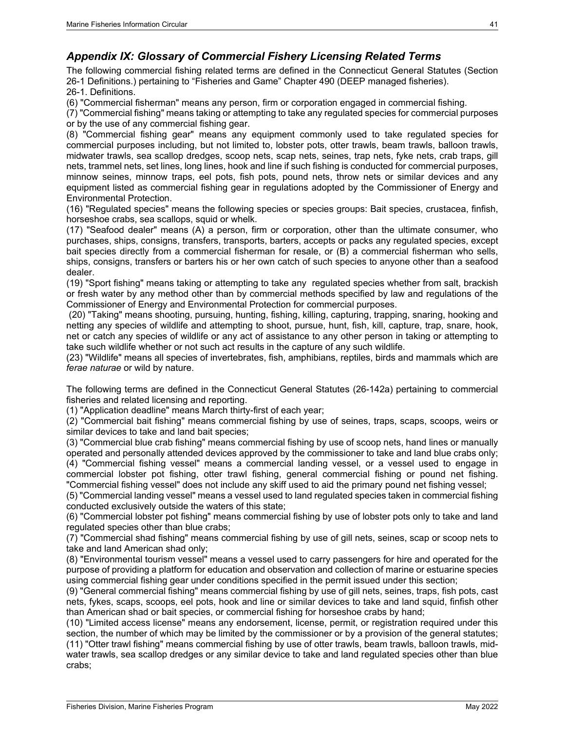### <span id="page-46-0"></span>*Appendix IX: Glossary of Commercial Fishery Licensing Related Terms*

The following commercial fishing related terms are defined in the Connecticut General Statutes (Section 26-1 Definitions.) pertaining to "Fisheries and Game" Chapter 490 (DEEP managed fisheries). 26-1. Definitions.

(6) "Commercial fisherman" means any person, firm or corporation engaged in commercial fishing.

(7) "Commercial fishing" means taking or attempting to take any regulated species for commercial purposes or by the use of any commercial fishing gear.

(8) "Commercial fishing gear" means any equipment commonly used to take regulated species for commercial purposes including, but not limited to, lobster pots, otter trawls, beam trawls, balloon trawls, midwater trawls, sea scallop dredges, scoop nets, scap nets, seines, trap nets, fyke nets, crab traps, gill nets, trammel nets, set lines, long lines, hook and line if such fishing is conducted for commercial purposes, minnow seines, minnow traps, eel pots, fish pots, pound nets, throw nets or similar devices and any equipment listed as commercial fishing gear in regulations adopted by the Commissioner of Energy and Environmental Protection.

(16) "Regulated species" means the following species or species groups: Bait species, crustacea, finfish, horseshoe crabs, sea scallops, squid or whelk.

(17) "Seafood dealer" means (A) a person, firm or corporation, other than the ultimate consumer, who purchases, ships, consigns, transfers, transports, barters, accepts or packs any regulated species, except bait species directly from a commercial fisherman for resale, or (B) a commercial fisherman who sells, ships, consigns, transfers or barters his or her own catch of such species to anyone other than a seafood dealer.

(19) "Sport fishing" means taking or attempting to take any regulated species whether from salt, brackish or fresh water by any method other than by commercial methods specified by law and regulations of the Commissioner of Energy and Environmental Protection for commercial purposes.

(20) "Taking" means shooting, pursuing, hunting, fishing, killing, capturing, trapping, snaring, hooking and netting any species of wildlife and attempting to shoot, pursue, hunt, fish, kill, capture, trap, snare, hook, net or catch any species of wildlife or any act of assistance to any other person in taking or attempting to take such wildlife whether or not such act results in the capture of any such wildlife.

(23) "Wildlife" means all species of invertebrates, fish, amphibians, reptiles, birds and mammals which are *ferae naturae* or wild by nature.

The following terms are defined in the Connecticut General Statutes (26-142a) pertaining to commercial fisheries and related licensing and reporting.

(1) "Application deadline" means March thirty-first of each year;

(2) "Commercial bait fishing" means commercial fishing by use of seines, traps, scaps, scoops, weirs or similar devices to take and land bait species;

(3) "Commercial blue crab fishing" means commercial fishing by use of scoop nets, hand lines or manually operated and personally attended devices approved by the commissioner to take and land blue crabs only; (4) "Commercial fishing vessel" means a commercial landing vessel, or a vessel used to engage in commercial lobster pot fishing, otter trawl fishing, general commercial fishing or pound net fishing. "Commercial fishing vessel" does not include any skiff used to aid the primary pound net fishing vessel;

(5) "Commercial landing vessel" means a vessel used to land regulated species taken in commercial fishing conducted exclusively outside the waters of this state;

(6) "Commercial lobster pot fishing" means commercial fishing by use of lobster pots only to take and land regulated species other than blue crabs;

(7) "Commercial shad fishing" means commercial fishing by use of gill nets, seines, scap or scoop nets to take and land American shad only;

(8) "Environmental tourism vessel" means a vessel used to carry passengers for hire and operated for the purpose of providing a platform for education and observation and collection of marine or estuarine species using commercial fishing gear under conditions specified in the permit issued under this section;

(9) "General commercial fishing" means commercial fishing by use of gill nets, seines, traps, fish pots, cast nets, fykes, scaps, scoops, eel pots, hook and line or similar devices to take and land squid, finfish other than American shad or bait species, or commercial fishing for horseshoe crabs by hand;

(10) "Limited access license" means any endorsement, license, permit, or registration required under this section, the number of which may be limited by the commissioner or by a provision of the general statutes; (11) "Otter trawl fishing" means commercial fishing by use of otter trawls, beam trawls, balloon trawls, midwater trawls, sea scallop dredges or any similar device to take and land regulated species other than blue crabs;